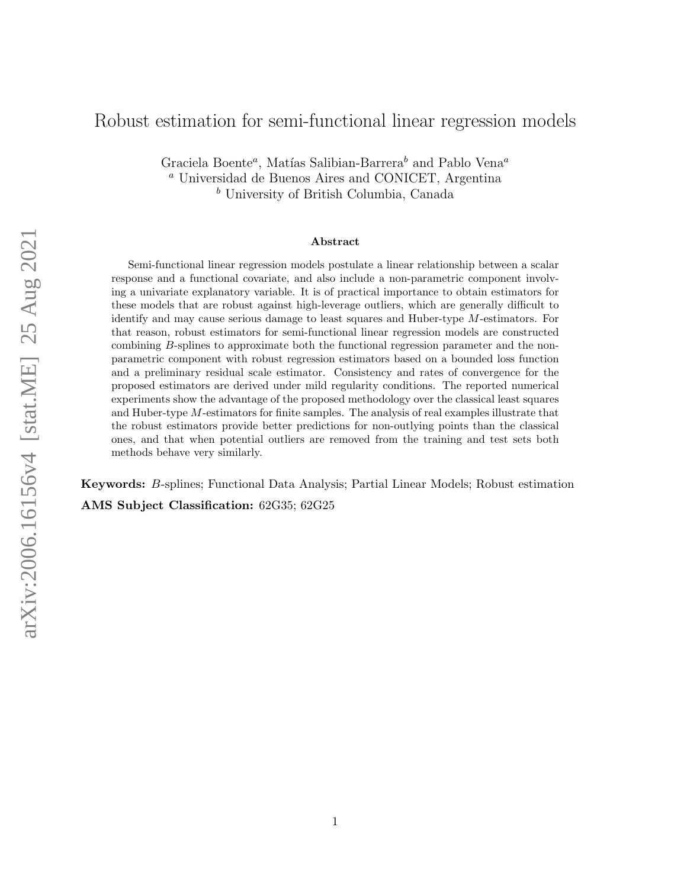# Robust estimation for semi-functional linear regression models

Graciela Boente<sup>a</sup>, Matías Salibian-Barrera<sup>b</sup> and Pablo Vena<sup>a</sup> <sup>a</sup> Universidad de Buenos Aires and CONICET, Argentina <sup>b</sup> University of British Columbia, Canada

#### Abstract

Semi-functional linear regression models postulate a linear relationship between a scalar response and a functional covariate, and also include a non-parametric component involving a univariate explanatory variable. It is of practical importance to obtain estimators for these models that are robust against high-leverage outliers, which are generally difficult to identify and may cause serious damage to least squares and Huber-type M-estimators. For that reason, robust estimators for semi-functional linear regression models are constructed combining B-splines to approximate both the functional regression parameter and the nonparametric component with robust regression estimators based on a bounded loss function and a preliminary residual scale estimator. Consistency and rates of convergence for the proposed estimators are derived under mild regularity conditions. The reported numerical experiments show the advantage of the proposed methodology over the classical least squares and Huber-type M-estimators for finite samples. The analysis of real examples illustrate that the robust estimators provide better predictions for non-outlying points than the classical ones, and that when potential outliers are removed from the training and test sets both methods behave very similarly.

Keywords: B-splines; Functional Data Analysis; Partial Linear Models; Robust estimation AMS Subject Classification: 62G35; 62G25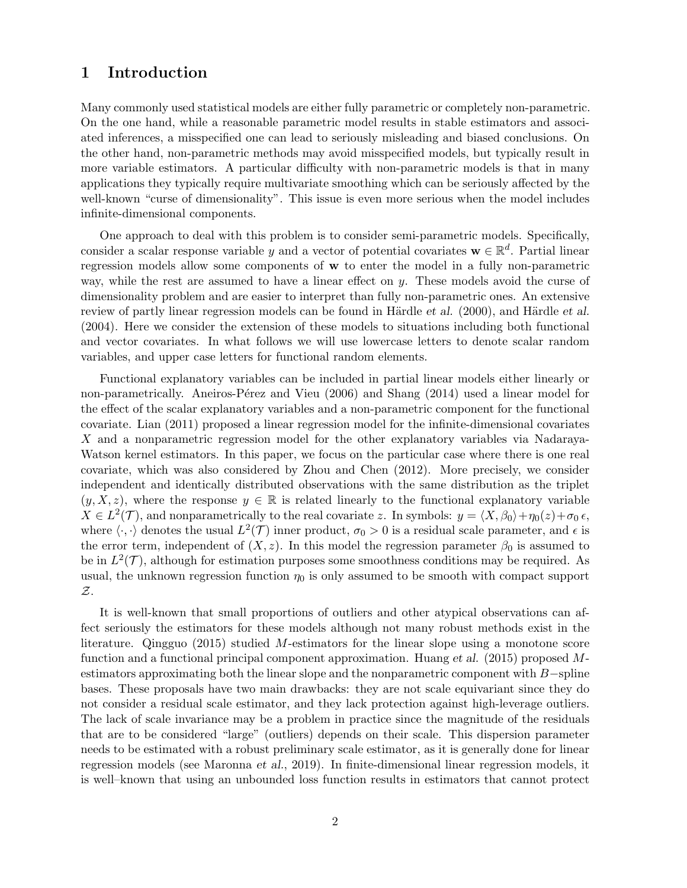# 1 Introduction

Many commonly used statistical models are either fully parametric or completely non-parametric. On the one hand, while a reasonable parametric model results in stable estimators and associated inferences, a misspecified one can lead to seriously misleading and biased conclusions. On the other hand, non-parametric methods may avoid misspecified models, but typically result in more variable estimators. A particular difficulty with non-parametric models is that in many applications they typically require multivariate smoothing which can be seriously affected by the well-known "curse of dimensionality". This issue is even more serious when the model includes infinite-dimensional components.

One approach to deal with this problem is to consider semi-parametric models. Specifically, consider a scalar response variable y and a vector of potential covariates  $\mathbf{w} \in \mathbb{R}^d$ . Partial linear regression models allow some components of w to enter the model in a fully non-parametric way, while the rest are assumed to have a linear effect on y. These models avoid the curse of dimensionality problem and are easier to interpret than fully non-parametric ones. An extensive review of partly linear regression models can be found in Härdle *et al.* (2000), and Härdle *et al.* (2004). Here we consider the extension of these models to situations including both functional and vector covariates. In what follows we will use lowercase letters to denote scalar random variables, and upper case letters for functional random elements.

Functional explanatory variables can be included in partial linear models either linearly or non-parametrically. Aneiros-Pérez and Vieu (2006) and Shang (2014) used a linear model for the effect of the scalar explanatory variables and a non-parametric component for the functional covariate. Lian (2011) proposed a linear regression model for the infinite-dimensional covariates X and a nonparametric regression model for the other explanatory variables via Nadaraya-Watson kernel estimators. In this paper, we focus on the particular case where there is one real covariate, which was also considered by Zhou and Chen (2012). More precisely, we consider independent and identically distributed observations with the same distribution as the triplet  $(y, X, z)$ , where the response  $y \in \mathbb{R}$  is related linearly to the functional explanatory variable  $X \in L^2(\mathcal{T})$ , and nonparametrically to the real covariate z. In symbols:  $y = \langle X, \beta_0 \rangle + \eta_0(z) + \sigma_0 \epsilon$ , where  $\langle \cdot, \cdot \rangle$  denotes the usual  $L^2(\mathcal{T})$  inner product,  $\sigma_0 > 0$  is a residual scale parameter, and  $\epsilon$  is the error term, independent of  $(X, z)$ . In this model the regression parameter  $\beta_0$  is assumed to be in  $L^2(\mathcal{T})$ , although for estimation purposes some smoothness conditions may be required. As usual, the unknown regression function  $\eta_0$  is only assumed to be smooth with compact support Z.

It is well-known that small proportions of outliers and other atypical observations can affect seriously the estimators for these models although not many robust methods exist in the literature. Qingguo (2015) studied  $M$ -estimators for the linear slope using a monotone score function and a functional principal component approximation. Huang et al. (2015) proposed Mestimators approximating both the linear slope and the nonparametric component with B−spline bases. These proposals have two main drawbacks: they are not scale equivariant since they do not consider a residual scale estimator, and they lack protection against high-leverage outliers. The lack of scale invariance may be a problem in practice since the magnitude of the residuals that are to be considered "large" (outliers) depends on their scale. This dispersion parameter needs to be estimated with a robust preliminary scale estimator, as it is generally done for linear regression models (see Maronna et al., 2019). In finite-dimensional linear regression models, it is well–known that using an unbounded loss function results in estimators that cannot protect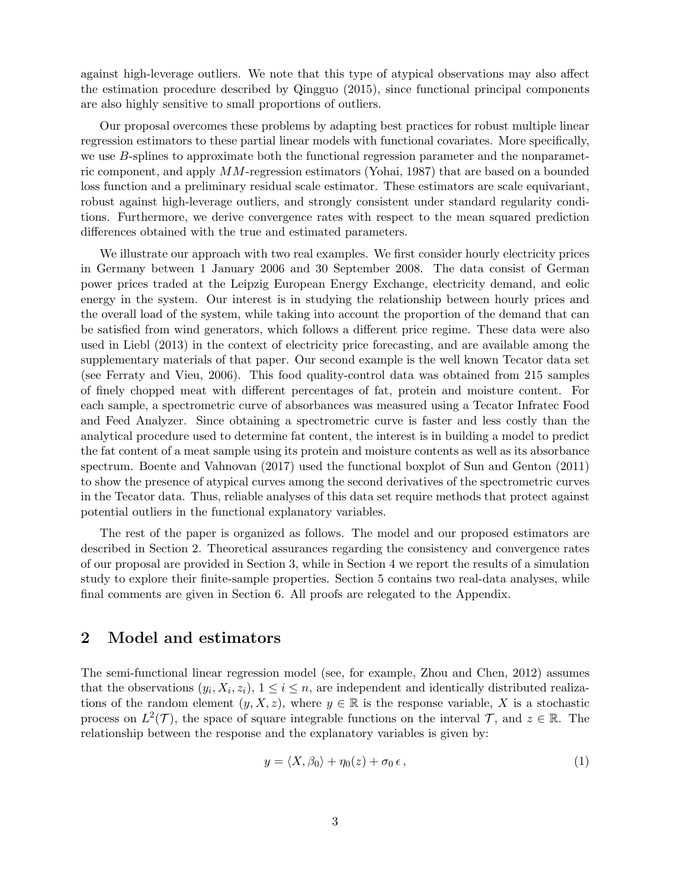against high-leverage outliers. We note that this type of atypical observations may also affect the estimation procedure described by Qingguo (2015), since functional principal components are also highly sensitive to small proportions of outliers.

Our proposal overcomes these problems by adapting best practices for robust multiple linear regression estimators to these partial linear models with functional covariates. More specifically, we use B-splines to approximate both the functional regression parameter and the nonparametric component, and apply MM-regression estimators (Yohai, 1987) that are based on a bounded loss function and a preliminary residual scale estimator. These estimators are scale equivariant, robust against high-leverage outliers, and strongly consistent under standard regularity conditions. Furthermore, we derive convergence rates with respect to the mean squared prediction differences obtained with the true and estimated parameters.

We illustrate our approach with two real examples. We first consider hourly electricity prices in Germany between 1 January 2006 and 30 September 2008. The data consist of German power prices traded at the Leipzig European Energy Exchange, electricity demand, and eolic energy in the system. Our interest is in studying the relationship between hourly prices and the overall load of the system, while taking into account the proportion of the demand that can be satisfied from wind generators, which follows a different price regime. These data were also used in Liebl (2013) in the context of electricity price forecasting, and are available among the supplementary materials of that paper. Our second example is the well known Tecator data set (see Ferraty and Vieu, 2006). This food quality-control data was obtained from 215 samples of finely chopped meat with different percentages of fat, protein and moisture content. For each sample, a spectrometric curve of absorbances was measured using a Tecator Infratec Food and Feed Analyzer. Since obtaining a spectrometric curve is faster and less costly than the analytical procedure used to determine fat content, the interest is in building a model to predict the fat content of a meat sample using its protein and moisture contents as well as its absorbance spectrum. Boente and Vahnovan (2017) used the functional boxplot of Sun and Genton (2011) to show the presence of atypical curves among the second derivatives of the spectrometric curves in the Tecator data. Thus, reliable analyses of this data set require methods that protect against potential outliers in the functional explanatory variables.

The rest of the paper is organized as follows. The model and our proposed estimators are described in Section 2. Theoretical assurances regarding the consistency and convergence rates of our proposal are provided in Section 3, while in Section 4 we report the results of a simulation study to explore their finite-sample properties. Section 5 contains two real-data analyses, while final comments are given in Section 6. All proofs are relegated to the Appendix.

# 2 Model and estimators

The semi-functional linear regression model (see, for example, Zhou and Chen, 2012) assumes that the observations  $(y_i, X_i, z_i)$ ,  $1 \leq i \leq n$ , are independent and identically distributed realizations of the random element  $(y, X, z)$ , where  $y \in \mathbb{R}$  is the response variable, X is a stochastic process on  $L^2(\mathcal{T})$ , the space of square integrable functions on the interval  $\mathcal{T}$ , and  $z \in \mathbb{R}$ . The relationship between the response and the explanatory variables is given by:

$$
y = \langle X, \beta_0 \rangle + \eta_0(z) + \sigma_0 \epsilon, \qquad (1)
$$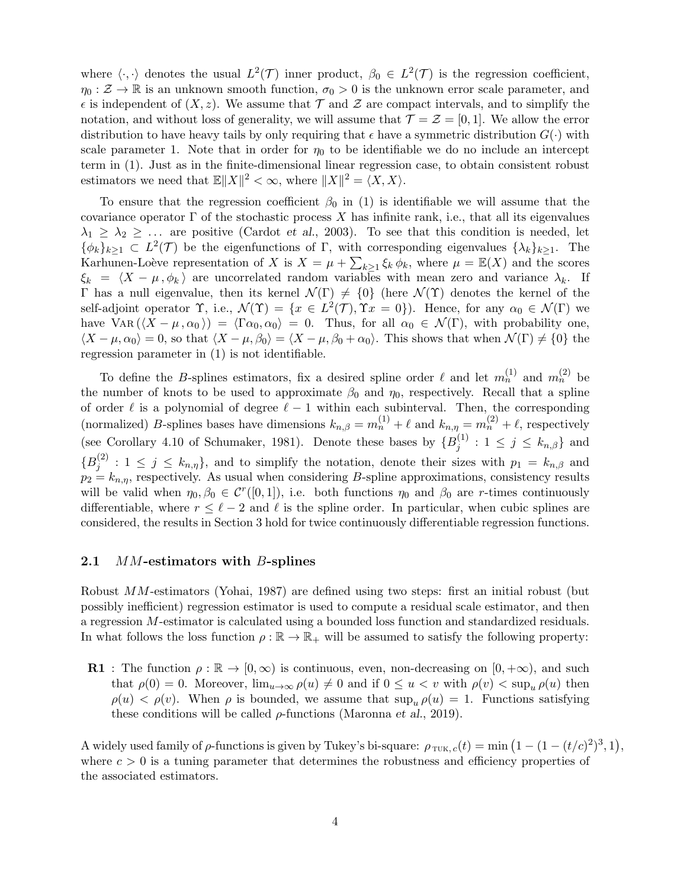where  $\langle \cdot, \cdot \rangle$  denotes the usual  $L^2(\mathcal{T})$  inner product,  $\beta_0 \in L^2(\mathcal{T})$  is the regression coefficient,  $\eta_0 : \mathcal{Z} \to \mathbb{R}$  is an unknown smooth function,  $\sigma_0 > 0$  is the unknown error scale parameter, and  $\epsilon$  is independent of  $(X, z)$ . We assume that  $\mathcal T$  and  $\mathcal Z$  are compact intervals, and to simplify the notation, and without loss of generality, we will assume that  $\mathcal{T} = \mathcal{Z} = [0, 1]$ . We allow the error distribution to have heavy tails by only requiring that  $\epsilon$  have a symmetric distribution  $G(\cdot)$  with scale parameter 1. Note that in order for  $\eta_0$  to be identifiable we do no include an intercept term in (1). Just as in the finite-dimensional linear regression case, to obtain consistent robust estimators we need that  $\mathbb{E} \|X\|^2 < \infty$ , where  $\|X\|^2 = \langle X, X \rangle$ .

To ensure that the regression coefficient  $\beta_0$  in (1) is identifiable we will assume that the covariance operator  $\Gamma$  of the stochastic process X has infinite rank, i.e., that all its eigenvalues  $\lambda_1 \geq \lambda_2 \geq \ldots$  are positive (Cardot *et al.*, 2003). To see that this condition is needed, let  $\{\phi_k\}_{k\geq 1} \subset L^2(\mathcal{T})$  be the eigenfunctions of  $\Gamma$ , with corresponding eigenvalues  $\{\lambda_k\}_{k\geq 1}$ . The Karhunen-Loève representation of X is  $X = \mu + \sum_{k \geq 1} \xi_k \phi_k$ , where  $\mu = \mathbb{E}(X)$  and the scores  $\xi_k = \langle X - \mu, \phi_k \rangle$  are uncorrelated random variables with mean zero and variance  $\lambda_k$ . If Γ has a null eigenvalue, then its kernel  $\mathcal{N}(\Gamma) \neq \{0\}$  (here  $\mathcal{N}(\Upsilon)$  denotes the kernel of the self-adjoint operator  $\Upsilon$ , i.e.,  $\mathcal{N}(\Upsilon) = \{x \in L^2(\mathcal{T}), \Upsilon x = 0\}$ . Hence, for any  $\alpha_0 \in \mathcal{N}(\Gamma)$  we have VAR  $(\langle X - \mu, \alpha_0 \rangle) = \langle \Gamma \alpha_0, \alpha_0 \rangle = 0$ . Thus, for all  $\alpha_0 \in \mathcal{N}(\Gamma)$ , with probability one,  $\langle X - \mu, \alpha_0 \rangle = 0$ , so that  $\langle X - \mu, \beta_0 \rangle = \langle X - \mu, \beta_0 + \alpha_0 \rangle$ . This shows that when  $\mathcal{N}(\Gamma) \neq \{0\}$  the regression parameter in (1) is not identifiable.

To define the *B*-splines estimators, fix a desired spline order  $\ell$  and let  $m_n^{(1)}$  and  $m_n^{(2)}$  be the number of knots to be used to approximate  $\beta_0$  and  $\eta_0$ , respectively. Recall that a spline of order  $\ell$  is a polynomial of degree  $\ell - 1$  within each subinterval. Then, the corresponding (normalized) B-splines bases have dimensions  $k_{n,\beta} = m_n^{(1)} + \ell$  and  $k_{n,\eta} = m_n^{(2)} + \ell$ , respectively (see Corollary 4.10 of Schumaker, 1981). Denote these bases by  ${B_i^{(1)}}$  $j_j^{(1)}: 1 \leq j \leq k_{n,\beta}$  and  ${B_i^{(2)}}$  $j_j^{(2)}$ :  $1 \leq j \leq k_{n,\eta}$ , and to simplify the notation, denote their sizes with  $p_1 = k_{n,\beta}$  and  $p_2 = k_{n,\eta}$ , respectively. As usual when considering B-spline approximations, consistency results will be valid when  $\eta_0, \beta_0 \in C^r([0,1])$ , i.e. both functions  $\eta_0$  and  $\beta_0$  are r-times continuously differentiable, where  $r \leq \ell - 2$  and  $\ell$  is the spline order. In particular, when cubic splines are considered, the results in Section 3 hold for twice continuously differentiable regression functions.

### 2.1 *MM*-estimators with *B*-splines

Robust MM-estimators (Yohai, 1987) are defined using two steps: first an initial robust (but possibly inefficient) regression estimator is used to compute a residual scale estimator, and then a regression M-estimator is calculated using a bounded loss function and standardized residuals. In what follows the loss function  $\rho : \mathbb{R} \to \mathbb{R}_+$  will be assumed to satisfy the following property:

**R1** : The function  $\rho : \mathbb{R} \to [0, \infty)$  is continuous, even, non-decreasing on  $[0, +\infty)$ , and such that  $\rho(0) = 0$ . Moreover,  $\lim_{u\to\infty} \rho(u) \neq 0$  and if  $0 \leq u < v$  with  $\rho(v) < \sup_u \rho(u)$  then  $\rho(u) < \rho(v)$ . When  $\rho$  is bounded, we assume that  $\sup_{u} \rho(u) = 1$ . Functions satisfying these conditions will be called  $\rho$ -functions (Maronna et al., 2019).

A widely used family of  $\rho$ -functions is given by Tukey's bi-square:  $\rho_{\text{TUK},c}(t) = \min (1 - (1 - (t/c)^2)^3, 1),$ where  $c > 0$  is a tuning parameter that determines the robustness and efficiency properties of the associated estimators.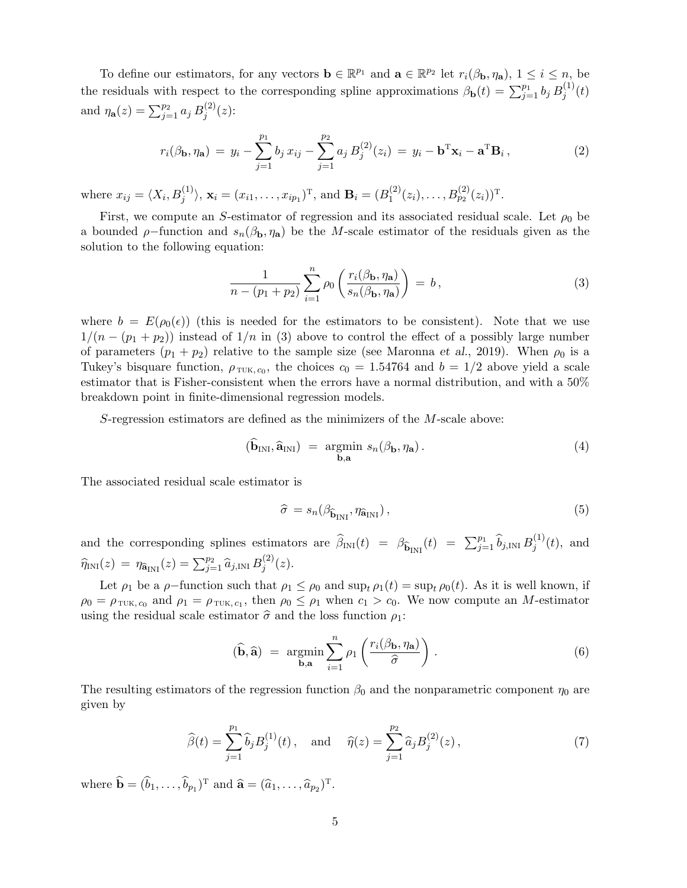To define our estimators, for any vectors  $\mathbf{b} \in \mathbb{R}^{p_1}$  and  $\mathbf{a} \in \mathbb{R}^{p_2}$  let  $r_i(\beta_{\mathbf{b}}, \eta_{\mathbf{a}}), 1 \le i \le n$ , be the residuals with respect to the corresponding spline approximations  $\beta_{\bf b}(t) = \sum_{j=1}^{p_1} b_j B_j^{(1)}$  $j^{(1)}(t)$ and  $\eta_{\bf a}(z) = \sum_{j=1}^{p_2} a_j B_j^{(2)}$  $j^{(2)}(z)$ :

$$
r_i(\beta_{\mathbf{b}}, \eta_{\mathbf{a}}) = y_i - \sum_{j=1}^{p_1} b_j x_{ij} - \sum_{j=1}^{p_2} a_j B_j^{(2)}(z_i) = y_i - \mathbf{b}^{\mathrm{T}} \mathbf{x}_i - \mathbf{a}^{\mathrm{T}} \mathbf{B}_i, \qquad (2)
$$

where  $x_{ij} = \langle X_i, B_j^{(1)} \rangle$ ,  $\mathbf{x}_i = (x_{i1}, \dots, x_{ip_1})^{\mathrm{T}}$ , and  $\mathbf{B}_i = (B_1^{(2)})^{\mathrm{T}}$  $I_1^{(2)}(z_i), \ldots, B_{p_2}^{(2)}(z_i))^{\mathrm{T}}$ .

First, we compute an S-estimator of regression and its associated residual scale. Let  $\rho_0$  be a bounded  $\rho$ -function and  $s_n(\beta_b, \eta_a)$  be the M-scale estimator of the residuals given as the solution to the following equation:

$$
\frac{1}{n - (p_1 + p_2)} \sum_{i=1}^{n} \rho_0 \left( \frac{r_i(\beta_{\mathbf{b}}, \eta_{\mathbf{a}})}{s_n(\beta_{\mathbf{b}}, \eta_{\mathbf{a}})} \right) = b,
$$
\n(3)

where  $b = E(\rho_0(\epsilon))$  (this is needed for the estimators to be consistent). Note that we use  $1/(n-(p_1+p_2))$  instead of  $1/n$  in (3) above to control the effect of a possibly large number of parameters  $(p_1 + p_2)$  relative to the sample size (see Maronna *et al.*, 2019). When  $\rho_0$  is a Tukey's bisquare function,  $\rho_{\text{TUK}, c_0}$ , the choices  $c_0 = 1.54764$  and  $b = 1/2$  above yield a scale estimator that is Fisher-consistent when the errors have a normal distribution, and with a 50% breakdown point in finite-dimensional regression models.

S-regression estimators are defined as the minimizers of the M-scale above:

$$
(\widehat{\mathbf{b}}_{\text{INI}}, \widehat{\mathbf{a}}_{\text{INI}}) = \underset{\mathbf{b}, \mathbf{a}}{\text{argmin}} s_n(\beta_\mathbf{b}, \eta_\mathbf{a}). \tag{4}
$$

The associated residual scale estimator is

$$
\widehat{\sigma} = s_n(\beta_{\widehat{\mathbf{b}}_{\text{INI}}}, \eta_{\widehat{\mathbf{a}}_{\text{INI}}}), \tag{5}
$$

and the corresponding splines estimators are  $\hat{\beta}_{\text{INI}}(t) = \beta_{\hat{\mathbf{b}}_{\text{INI}}}(t) = \sum_{j=1}^{p_1} \hat{b}_{j,\text{INI}} B_j^{(1)}$  $j^{(1)}(t)$ , and  $\widehat{\eta}_{\text{INI}}(z) = \eta_{\widehat{\mathbf{a}}_{\text{INI}}}(z) = \sum_{j=1}^{p_2} \widehat{a}_{j,\text{INI}} B_j^{(2)}$  $j^{(2)}(z).$ 

Let  $\rho_1$  be a  $\rho$ -function such that  $\rho_1 \leq \rho_0$  and  $\sup_t \rho_1(t) = \sup_t \rho_0(t)$ . As it is well known, if  $\rho_0 = \rho_{\text{TUK}, c_0}$  and  $\rho_1 = \rho_{\text{TUK}, c_1}$ , then  $\rho_0 \le \rho_1$  when  $c_1 > c_0$ . We now compute an M-estimator using the residual scale estimator  $\hat{\sigma}$  and the loss function  $\rho_1$ :

$$
(\widehat{\mathbf{b}}, \widehat{\mathbf{a}}) = \underset{\mathbf{b}, \mathbf{a}}{\operatorname{argmin}} \sum_{i=1}^{n} \rho_1 \left( \frac{r_i(\beta_\mathbf{b}, \eta_\mathbf{a})}{\widehat{\sigma}} \right).
$$
(6)

The resulting estimators of the regression function  $\beta_0$  and the nonparametric component  $\eta_0$  are given by

$$
\widehat{\beta}(t) = \sum_{j=1}^{p_1} \widehat{b}_j B_j^{(1)}(t), \quad \text{and} \quad \widehat{\eta}(z) = \sum_{j=1}^{p_2} \widehat{a}_j B_j^{(2)}(z), \tag{7}
$$

where  $\widehat{\mathbf{b}} = (\widehat{b}_1, \dots, \widehat{b}_{p_1})^T$  and  $\widehat{\mathbf{a}} = (\widehat{a}_1, \dots, \widehat{a}_{p_2})^T$ .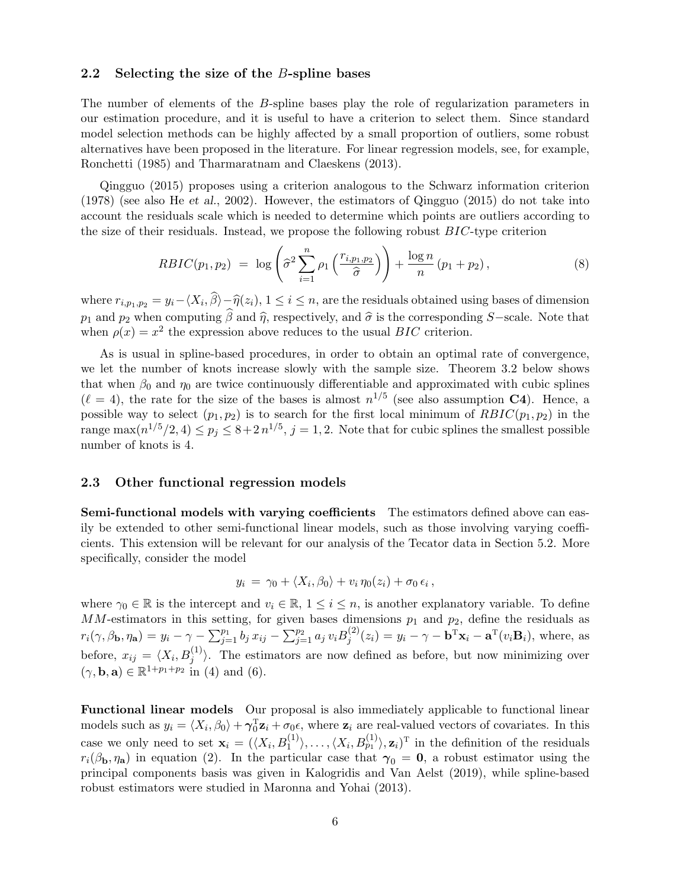### 2.2 Selecting the size of the  $B$ -spline bases

The number of elements of the B-spline bases play the role of regularization parameters in our estimation procedure, and it is useful to have a criterion to select them. Since standard model selection methods can be highly affected by a small proportion of outliers, some robust alternatives have been proposed in the literature. For linear regression models, see, for example, Ronchetti (1985) and Tharmaratnam and Claeskens (2013).

Qingguo (2015) proposes using a criterion analogous to the Schwarz information criterion (1978) (see also He et al., 2002). However, the estimators of Qingguo (2015) do not take into account the residuals scale which is needed to determine which points are outliers according to the size of their residuals. Instead, we propose the following robust BIC-type criterion

$$
RBIC(p_1, p_2) = \log \left( \hat{\sigma}^2 \sum_{i=1}^n \rho_1 \left( \frac{r_{i, p_1, p_2}}{\hat{\sigma}} \right) \right) + \frac{\log n}{n} (p_1 + p_2), \tag{8}
$$

where  $r_{i,p_1,p_2} = y_i - \langle X_i, \beta \rangle - \hat{\eta}(z_i), 1 \leq i \leq n$ , are the residuals obtained using bases of dimension  $p_1$  and  $p_2$  when computing  $\hat{\beta}$  and  $\hat{\eta}$ , respectively, and  $\hat{\sigma}$  is the corresponding S−scale. Note that when  $\rho(x) = x^2$  the expression above reduces to the usual BIC criterion.

As is usual in spline-based procedures, in order to obtain an optimal rate of convergence, we let the number of knots increase slowly with the sample size. Theorem 3.2 below shows that when  $\beta_0$  and  $\eta_0$  are twice continuously differentiable and approximated with cubic splines  $(\ell = 4)$ , the rate for the size of the bases is almost  $n^{1/5}$  (see also assumption **C4**). Hence, a possible way to select  $(p_1, p_2)$  is to search for the first local minimum of  $RBIC(p_1, p_2)$  in the range max $(n^{1/5}/2, 4) \le p_j \le 8 + 2 n^{1/5}, j = 1, 2$ . Note that for cubic splines the smallest possible number of knots is 4.

#### 2.3 Other functional regression models

Semi-functional models with varying coefficients The estimators defined above can easily be extended to other semi-functional linear models, such as those involving varying coefficients. This extension will be relevant for our analysis of the Tecator data in Section 5.2. More specifically, consider the model

$$
y_i = \gamma_0 + \langle X_i, \beta_0 \rangle + v_i \eta_0(z_i) + \sigma_0 \epsilon_i ,
$$

where  $\gamma_0 \in \mathbb{R}$  is the intercept and  $v_i \in \mathbb{R}$ ,  $1 \leq i \leq n$ , is another explanatory variable. To define MM-estimators in this setting, for given bases dimensions  $p_1$  and  $p_2$ , define the residuals as  $r_i(\gamma, \beta_b, \eta_a) = y_i - \gamma - \sum_{j=1}^{p_1} b_j x_{ij} - \sum_{j=1}^{p_2} a_j v_i B_j^{(2)}$  $j^{(2)}(z_i) = y_i - \gamma - \mathbf{b}^T \mathbf{x}_i - \mathbf{a}^T(v_i \mathbf{B}_i)$ , where, as before,  $x_{ij} = \langle X_i, B_j^{(1)} \rangle$ . The estimators are now defined as before, but now minimizing over  $(\gamma, \mathbf{b}, \mathbf{a}) \in \mathbb{R}^{1+p_1+p_2}$  in (4) and (6).

Functional linear models Our proposal is also immediately applicable to functional linear models such as  $y_i = \langle X_i, \beta_0 \rangle + \gamma_0^{\rm T}$  ${}_{0}^{T}\mathbf{z}_{i} + \sigma_{0}\epsilon$ , where  $\mathbf{z}_{i}$  are real-valued vectors of covariates. In this case we only need to set  $\mathbf{x}_i = (\langle X_i, B_1^{(1)} \rangle, \dots, \langle X_i, B_{p_1}^{(1)} \rangle, \mathbf{z}_i)$ <sup>T</sup> in the definition of the residuals  $r_i(\beta_{\rm b},\eta_{\rm a})$  in equation (2). In the particular case that  $\gamma_0 = 0$ , a robust estimator using the principal components basis was given in Kalogridis and Van Aelst (2019), while spline-based robust estimators were studied in Maronna and Yohai (2013).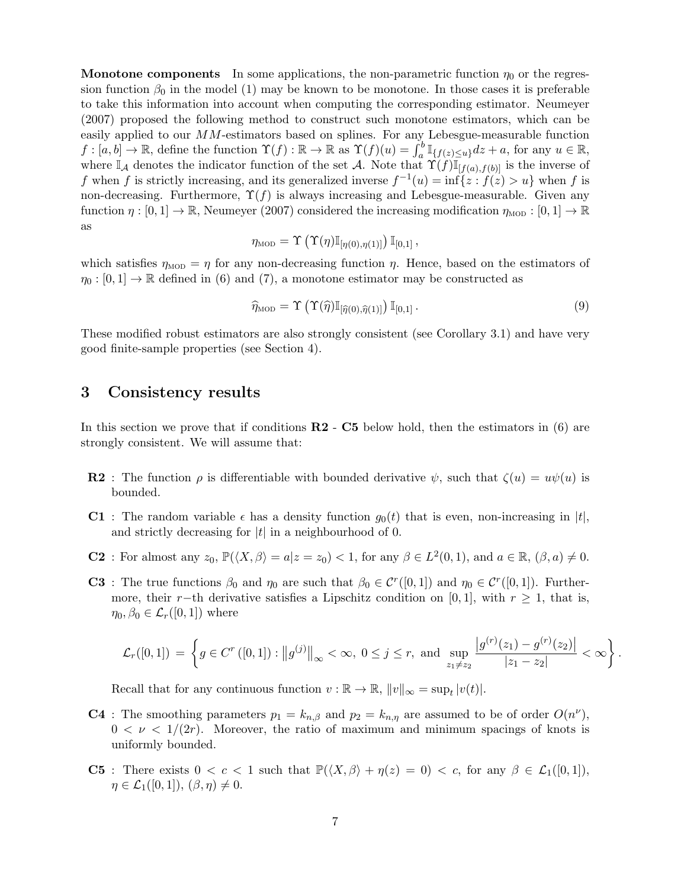**Monotone components** In some applications, the non-parametric function  $\eta_0$  or the regression function  $\beta_0$  in the model (1) may be known to be monotone. In those cases it is preferable to take this information into account when computing the corresponding estimator. Neumeyer (2007) proposed the following method to construct such monotone estimators, which can be easily applied to our  $MM$ -estimators based on splines. For any Lebesgue-measurable function  $f : [a, b] \to \mathbb{R}$ , define the function  $\Upsilon(f) : \mathbb{R} \to \mathbb{R}$  as  $\Upsilon(f)(u) = \int_a^b \mathbb{I}_{\{f(z) \le u\}} dz + a$ , for any  $u \in \mathbb{R}$ , where  $\mathbb{I}_\mathcal{A}$  denotes the indicator function of the set A. Note that  $\Upsilon(f)\mathbb{I}_{[f(a),f(b)]}$  is the inverse of f when f is strictly increasing, and its generalized inverse  $f^{-1}(u) = \inf \{z : f(z) > u\}$  when f is non-decreasing. Furthermore,  $\Upsilon(f)$  is always increasing and Lebesgue-measurable. Given any function  $\eta : [0,1] \to \mathbb{R}$ , Neumeyer (2007) considered the increasing modification  $\eta_{\text{MOD}} : [0,1] \to \mathbb{R}$ as

$$
\eta_{\text{MOD}} = \Upsilon\left(\Upsilon(\eta)\mathbb{I}_{[\eta(0),\eta(1)]}\right)\mathbb{I}_{[0,1]},
$$

which satisfies  $\eta_{\text{MOD}} = \eta$  for any non-decreasing function  $\eta$ . Hence, based on the estimators of  $\eta_0: [0,1] \to \mathbb{R}$  defined in (6) and (7), a monotone estimator may be constructed as

$$
\widehat{\eta}_{\text{MOD}} = \Upsilon \left( \Upsilon(\widehat{\eta}) \mathbb{I}_{\left[ \widehat{\eta}(0), \widehat{\eta}(1) \right]} \right) \mathbb{I}_{\left[0, 1\right]}.
$$
\n(9)

These modified robust estimators are also strongly consistent (see Corollary 3.1) and have very good finite-sample properties (see Section 4).

### 3 Consistency results

In this section we prove that if conditions  $\mathbb{R}2 - \mathbb{C}5$  below hold, then the estimators in (6) are strongly consistent. We will assume that:

- **R2** : The function  $\rho$  is differentiable with bounded derivative  $\psi$ , such that  $\zeta(u) = u\psi(u)$  is bounded.
- **C1**: The random variable  $\epsilon$  has a density function  $g_0(t)$  that is even, non-increasing in |t|, and strictly decreasing for  $|t|$  in a neighbourhood of 0.
- **C2**: For almost any  $z_0$ ,  $\mathbb{P}(\langle X, \beta \rangle = a | z = z_0) < 1$ , for any  $\beta \in L^2(0,1)$ , and  $a \in \mathbb{R}$ ,  $(\beta, a) \neq 0$ .
- **C3**: The true functions  $\beta_0$  and  $\eta_0$  are such that  $\beta_0 \in C^r([0,1])$  and  $\eta_0 \in C^r([0,1])$ . Furthermore, their r−th derivative satisfies a Lipschitz condition on [0, 1], with  $r \geq 1$ , that is,  $\eta_0, \beta_0 \in \mathcal{L}_r([0,1])$  where

$$
\mathcal{L}_r([0,1]) = \left\{ g \in C^r([0,1]) : ||g^{(j)}||_{\infty} < \infty, \ 0 \le j \le r, \text{ and } \sup_{z_1 \ne z_2} \frac{|g^{(r)}(z_1) - g^{(r)}(z_2)|}{|z_1 - z_2|} < \infty \right\}.
$$

Recall that for any continuous function  $v : \mathbb{R} \to \mathbb{R}$ ,  $||v||_{\infty} = \sup_t |v(t)|$ .

- **C4**: The smoothing parameters  $p_1 = k_{n,\beta}$  and  $p_2 = k_{n,\eta}$  are assumed to be of order  $O(n^{\nu})$ ,  $0 < \nu < 1/(2r)$ . Moreover, the ratio of maximum and minimum spacings of knots is uniformly bounded.
- C5 : There exists  $0 < c < 1$  such that  $\mathbb{P}(\langle X, \beta \rangle + \eta(z) = 0) < c$ , for any  $\beta \in \mathcal{L}_1([0, 1]),$  $\eta \in \mathcal{L}_1([0,1]), (\beta, \eta) \neq 0.$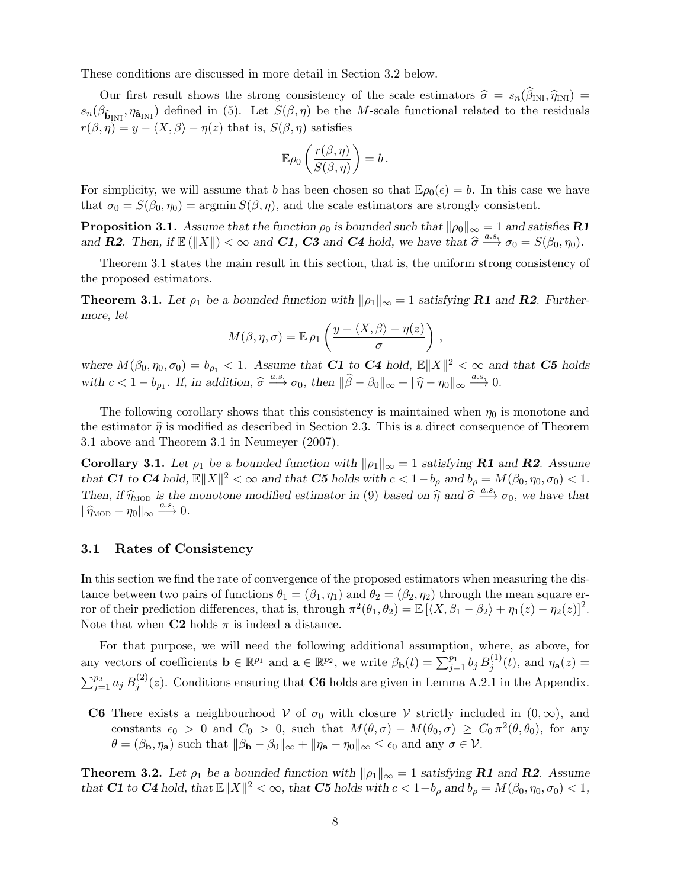These conditions are discussed in more detail in Section 3.2 below.

Our first result shows the strong consistency of the scale estimators  $\hat{\sigma} = s_n(\beta_{\text{INI}}, \hat{\eta}_{\text{INI}}) =$  $s_n(\beta_{\widehat{\mathbf{b}}_{\text{INI}}},\eta_{\widehat{\mathbf{a}}_{\text{INI}}})$  defined in (5). Let  $S(\beta,\eta)$  be the M-scale functional related to the residuals  $r(\beta, \eta) = y - \langle X, \beta \rangle - \eta(z)$  that is,  $S(\beta, \eta)$  satisfies

$$
\mathbb{E}\rho_0\left(\frac{r(\beta,\eta)}{S(\beta,\eta)}\right)=b.
$$

For simplicity, we will assume that b has been chosen so that  $\mathbb{E}\rho_0(\epsilon) = b$ . In this case we have that  $\sigma_0 = S(\beta_0, \eta_0) = \argmin S(\beta, \eta)$ , and the scale estimators are strongly consistent.

**Proposition 3.1.** Assume that the function  $\rho_0$  is bounded such that  $\|\rho_0\|_{\infty} = 1$  and satisfies **R1** and **R2**. Then, if  $\mathbb{E}(\Vert X \Vert) < \infty$  and **C1**, **C3** and **C4** hold, we have that  $\widehat{\sigma} \xrightarrow{a.s.} \sigma_0 = S(\beta_0, \eta_0)$ .

Theorem 3.1 states the main result in this section, that is, the uniform strong consistency of the proposed estimators.

**Theorem 3.1.** Let  $\rho_1$  be a bounded function with  $\|\rho_1\|_{\infty} = 1$  satisfying **R1** and **R2**. Furthermore, let

$$
M(\beta, \eta, \sigma) = \mathbb{E} \,\rho_1 \left( \frac{y - \langle X, \beta \rangle - \eta(z)}{\sigma} \right) \,,
$$

where  $M(\beta_0, \eta_0, \sigma_0) = b_{\rho_1} < 1$ . Assume that C1 to C4 hold,  $\mathbb{E} ||X||^2 < \infty$  and that C5 holds with  $c < 1 - b_{\rho_1}$ . If, in addition,  $\hat{\sigma} \xrightarrow{a.s.} \sigma_0$ , then  $\|\hat{\beta} - \beta_0\|_{\infty} + \|\hat{\eta} - \eta_0\|_{\infty} \xrightarrow{a.s.} 0$ .

The following corollary shows that this consistency is maintained when  $\eta_0$  is monotone and the estimator  $\hat{\eta}$  is modified as described in Section 2.3. This is a direct consequence of Theorem 3.1 above and Theorem 3.1 in Neumeyer (2007).

**Corollary 3.1.** Let  $\rho_1$  be a bounded function with  $\|\rho_1\|_{\infty} = 1$  satisfying **R1** and **R2**. Assume that C1 to C4 hold,  $\mathbb{E} \|X\|^2 < \infty$  and that C5 holds with  $c < 1-b_\rho$  and  $b_\rho = M(\beta_0, \eta_0, \sigma_0) < 1$ . Then, if  $\hat{\eta}_{\text{MOD}}$  is the monotone modified estimator in (9) based on  $\hat{\eta}$  and  $\hat{\sigma} \stackrel{a.s.}{\longrightarrow} \sigma_0$ , we have that  $\|\widehat{\eta}_{\text{MOD}} - \eta_0\|_{\infty} \xrightarrow{a.s.} 0.$ 

### 3.1 Rates of Consistency

In this section we find the rate of convergence of the proposed estimators when measuring the distance between two pairs of functions  $\theta_1 = (\beta_1, \eta_1)$  and  $\theta_2 = (\beta_2, \eta_2)$  through the mean square error of their prediction differences, that is, through  $\pi^2(\theta_1, \theta_2) = \mathbb{E} [ \langle X, \beta_1 - \beta_2 \rangle + \eta_1(z) - \eta_2(z) ]^2$ . Note that when  $C2$  holds  $\pi$  is indeed a distance.

For that purpose, we will need the following additional assumption, where, as above, for any vectors of coefficients  $\mathbf{b} \in \mathbb{R}^{p_1}$  and  $\mathbf{a} \in \mathbb{R}^{p_2}$ , we write  $\beta_{\mathbf{b}}(t) = \sum_{j=1}^{p_1} b_j B_j^{(1)}$  $j^{(1)}(t)$ , and  $\eta_{\mathbf{a}}(z) =$  $\sum_{j=1}^{p_2} a_j B_j^{(2)}$  $j^{(2)}(z)$ . Conditions ensuring that **C6** holds are given in Lemma A.2.1 in the Appendix.

C6 There exists a neighbourhood V of  $\sigma_0$  with closure  $\overline{V}$  strictly included in  $(0, \infty)$ , and constants  $\epsilon_0 > 0$  and  $C_0 > 0$ , such that  $M(\theta, \sigma) - M(\theta_0, \sigma) \ge C_0 \pi^2(\theta, \theta_0)$ , for any  $\theta = (\beta_{\mathbf{b}}, \eta_{\mathbf{a}})$  such that  $\|\beta_{\mathbf{b}} - \beta_0\|_{\infty} + \|\eta_{\mathbf{a}} - \eta_0\|_{\infty} \le \epsilon_0$  and any  $\sigma \in \mathcal{V}$ .

**Theorem 3.2.** Let  $\rho_1$  be a bounded function with  $\|\rho_1\|_{\infty} = 1$  satisfying **R1** and **R2**. Assume that **C1** to **C4** hold, that  $\mathbb{E} \|X\|^2 < \infty$ , that **C5** holds with  $c < 1-b_\rho$  and  $b_\rho = M(\beta_0, \eta_0, \sigma_0) < 1$ ,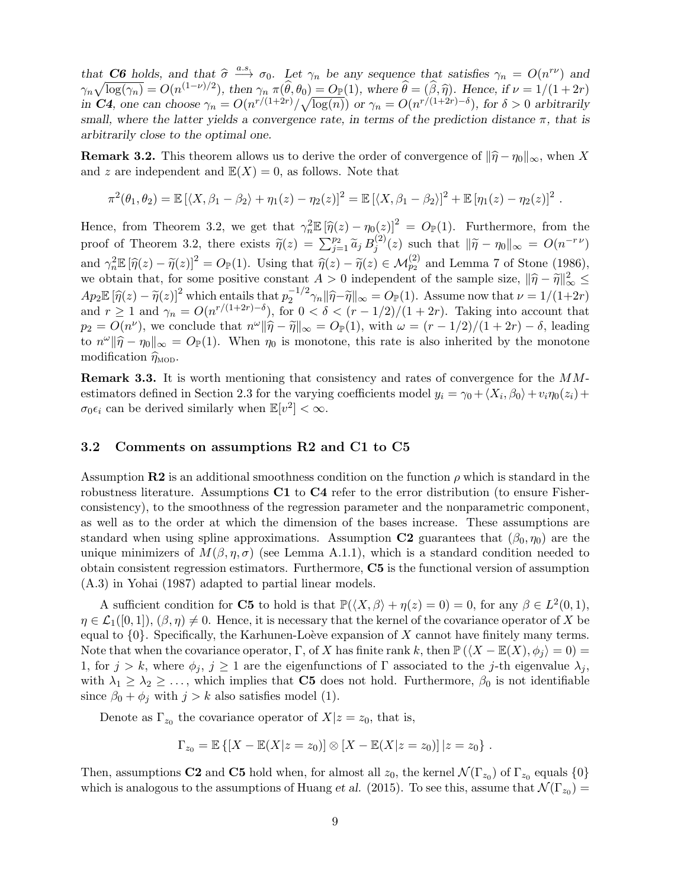that **C6** holds, and that  $\hat{\sigma} \stackrel{a.s.}{\longrightarrow} \sigma_0$ . Let  $\gamma_n$  be any sequence that satisfies  $\gamma_n = O(n^{r\nu})$  and<br> $\gamma_n = \frac{\log(\alpha_n)}{n} = O(n^{(1-\nu)/2})$ , then  $\alpha_n = \hat{\mu} \stackrel{\frown}{a} \stackrel{\frown}{a} \rightarrow -O(1)$ , where  $\hat{\mu} = (\hat{\beta}_n \hat{\sigma})$ . Hence, if  $\n$  $\gamma_n \sqrt{\log(\gamma_n)} = O(n^{(1-\nu)/2})$ , then  $\gamma_n \pi(\widehat{\theta}, \theta_0) = O_{\mathbb{P}}(1)$ , where  $\widehat{\theta} = (\widehat{\beta}, \widehat{\eta})$ . Hence, if  $\nu = 1/(1+2r)$ <br>in **C4**, one can choose  $\gamma_n = O(n^{r/(1+2r)}/\sqrt{\log(n)})$  or  $\gamma_n = O(n^{r/(1+2r)-\delta})$ , for  $\delta > 0$  arbitrarily small, where the latter yields a convergence rate, in terms of the prediction distance  $\pi$ , that is arbitrarily close to the optimal one.

**Remark 3.2.** This theorem allows us to derive the order of convergence of  $\|\hat{\eta} - \eta_0\|_{\infty}$ , when X and z are independent and  $\mathbb{E}(X) = 0$ , as follows. Note that

$$
\pi^{2}(\theta_{1}, \theta_{2}) = \mathbb{E}[(X, \beta_{1} - \beta_{2}) + \eta_{1}(z) - \eta_{2}(z)]^{2} = \mathbb{E}[(X, \beta_{1} - \beta_{2})]^{2} + \mathbb{E}[\eta_{1}(z) - \eta_{2}(z)]^{2}
$$

.

Hence, from Theorem 3.2, we get that  $\gamma_n^2 \mathbb{E} [\hat{\eta}(z) - \eta_0(z)]^2 = O_{\mathbb{P}}(1)$ . Furthermore, from the proof of Theorem 3.2, there exists  $\widetilde{\eta}(z) = \sum_{j=1}^{p_2} \widetilde{a}_j B_j^{(2)}$  $j^{(2)}(z)$  such that  $\|\tilde{\eta} - \eta_0\|_{\infty} = O(n^{-r \nu})$ and  $\gamma_n^2 \mathbb{E} [\hat{\eta}(z) - \tilde{\eta}(z)]^2 = O_{\mathbb{P}}(1)$ . Using that  $\hat{\eta}(z) - \tilde{\eta}(z) \in \mathcal{M}_{p_2}^{(2)}$  and Lemma 7 of Stone (1986), we obtain that, for some positive constant  $A > 0$  independent of the sample size,  $\|\hat{\eta} - \tilde{\eta}\|_{\infty}^2 \leq$  $Ap_2\mathbb{E}[\hat{\eta}(z) - \tilde{\eta}(z)]^2$  which entails that  $p_2^{-1/2}$ <br>and  $x > 1$  and  $\alpha = O(p^2/(1+2r)-\delta)$  for 0  $Ap_2\mathbb{E}[\hat{\eta}(z) - \tilde{\eta}(z)]^2$  which entails that  $p_2^{-1/2}\gamma_n \|\hat{\eta} - \tilde{\eta}\|_{\infty} = O_{\mathbb{P}}(1)$ . Assume now that  $\nu = 1/(1+2r)$  and  $r \ge 1$  and  $\gamma_n = O(n^{r/(1+2r)-\delta})$ , for  $0 < \delta < (r-1/2)/(1+2r)$ . Taking into account that  $p_2 = O(n^{\nu})$ , we conclude that  $n^{\omega} \|\widehat{\eta} - \widetilde{\eta}\|_{\infty} = O_{\mathbb{P}}(1)$ , with  $\omega = (r - 1/2)/(1 + 2r) - \delta$ , leading to  $n^{\omega} \|\hat{\eta} - \eta_0\|_{\infty} = O_{\mathbb{P}}(1)$ . When  $\eta_0$  is monotone, this rate is also inherited by the monotone modification  $\hat{\mathcal{F}}$ modification  $\widehat{\eta}_{\text{MOD}}$ .

Remark 3.3. It is worth mentioning that consistency and rates of convergence for the MMestimators defined in Section 2.3 for the varying coefficients model  $y_i = \gamma_0 + \langle X_i, \beta_0 \rangle + v_i \eta_0(z_i) +$  $\sigma_0 \epsilon_i$  can be derived similarly when  $\mathbb{E}[v^2] < \infty$ .

### 3.2 Comments on assumptions R2 and C1 to C5

Assumption R2 is an additional smoothness condition on the function  $\rho$  which is standard in the robustness literature. Assumptions C1 to C4 refer to the error distribution (to ensure Fisherconsistency), to the smoothness of the regression parameter and the nonparametric component, as well as to the order at which the dimension of the bases increase. These assumptions are standard when using spline approximations. Assumption C2 guarantees that  $(\beta_0, \eta_0)$  are the unique minimizers of  $M(\beta, \eta, \sigma)$  (see Lemma A.1.1), which is a standard condition needed to obtain consistent regression estimators. Furthermore, C5 is the functional version of assumption (A.3) in Yohai (1987) adapted to partial linear models.

A sufficient condition for **C5** to hold is that  $\mathbb{P}(\langle X, \beta \rangle + \eta(z) = 0) = 0$ , for any  $\beta \in L^2(0,1)$ ,  $\eta \in \mathcal{L}_1([0,1]), (\beta, \eta) \neq 0$ . Hence, it is necessary that the kernel of the covariance operator of X be equal to  $\{0\}$ . Specifically, the Karhunen-Loève expansion of X cannot have finitely many terms. Note that when the covariance operator, Γ, of X has finite rank k, then  $\mathbb{P}(\langle X - \mathbb{E}(X), \phi_i \rangle = 0) =$ 1, for  $j > k$ , where  $\phi_j$ ,  $j \geq 1$  are the eigenfunctions of  $\Gamma$  associated to the j-th eigenvalue  $\lambda_j$ , with  $\lambda_1 \geq \lambda_2 \geq \ldots$ , which implies that **C5** does not hold. Furthermore,  $\beta_0$  is not identifiable since  $\beta_0 + \phi_j$  with  $j > k$  also satisfies model (1).

Denote as  $\Gamma_{z_0}$  the covariance operator of  $X|z=z_0$ , that is,

$$
\Gamma_{z_0} = \mathbb{E} \left\{ [X - \mathbb{E}(X|z = z_0)] \otimes [X - \mathbb{E}(X|z = z_0)] | z = z_0 \right\}.
$$

Then, assumptions **C2** and **C5** hold when, for almost all  $z_0$ , the kernel  $\mathcal{N}(\Gamma_{z_0})$  of  $\Gamma_{z_0}$  equals  $\{0\}$ which is analogous to the assumptions of Huang *et al.* (2015). To see this, assume that  $\mathcal{N}(\Gamma_{z_0}) =$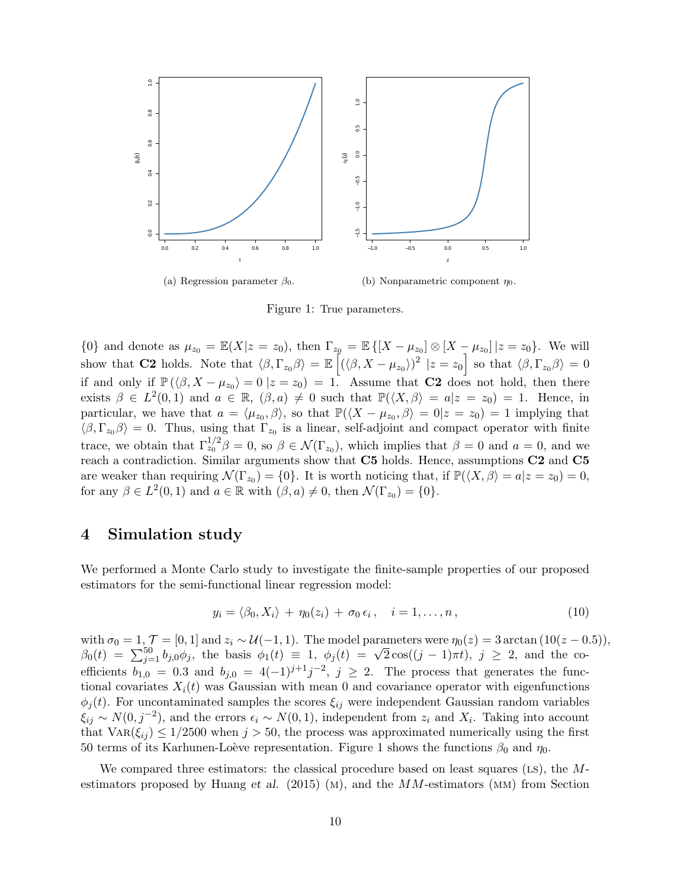

Figure 1: True parameters.

{0} and denote as  $\mu_{z_0} = \mathbb{E}(X|z = z_0)$ , then  $\Gamma_{z_0} = \mathbb{E} \{ [X - \mu_{z_0}] \otimes [X - \mu_{z_0}] | z = z_0 \}$ . We will show that **C2** holds. Note that  $\langle \beta, \Gamma_{z_0} \beta \rangle = \mathbb{E} \left[ (\langle \beta, X - \mu_{z_0} \rangle)^2 \mid z = z_0 \right]$  so that  $\langle \beta, \Gamma_{z_0} \beta \rangle = 0$ if and only if  $\mathbb{P}(\langle \beta, X - \mu_{z_0} \rangle = 0 \mid z = z_0) = 1$ . Assume that **C2** does not hold, then there exists  $\beta \in L^2(0,1)$  and  $a \in \mathbb{R}$ ,  $(\beta, a) \neq 0$  such that  $\mathbb{P}(\langle X, \beta \rangle = a | z = z_0) = 1$ . Hence, in particular, we have that  $a = \langle \mu_{z_0}, \beta \rangle$ , so that  $\mathbb{P}(\langle X - \mu_{z_0}, \beta \rangle = 0 | z = z_0) = 1$  implying that  $\langle \beta, \Gamma_{z_0} \beta \rangle = 0$ . Thus, using that  $\Gamma_{z_0}$  is a linear, self-adjoint and compact operator with finite trace, we obtain that  $\Gamma_{z_0}^{1/2}\beta=0$ , so  $\beta\in\mathcal{N}(\Gamma_{z_0})$ , which implies that  $\beta=0$  and  $a=0$ , and we reach a contradiction. Similar arguments show that C5 holds. Hence, assumptions C2 and C5 are weaker than requiring  $\mathcal{N}(\Gamma_{z_0}) = \{0\}$ . It is worth noticing that, if  $\mathbb{P}(\langle X, \beta \rangle = a | z = z_0) = 0$ , for any  $\beta \in L^2(0,1)$  and  $a \in \mathbb{R}$  with  $(\beta, a) \neq 0$ , then  $\mathcal{N}(\Gamma_{z_0}) = \{0\}.$ 

### 4 Simulation study

We performed a Monte Carlo study to investigate the finite-sample properties of our proposed estimators for the semi-functional linear regression model:

$$
y_i = \langle \beta_0, X_i \rangle + \eta_0(z_i) + \sigma_0 \epsilon_i, \quad i = 1, \dots, n, \tag{10}
$$

with  $\sigma_0 = 1$ ,  $\mathcal{T} = [0, 1]$  and  $z_i \sim \mathcal{U}(-1, 1)$ . The model parameters were  $\eta_0(z) = 3 \arctan(10(z - 0.5))$ , with  $\sigma_0 = 1$ ,  $I = [0, 1]$  and  $z_i \sim u(-1, 1)$ . The model parameters were  $\eta_0(z) = 3$  arctan  $(10(z - 0))$ <br>  $\beta_0(t) = \sum_{j=1}^{50} b_{j,0} \phi_j$ , the basis  $\phi_1(t) \equiv 1$ ,  $\phi_j(t) = \sqrt{2} \cos((j - 1)\pi t)$ ,  $j \ge 2$ , and the coefficients  $b_{1,0} = 0.3$  and  $b_{j,0} = 4(-1)^{j+1}j^{-2}$ ,  $j \ge 2$ . The process that generates the functional covariates  $X_i(t)$  was Gaussian with mean 0 and covariance operator with eigenfunctions  $\phi_i(t)$ . For uncontaminated samples the scores  $\xi_{ij}$  were independent Gaussian random variables  $\xi_{ij} \sim N(0, j^{-2})$ , and the errors  $\epsilon_i \sim N(0, 1)$ , independent from  $z_i$  and  $X_i$ . Taking into account that  $\text{Var}(\xi_{ij}) \leq 1/2500$  when  $j > 50$ , the process was approximated numerically using the first 50 terms of its Karhunen-Loève representation. Figure 1 shows the functions  $\beta_0$  and  $\eta_0$ .

We compared three estimators: the classical procedure based on least squares ( $LS$ ), the Mestimators proposed by Huang et al.  $(2015)$  (M), and the MM-estimators (MM) from Section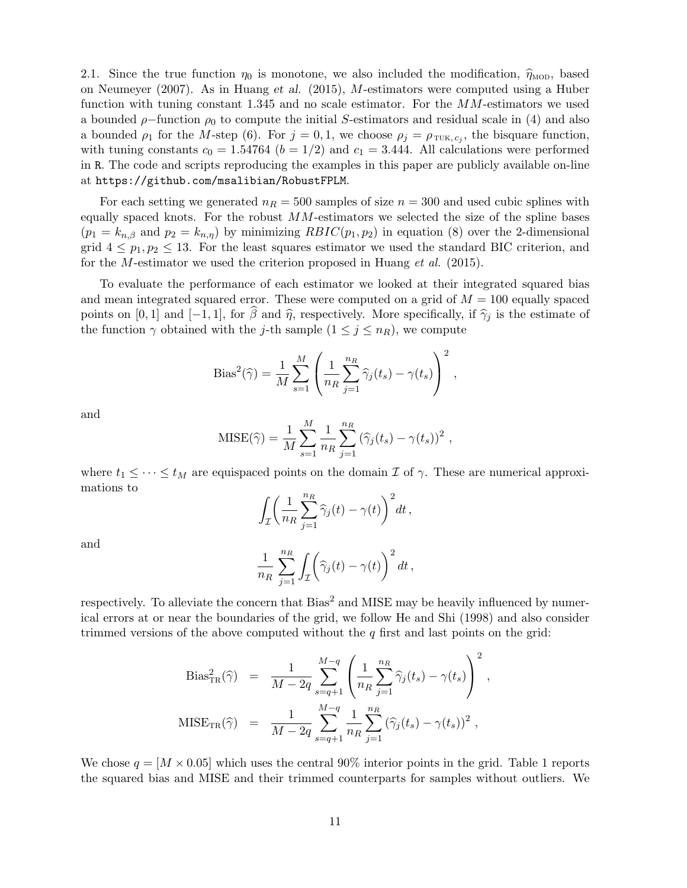2.1. Since the true function  $\eta_0$  is monotone, we also included the modification,  $\hat{\eta}_{\text{MOD}}$ , based on Neumeyer (2007). As in Huang et al. (2015), M-estimators were computed using a Huber function with tuning constant 1.345 and no scale estimator. For the MM-estimators we used a bounded  $\rho$ -function  $\rho_0$  to compute the initial S-estimators and residual scale in (4) and also a bounded  $\rho_1$  for the M-step (6). For  $j = 0, 1$ , we choose  $\rho_j = \rho_{\text{TUK}, c_j}$ , the bisquare function, with tuning constants  $c_0 = 1.54764$  ( $b = 1/2$ ) and  $c_1 = 3.444$ . All calculations were performed in R. The code and scripts reproducing the examples in this paper are publicly available on-line at https://github.com/msalibian/RobustFPLM.

For each setting we generated  $n_R = 500$  samples of size  $n = 300$  and used cubic splines with equally spaced knots. For the robust  $MM$ -estimators we selected the size of the spline bases  $(p_1 = k_{n,\beta}$  and  $p_2 = k_{n,\eta}$ ) by minimizing  $RBIC(p_1, p_2)$  in equation (8) over the 2-dimensional grid  $4 \leq p_1, p_2 \leq 13$ . For the least squares estimator we used the standard BIC criterion, and for the M-estimator we used the criterion proposed in Huang *et al.* (2015).

To evaluate the performance of each estimator we looked at their integrated squared bias and mean integrated squared error. These were computed on a grid of  $M = 100$  equally spaced points on [0, 1] and [−1, 1], for  $\hat{\beta}$  and  $\hat{\eta}$ , respectively. More specifically, if  $\hat{\gamma}_i$  is the estimate of the function  $\gamma$  obtained with the j-th sample  $(1 \leq j \leq n_R)$ , we compute

Bias<sup>2</sup>(
$$
\widehat{\gamma}
$$
) =  $\frac{1}{M} \sum_{s=1}^{M} \left( \frac{1}{n_R} \sum_{j=1}^{n_R} \widehat{\gamma}_j(t_s) - \gamma(t_s) \right)^2$ ,

and

MISE(
$$
\hat{\gamma}
$$
) =  $\frac{1}{M} \sum_{s=1}^{M} \frac{1}{n_R} \sum_{j=1}^{n_R} (\hat{\gamma}_j(t_s) - \gamma(t_s))^2$ ,

where  $t_1 \leq \cdots \leq t_M$  are equispaced points on the domain  $\mathcal I$  of  $\gamma$ . These are numerical approximations to

$$
\int_{\mathcal{I}} \biggl( \frac{1}{n_R} \sum_{j=1}^{n_R} \widehat{\gamma}_j(t) - \gamma(t) \biggr)^2 dt \,,
$$

and

$$
\frac{1}{n_R} \sum_{j=1}^{n_R} \int_{\mathcal{I}} \left( \widehat{\gamma}_j(t) - \gamma(t) \right)^2 dt \,,
$$

respectively. To alleviate the concern that  $Bias^2$  and MISE may be heavily influenced by numerical errors at or near the boundaries of the grid, we follow He and Shi (1998) and also consider trimmed versions of the above computed without the  $q$  first and last points on the grid:

$$
\text{Bias}_{\text{TR}}^2(\hat{\gamma}) = \frac{1}{M - 2q} \sum_{s=q+1}^{M-q} \left( \frac{1}{n_R} \sum_{j=1}^{n_R} \hat{\gamma}_j(t_s) - \gamma(t_s) \right)^2,
$$
  

$$
\text{MISE}_{\text{TR}}(\hat{\gamma}) = \frac{1}{M - 2q} \sum_{s=q+1}^{M-q} \frac{1}{n_R} \sum_{j=1}^{n_R} (\hat{\gamma}_j(t_s) - \gamma(t_s))^2,
$$

We chose  $q = [M \times 0.05]$  which uses the central 90% interior points in the grid. Table 1 reports the squared bias and MISE and their trimmed counterparts for samples without outliers. We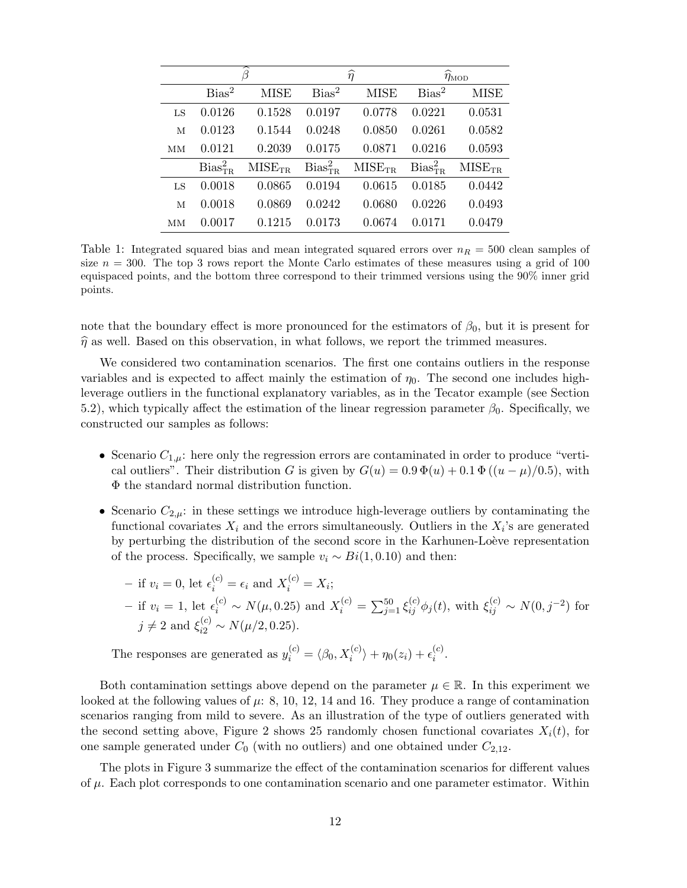|    | B             |                    | $\widehat{\eta}$ |                    | $\widehat{\eta}_{\text{MOD}}$ |             |
|----|---------------|--------------------|------------------|--------------------|-------------------------------|-------------|
|    | $Bias^2$      | <b>MISE</b>        | $Bias^2$         | <b>MISE</b>        | $Bias^2$                      | <b>MISE</b> |
| LS | 0.0126        | 0.1528             | 0.0197           | 0.0778             | 0.0221                        | 0.0531      |
| M  | 0.0123        | 0.1544             | 0.0248           | 0.0850             | 0.0261                        | 0.0582      |
| MМ | 0.0121        | 0.2039             | 0.0175           | 0.0871             | 0.0216                        | 0.0593      |
|    | $Bias_{TR}^2$ | MISE <sub>TR</sub> | $Bias_{TR}^2$    | MISE <sub>TR</sub> | $Bias_{TR}^2$                 | $MISE_{TR}$ |
| LS | 0.0018        | 0.0865             | 0.0194           | 0.0615             | 0.0185                        | 0.0442      |
| M  | 0.0018        | 0.0869             | 0.0242           | 0.0680             | 0.0226                        | 0.0493      |
| MМ | 0.0017        | 0.1215             | 0.0173           | 0.0674             | 0.0171                        | 0.0479      |

Table 1: Integrated squared bias and mean integrated squared errors over  $n_R = 500$  clean samples of size  $n = 300$ . The top 3 rows report the Monte Carlo estimates of these measures using a grid of 100 equispaced points, and the bottom three correspond to their trimmed versions using the 90% inner grid points.

note that the boundary effect is more pronounced for the estimators of  $\beta_0$ , but it is present for  $\hat{\eta}$  as well. Based on this observation, in what follows, we report the trimmed measures.

We considered two contamination scenarios. The first one contains outliers in the response variables and is expected to affect mainly the estimation of  $\eta_0$ . The second one includes highleverage outliers in the functional explanatory variables, as in the Tecator example (see Section 5.2), which typically affect the estimation of the linear regression parameter  $\beta_0$ . Specifically, we constructed our samples as follows:

- Scenario  $C_{1,\mu}$ : here only the regression errors are contaminated in order to produce "vertical outliers". Their distribution G is given by  $G(u) = 0.9 \Phi(u) + 0.1 \Phi((u - \mu)/0.5)$ , with Φ the standard normal distribution function.
- Scenario  $C_{2,\mu}$ : in these settings we introduce high-leverage outliers by contaminating the functional covariates  $X_i$  and the errors simultaneously. Outliers in the  $X_i$ 's are generated by perturbing the distribution of the second score in the Karhunen-Loève representation of the process. Specifically, we sample  $v_i \sim Bi(1, 0.10)$  and then:

- if 
$$
v_i = 0
$$
, let  $\epsilon_i^{(c)} = \epsilon_i$  and  $X_i^{(c)} = X_i$ ;  
\n- if  $v_i = 1$ , let  $\epsilon_i^{(c)} \sim N(\mu, 0.25)$  and  $X_i^{(c)} = \sum_{j=1}^{50} \xi_{ij}^{(c)} \phi_j(t)$ , with  $\xi_{ij}^{(c)} \sim N(0, j^{-2})$  for  $j \neq 2$  and  $\xi_{i2}^{(c)} \sim N(\mu/2, 0.25)$ .

The responses are generated as  $y_i^{(c)} = \langle \beta_0, X_i^{(c)} \rangle + \eta_0(z_i) + \epsilon_i^{(c)}$  $\binom{c}{i}$ .

Both contamination settings above depend on the parameter  $\mu \in \mathbb{R}$ . In this experiment we looked at the following values of  $\mu$ : 8, 10, 12, 14 and 16. They produce a range of contamination scenarios ranging from mild to severe. As an illustration of the type of outliers generated with the second setting above, Figure 2 shows 25 randomly chosen functional covariates  $X_i(t)$ , for one sample generated under  $C_0$  (with no outliers) and one obtained under  $C_{2,12}$ .

The plots in Figure 3 summarize the effect of the contamination scenarios for different values of  $\mu$ . Each plot corresponds to one contamination scenario and one parameter estimator. Within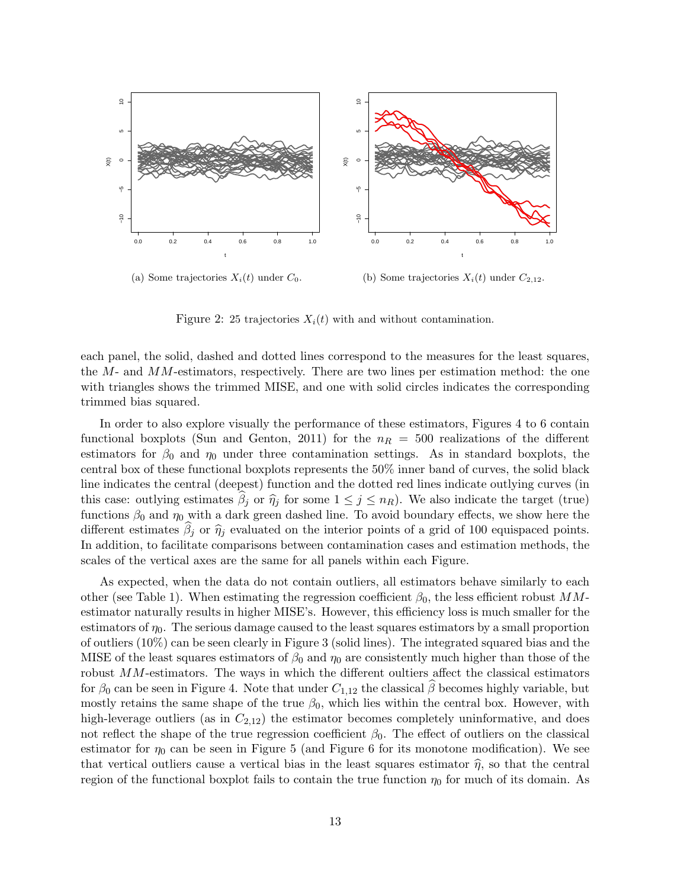

(b) Some trajectories  $X_i(t)$  under  $C_{2,12}$ .

Figure 2: 25 trajectories  $X_i(t)$  with and without contamination.

each panel, the solid, dashed and dotted lines correspond to the measures for the least squares, the  $M$ - and  $MM$ -estimators, respectively. There are two lines per estimation method: the one with triangles shows the trimmed MISE, and one with solid circles indicates the corresponding trimmed bias squared.

In order to also explore visually the performance of these estimators, Figures 4 to 6 contain functional boxplots (Sun and Genton, 2011) for the  $n_R = 500$  realizations of the different estimators for  $\beta_0$  and  $\eta_0$  under three contamination settings. As in standard boxplots, the central box of these functional boxplots represents the 50% inner band of curves, the solid black line indicates the central (deepest) function and the dotted red lines indicate outlying curves (in this case: outlying estimates  $\beta_j$  or  $\widehat{\eta}_j$  for some  $1 \leq j \leq n_R$ ). We also indicate the target (true) functions  $\beta_0$  and  $\eta_0$  with a dark green dashed line. To avoid boundary effects, we show here the different estimates  $\beta_j$  or  $\hat{\eta}_j$  evaluated on the interior points of a grid of 100 equispaced points. In addition, to facilitate comparisons between contamination cases and estimation methods, the scales of the vertical axes are the same for all panels within each Figure.

As expected, when the data do not contain outliers, all estimators behave similarly to each other (see Table 1). When estimating the regression coefficient  $\beta_0$ , the less efficient robust  $MM$ estimator naturally results in higher MISE's. However, this efficiency loss is much smaller for the estimators of  $\eta_0$ . The serious damage caused to the least squares estimators by a small proportion of outliers (10%) can be seen clearly in Figure 3 (solid lines). The integrated squared bias and the MISE of the least squares estimators of  $\beta_0$  and  $\eta_0$  are consistently much higher than those of the robust  $MM$ -estimators. The ways in which the different oultiers affect the classical estimators for  $\beta_0$  can be seen in Figure 4. Note that under  $C_{1,12}$  the classical  $\beta$  becomes highly variable, but mostly retains the same shape of the true  $\beta_0$ , which lies within the central box. However, with high-leverage outliers (as in  $C_{2,12}$ ) the estimator becomes completely uninformative, and does not reflect the shape of the true regression coefficient  $\beta_0$ . The effect of outliers on the classical estimator for  $\eta_0$  can be seen in Figure 5 (and Figure 6 for its monotone modification). We see that vertical outliers cause a vertical bias in the least squares estimator  $\hat{\eta}$ , so that the central region of the functional boxplot fails to contain the true function  $\eta_0$  for much of its domain. As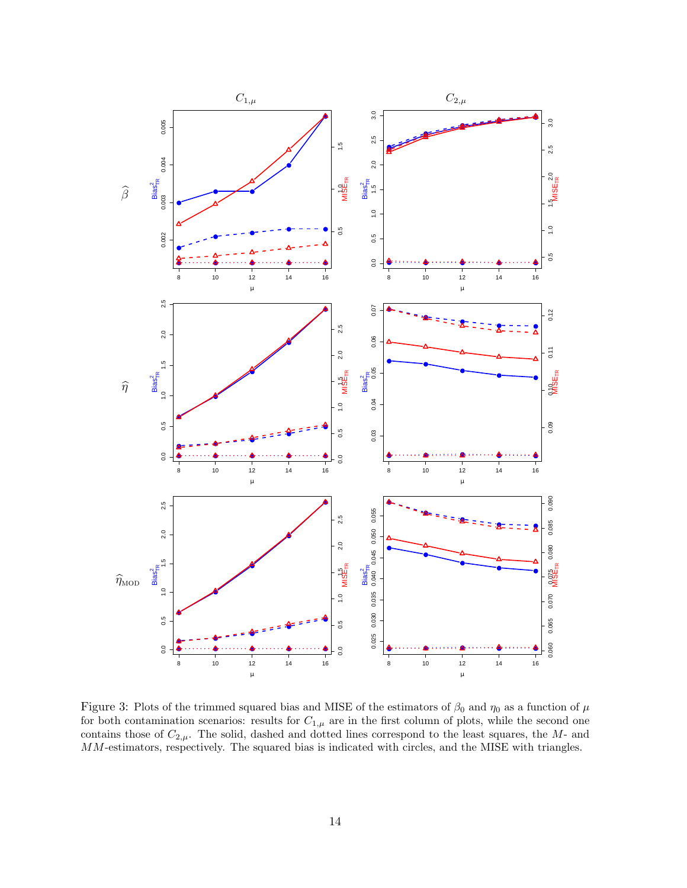

Figure 3: Plots of the trimmed squared bias and MISE of the estimators of  $\beta_0$  and  $\eta_0$  as a function of  $\mu$ for both contamination scenarios: results for  $C_{1,\mu}$  are in the first column of plots, while the second one contains those of  $C_{2,\mu}$ . The solid, dashed and dotted lines correspond to the least squares, the M- and MM-estimators, respectively. The squared bias is indicated with circles, and the MISE with triangles.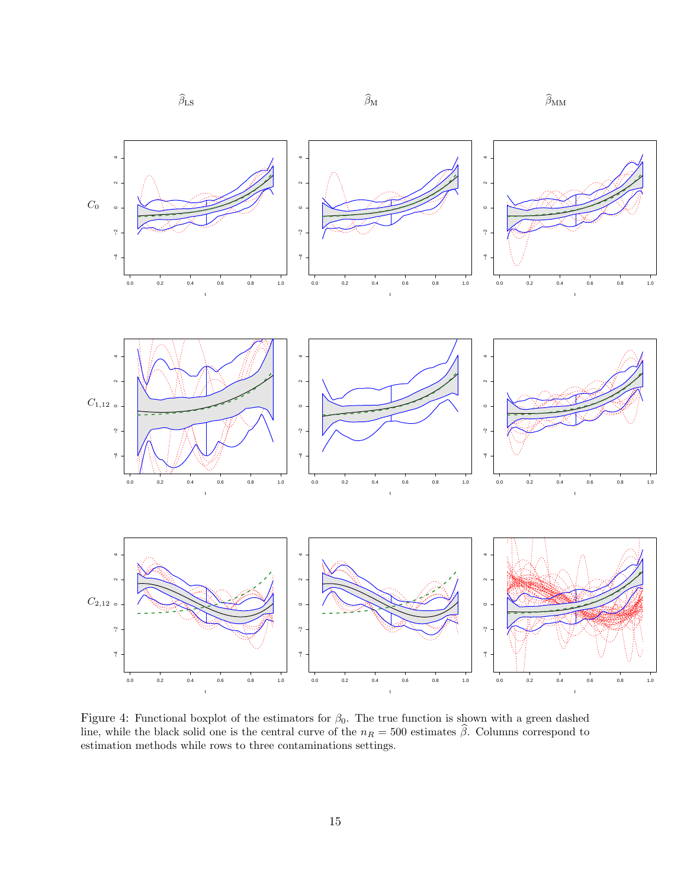

Figure 4: Functional boxplot of the estimators for  $\beta_0$ . The true function is shown with a green dashed line, while the black solid one is the central curve of the  $n_R = 500$  estimates β. Columns correspond to estimation methods while rows to three contaminations settings.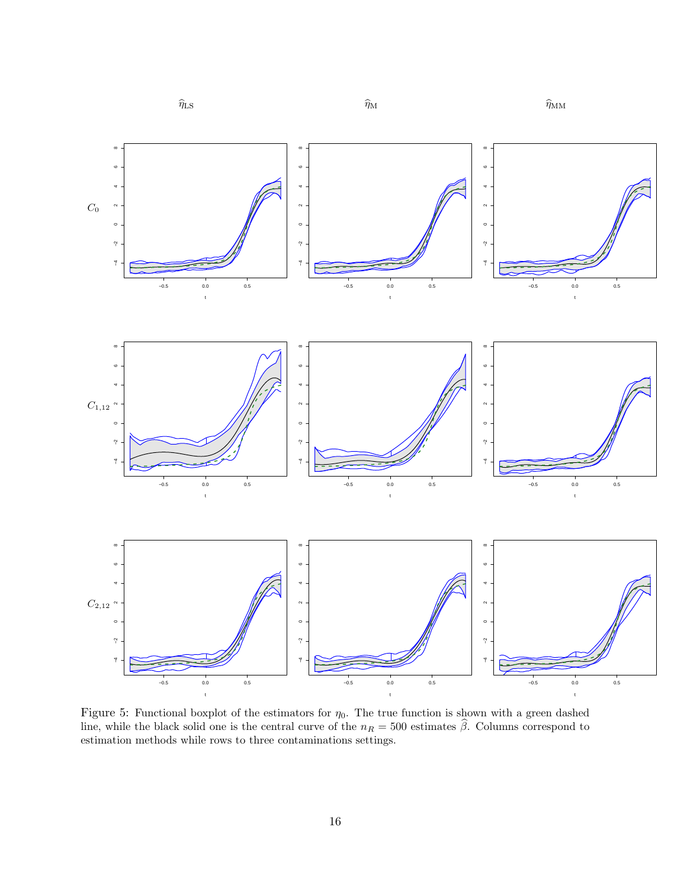

Figure 5: Functional boxplot of the estimators for  $\eta_0$ . The true function is shown with a green dashed line, while the black solid one is the central curve of the  $n_R = 500$  estimates β. Columns correspond to estimation methods while rows to three contaminations settings.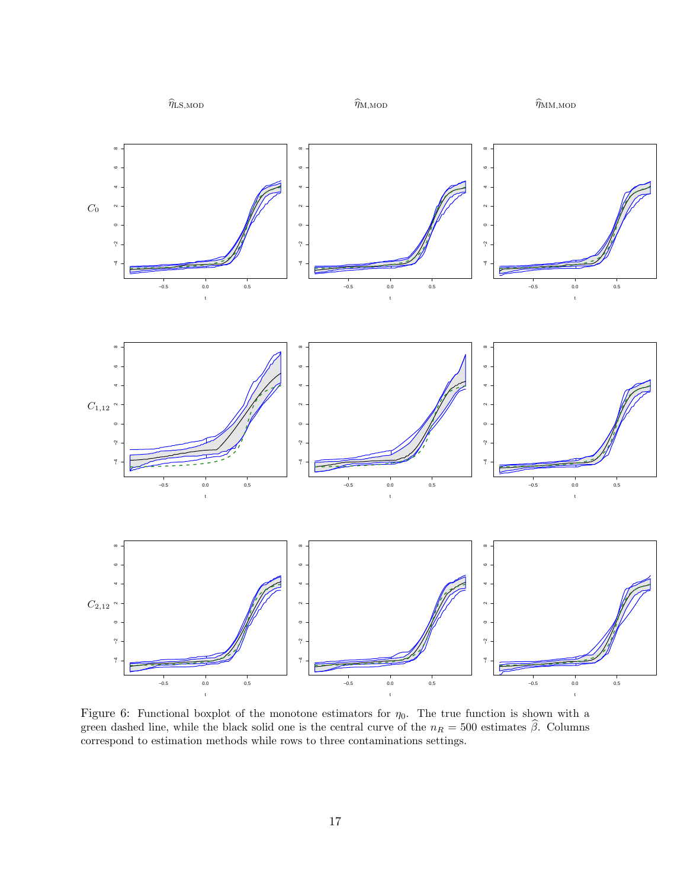

Figure 6: Functional boxplot of the monotone estimators for  $\eta_0$ . The true function is shown with a green dashed line, while the black solid one is the central curve of the  $n_R = 500$  estimates  $\hat{\beta}$ . Columns correspond to estimation methods while rows to three contaminations settings.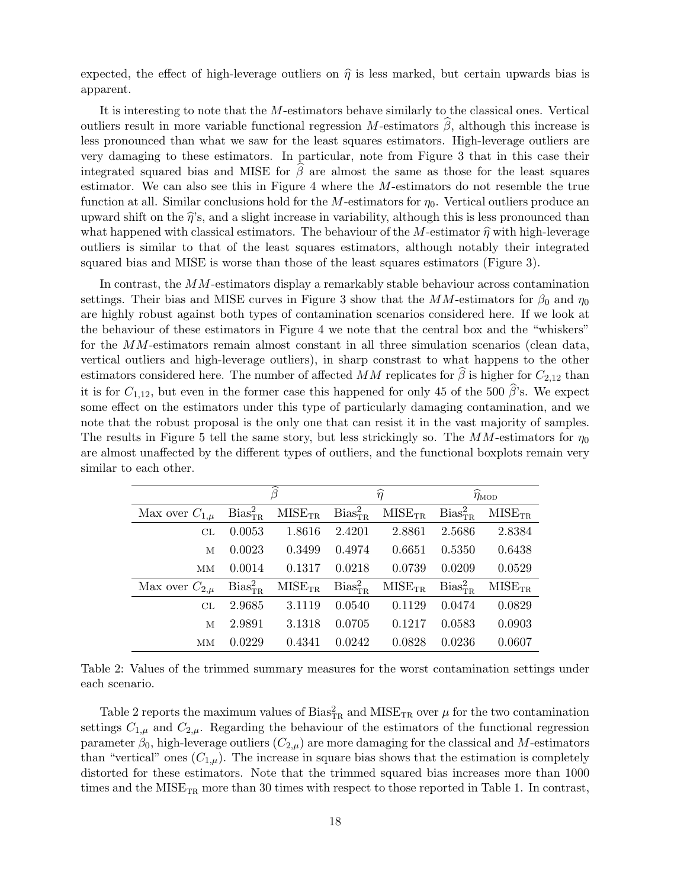expected, the effect of high-leverage outliers on  $\hat{\eta}$  is less marked, but certain upwards bias is apparent.

It is interesting to note that the M-estimators behave similarly to the classical ones. Vertical outliers result in more variable functional regression M-estimators  $\hat{\beta}$ , although this increase is less pronounced than what we saw for the least squares estimators. High-leverage outliers are very damaging to these estimators. In particular, note from Figure 3 that in this case their integrated squared bias and MISE for  $\beta$  are almost the same as those for the least squares estimator. We can also see this in Figure 4 where the  $M$ -estimators do not resemble the true function at all. Similar conclusions hold for the M-estimators for  $\eta_0$ . Vertical outliers produce an upward shift on the  $\hat{\eta}$ 's, and a slight increase in variability, although this is less pronounced than what happened with classical estimators. The behaviour of the M-estimator  $\hat{\eta}$  with high-leverage outliers is similar to that of the least squares estimators, although notably their integrated squared bias and MISE is worse than those of the least squares estimators (Figure 3).

In contrast, the MM-estimators display a remarkably stable behaviour across contamination settings. Their bias and MISE curves in Figure 3 show that the  $MM$ -estimators for  $\beta_0$  and  $\eta_0$ are highly robust against both types of contamination scenarios considered here. If we look at the behaviour of these estimators in Figure 4 we note that the central box and the "whiskers" for the MM-estimators remain almost constant in all three simulation scenarios (clean data, vertical outliers and high-leverage outliers), in sharp constrast to what happens to the other estimators considered here. The number of affected MM replicates for  $\beta$  is higher for  $C_{2,12}$  than it is for  $C_{1,12}$ , but even in the former case this happened for only 45 of the 500  $\hat{\beta}$ 's. We expect some effect on the estimators under this type of particularly damaging contamination, and we note that the robust proposal is the only one that can resist it in the vast majority of samples. The results in Figure 5 tell the same story, but less strickingly so. The  $MM$ -estimators for  $\eta_0$ are almost unaffected by the different types of outliers, and the functional boxplots remain very similar to each other.

|                      | $\overline{\widehat{\beta}}$    |             | $\widehat{\eta}$                |             | $\widehat{\eta}_{\text{MOD}}$   |             |
|----------------------|---------------------------------|-------------|---------------------------------|-------------|---------------------------------|-------------|
| Max over $C_{1,\mu}$ | Bias <sub>TR</sub> <sup>2</sup> | $MISE_{TR}$ | Bias <sub>TR</sub> <sup>2</sup> | $MISE_{TR}$ | Bias <sub>TR</sub> <sup>2</sup> | $MISE_{TR}$ |
| CL                   | 0.0053                          | 1.8616      | 2.4201                          | 2.8861      | 2.5686                          | 2.8384      |
| M                    | 0.0023                          | 0.3499      | 0.4974                          | 0.6651      | 0.5350                          | 0.6438      |
| <b>MM</b>            | 0.0014                          | 0.1317      | 0.0218                          | 0.0739      | 0.0209                          | 0.0529      |
| Max over $C_{2,\mu}$ | Bias <sub>TR</sub> <sup>2</sup> | $MISE_{TR}$ | Bias <sub>TR</sub> <sup>2</sup> | $MISE_{TR}$ | Bias <sub>TR</sub> <sup>2</sup> | $MISE_{TR}$ |
| CL                   | 2.9685                          | 3.1119      | 0.0540                          | 0.1129      | 0.0474                          | 0.0829      |
| M                    | 2.9891                          | 3.1318      | 0.0705                          | 0.1217      | 0.0583                          | 0.0903      |
| MМ                   | 0.0229                          | 0.4341      | 0.0242                          | 0.0828      | 0.0236                          | 0.0607      |

Table 2: Values of the trimmed summary measures for the worst contamination settings under each scenario.

Table 2 reports the maximum values of Bias ${}^{2}_{\text{TR}}$  and MISE<sub>TR</sub> over  $\mu$  for the two contamination settings  $C_{1,\mu}$  and  $C_{2,\mu}$ . Regarding the behaviour of the estimators of the functional regression parameter  $\beta_0$ , high-leverage outliers  $(C_{2,\mu})$  are more damaging for the classical and M-estimators than "vertical" ones  $(C_{1,\mu})$ . The increase in square bias shows that the estimation is completely distorted for these estimators. Note that the trimmed squared bias increases more than 1000 times and the  $MISE_{TR}$  more than 30 times with respect to those reported in Table 1. In contrast,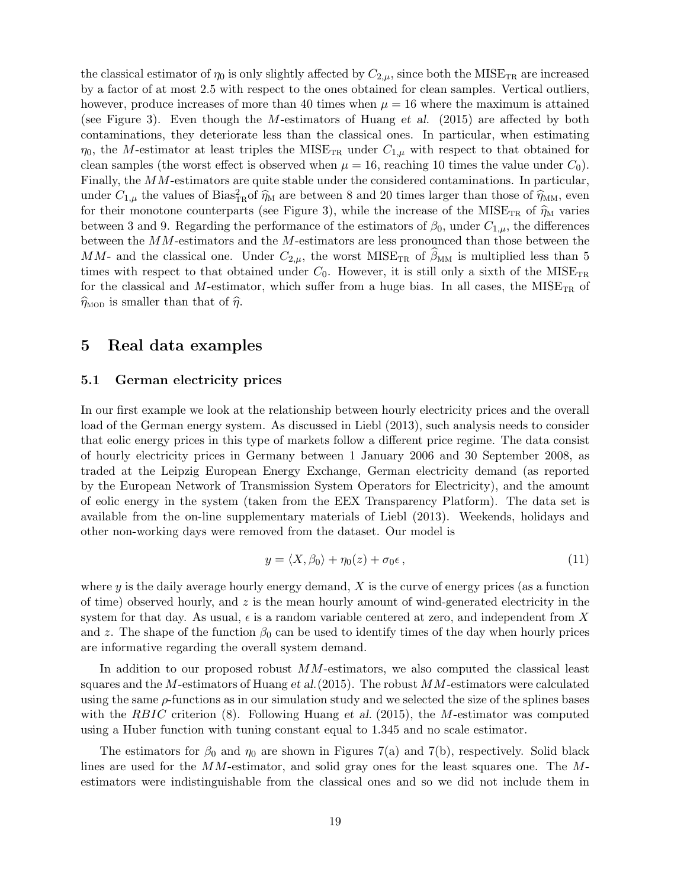the classical estimator of  $\eta_0$  is only slightly affected by  $C_{2,\mu}$ , since both the MISE<sub>TR</sub> are increased by a factor of at most 2.5 with respect to the ones obtained for clean samples. Vertical outliers, however, produce increases of more than 40 times when  $\mu = 16$  where the maximum is attained (see Figure 3). Even though the M-estimators of Huang et al. (2015) are affected by both contaminations, they deteriorate less than the classical ones. In particular, when estimating  $\eta_0$ , the M-estimator at least triples the MISE<sub>TR</sub> under  $C_{1,\mu}$  with respect to that obtained for clean samples (the worst effect is observed when  $\mu = 16$ , reaching 10 times the value under  $C_0$ ). Finally, the MM-estimators are quite stable under the considered contaminations. In particular, under  $C_{1,\mu}$  the values of Bias<sup>2</sup><sub>TR</sub> of  $\hat{\eta}_M$  are between 8 and 20 times larger than those of  $\hat{\eta}_{MM}$ , even<br>for their monotone counterparts (see Figure 3), while the increase of the MISE for their monotone counterparts (see Figure 3), while the increase of the MISE<sub>TR</sub> of  $\hat{\eta}_{\rm M}$  varies between 3 and 9. Regarding the performance of the estimators of  $\beta_0$ , under  $C_{1,\mu}$ , the differences between the MM-estimators and the M-estimators are less pronounced than those between the MM- and the classical one. Under  $C_{2,\mu}$ , the worst MISE<sub>TR</sub> of  $\beta_{\text{MM}}$  is multiplied less than 5 times with respect to that obtained under  $C_0$ . However, it is still only a sixth of the MISE<sub>TR</sub> for the classical and M-estimator, which suffer from a huge bias. In all cases, the  $MISE_{TR}$  of  $\widehat{\eta}_{\text{MOD}}$  is smaller than that of  $\widehat{\eta}$ .

## 5 Real data examples

### 5.1 German electricity prices

In our first example we look at the relationship between hourly electricity prices and the overall load of the German energy system. As discussed in Liebl (2013), such analysis needs to consider that eolic energy prices in this type of markets follow a different price regime. The data consist of hourly electricity prices in Germany between 1 January 2006 and 30 September 2008, as traded at the Leipzig European Energy Exchange, German electricity demand (as reported by the European Network of Transmission System Operators for Electricity), and the amount of eolic energy in the system (taken from the EEX Transparency Platform). The data set is available from the on-line supplementary materials of Liebl (2013). Weekends, holidays and other non-working days were removed from the dataset. Our model is

$$
y = \langle X, \beta_0 \rangle + \eta_0(z) + \sigma_0 \epsilon, \qquad (11)
$$

where  $y$  is the daily average hourly energy demand,  $X$  is the curve of energy prices (as a function of time) observed hourly, and  $z$  is the mean hourly amount of wind-generated electricity in the system for that day. As usual,  $\epsilon$  is a random variable centered at zero, and independent from X and z. The shape of the function  $\beta_0$  can be used to identify times of the day when hourly prices are informative regarding the overall system demand.

In addition to our proposed robust  $MM$ -estimators, we also computed the classical least squares and the M-estimators of Huang et al.  $(2015)$ . The robust  $MM$ -estimators were calculated using the same  $\rho$ -functions as in our simulation study and we selected the size of the splines bases with the RBIC criterion  $(8)$ . Following Huang et al. (2015), the M-estimator was computed using a Huber function with tuning constant equal to 1.345 and no scale estimator.

The estimators for  $\beta_0$  and  $\eta_0$  are shown in Figures 7(a) and 7(b), respectively. Solid black lines are used for the MM-estimator, and solid gray ones for the least squares one. The Mestimators were indistinguishable from the classical ones and so we did not include them in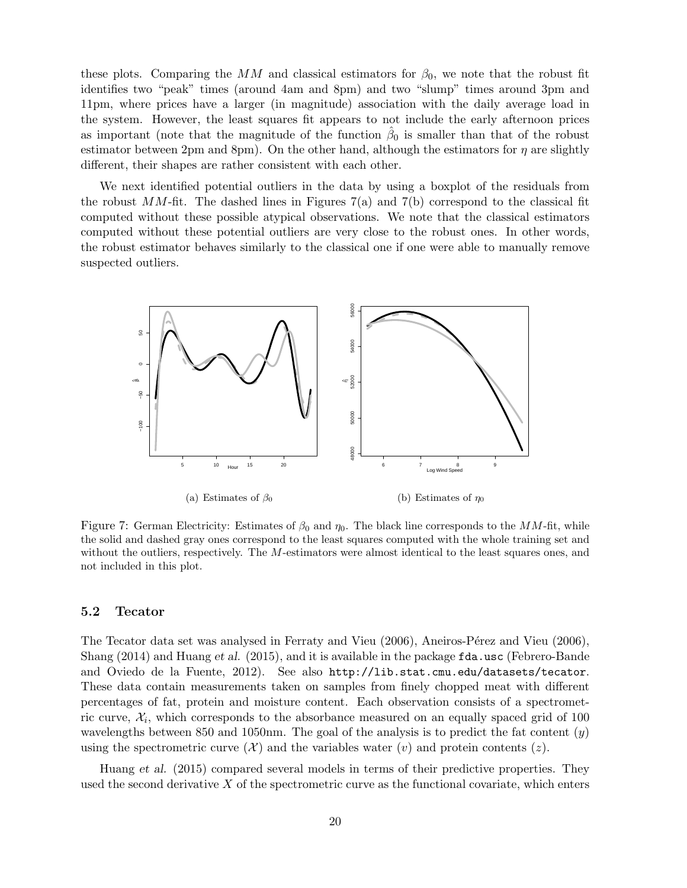these plots. Comparing the MM and classical estimators for  $\beta_0$ , we note that the robust fit identifies two "peak" times (around 4am and 8pm) and two "slump" times around 3pm and 11pm, where prices have a larger (in magnitude) association with the daily average load in the system. However, the least squares fit appears to not include the early afternoon prices as important (note that the magnitude of the function  $\hat{\beta}_0$  is smaller than that of the robust estimator between 2pm and 8pm). On the other hand, although the estimators for  $\eta$  are slightly different, their shapes are rather consistent with each other.

We next identified potential outliers in the data by using a boxplot of the residuals from the robust  $MM$ -fit. The dashed lines in Figures 7(a) and 7(b) correspond to the classical fit computed without these possible atypical observations. We note that the classical estimators computed without these potential outliers are very close to the robust ones. In other words, the robust estimator behaves similarly to the classical one if one were able to manually remove suspected outliers.



(a) Estimates of  $\beta_0$ 

(b) Estimates of  $\eta_0$ 

Figure 7: German Electricity: Estimates of  $\beta_0$  and  $\eta_0$ . The black line corresponds to the MM-fit, while the solid and dashed gray ones correspond to the least squares computed with the whole training set and without the outliers, respectively. The M-estimators were almost identical to the least squares ones, and not included in this plot.

### 5.2 Tecator

The Tecator data set was analysed in Ferraty and Vieu (2006), Aneiros-Pérez and Vieu (2006), Shang (2014) and Huang et al. (2015), and it is available in the package fda.usc (Febrero-Bande and Oviedo de la Fuente, 2012). See also http://lib.stat.cmu.edu/datasets/tecator. These data contain measurements taken on samples from finely chopped meat with different percentages of fat, protein and moisture content. Each observation consists of a spectrometric curve,  $\mathcal{X}_i$ , which corresponds to the absorbance measured on an equally spaced grid of 100 wavelengths between 850 and 1050nm. The goal of the analysis is to predict the fat content  $(y)$ using the spectrometric curve  $(\mathcal{X})$  and the variables water  $(v)$  and protein contents  $(z)$ .

Huang et al. (2015) compared several models in terms of their predictive properties. They used the second derivative  $X$  of the spectrometric curve as the functional covariate, which enters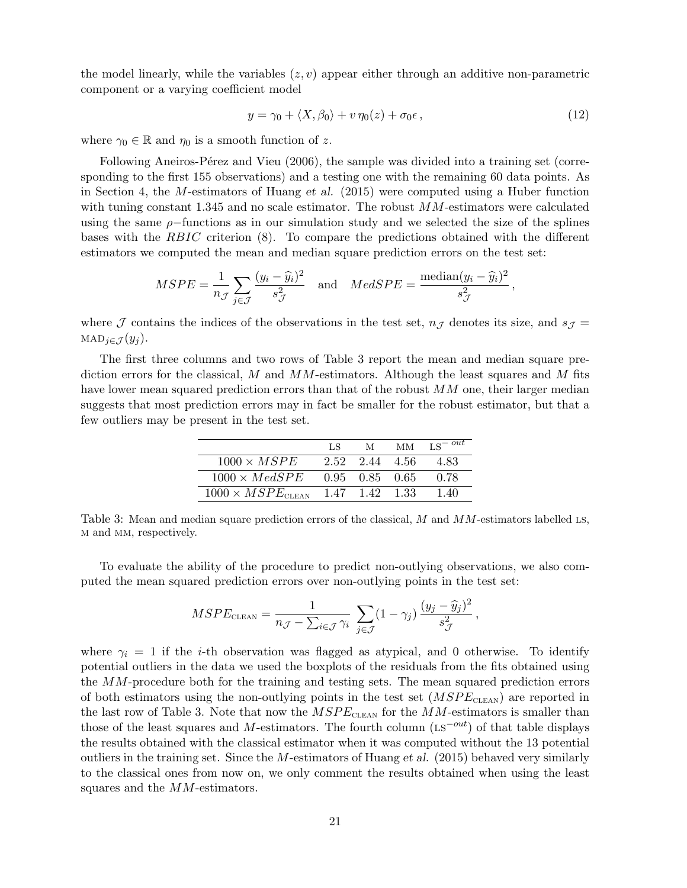the model linearly, while the variables  $(z, v)$  appear either through an additive non-parametric component or a varying coefficient model

$$
y = \gamma_0 + \langle X, \beta_0 \rangle + v \, \eta_0(z) + \sigma_0 \epsilon \,, \tag{12}
$$

where  $\gamma_0 \in \mathbb{R}$  and  $\eta_0$  is a smooth function of z.

Following Aneiros-Pérez and Vieu (2006), the sample was divided into a training set (corresponding to the first 155 observations) and a testing one with the remaining 60 data points. As in Section 4, the M-estimators of Huang et al. (2015) were computed using a Huber function with tuning constant 1.345 and no scale estimator. The robust  $MM$ -estimators were calculated using the same  $\rho$ -functions as in our simulation study and we selected the size of the splines bases with the RBIC criterion (8). To compare the predictions obtained with the different estimators we computed the mean and median square prediction errors on the test set:

$$
MSPE = \frac{1}{n_{\mathcal{J}}} \sum_{j \in \mathcal{J}} \frac{(y_i - \widehat{y}_i)^2}{s_{\mathcal{J}}^2} \quad \text{and} \quad MedSPE = \frac{\text{median}(y_i - \widehat{y}_i)^2}{s_{\mathcal{J}}^2},
$$

where J contains the indices of the observations in the test set,  $n<sub>J</sub>$  denotes its size, and  $s<sub>J</sub>$  = MAD<sub>j∈J</sub> $(y_i)$ .

The first three columns and two rows of Table 3 report the mean and median square prediction errors for the classical, M and  $MM$ -estimators. Although the least squares and M fits have lower mean squared prediction errors than that of the robust MM one, their larger median suggests that most prediction errors may in fact be smaller for the robust estimator, but that a few outliers may be present in the test set.

|                                   | LS             | M              | <b>MM</b> | $LS - out$ |
|-----------------------------------|----------------|----------------|-----------|------------|
| $1000 \times MSPE$                |                | 2.52 2.44 4.56 |           | 483        |
| $1000 \times MedSPE$              | 0.95 0.85 0.65 |                |           | 0.78       |
| $1000 \times MSPE_{\text{CLEAN}}$ |                | 1.47 1.42 1.33 |           | 1.40       |

Table 3: Mean and median square prediction errors of the classical, M and MM-estimators labelled Ls, m and mm, respectively.

To evaluate the ability of the procedure to predict non-outlying observations, we also computed the mean squared prediction errors over non-outlying points in the test set:

$$
MSPE_{\text{CLEAN}} = \frac{1}{n_{\mathcal{J}} - \sum_{i \in \mathcal{J}} \gamma_i} \sum_{j \in \mathcal{J}} (1 - \gamma_j) \frac{(y_j - \widehat{y}_j)^2}{s_{\mathcal{J}}^2},
$$

where  $\gamma_i = 1$  if the *i*-th observation was flagged as atypical, and 0 otherwise. To identify potential outliers in the data we used the boxplots of the residuals from the fits obtained using the MM-procedure both for the training and testing sets. The mean squared prediction errors of both estimators using the non-outlying points in the test set  $(MSPE<sub>CLEAN</sub>)$  are reported in the last row of Table 3. Note that now the  $MSPE_{\tt CEAN}$  for the  $MM\text{-estimators}$  is smaller than those of the least squares and M-estimators. The fourth column (Ls<sup> $-out$ </sup>) of that table displays the results obtained with the classical estimator when it was computed without the 13 potential outliers in the training set. Since the  $M$ -estimators of Huang et al. (2015) behaved very similarly to the classical ones from now on, we only comment the results obtained when using the least squares and the MM-estimators.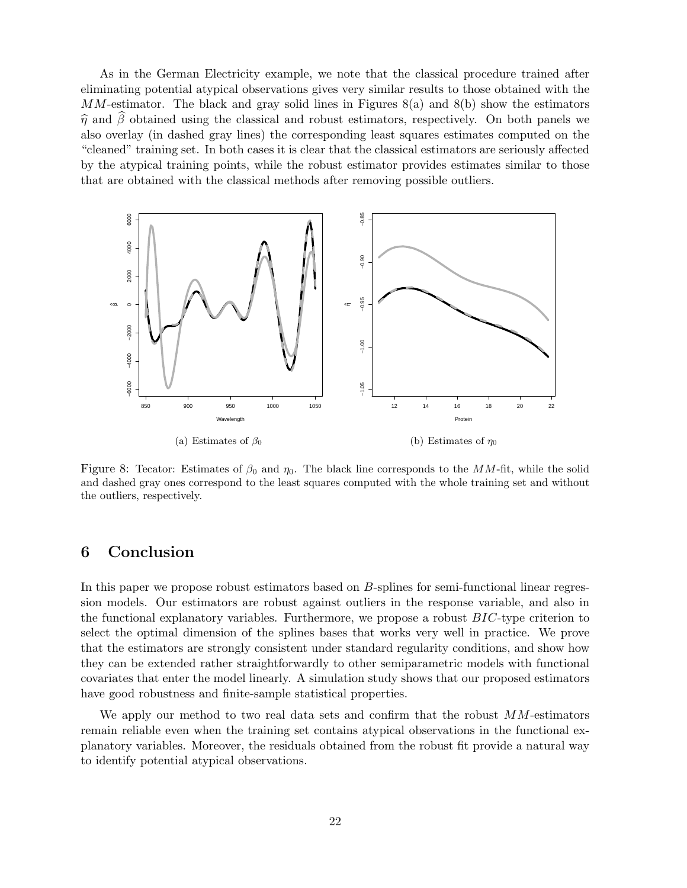As in the German Electricity example, we note that the classical procedure trained after eliminating potential atypical observations gives very similar results to those obtained with the  $MM$ -estimator. The black and gray solid lines in Figures 8(a) and 8(b) show the estimators  $\hat{\eta}$  and  $\beta$  obtained using the classical and robust estimators, respectively. On both panels we also overlay (in dashed gray lines) the corresponding least squares estimates computed on the "cleaned" training set. In both cases it is clear that the classical estimators are seriously affected by the atypical training points, while the robust estimator provides estimates similar to those that are obtained with the classical methods after removing possible outliers.



Figure 8: Tecator: Estimates of  $\beta_0$  and  $\eta_0$ . The black line corresponds to the MM-fit, while the solid and dashed gray ones correspond to the least squares computed with the whole training set and without the outliers, respectively.

# 6 Conclusion

In this paper we propose robust estimators based on B-splines for semi-functional linear regression models. Our estimators are robust against outliers in the response variable, and also in the functional explanatory variables. Furthermore, we propose a robust BIC-type criterion to select the optimal dimension of the splines bases that works very well in practice. We prove that the estimators are strongly consistent under standard regularity conditions, and show how they can be extended rather straightforwardly to other semiparametric models with functional covariates that enter the model linearly. A simulation study shows that our proposed estimators have good robustness and finite-sample statistical properties.

We apply our method to two real data sets and confirm that the robust  $MM$ -estimators remain reliable even when the training set contains atypical observations in the functional explanatory variables. Moreover, the residuals obtained from the robust fit provide a natural way to identify potential atypical observations.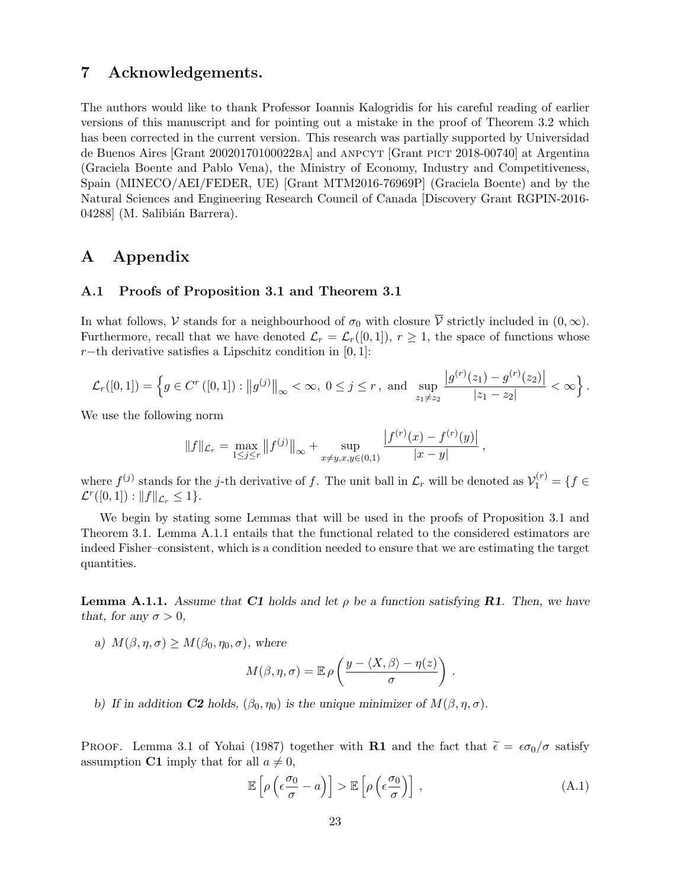# 7 Acknowledgements.

The authors would like to thank Professor Ioannis Kalogridis for his careful reading of earlier versions of this manuscript and for pointing out a mistake in the proof of Theorem 3.2 which has been corrected in the current version. This research was partially supported by Universidad de Buenos Aires [Grant 20020170100022ba] and anpcyt [Grant pict 2018-00740] at Argentina (Graciela Boente and Pablo Vena), the Ministry of Economy, Industry and Competitiveness, Spain (MINECO/AEI/FEDER, UE) [Grant MTM2016-76969P] (Graciela Boente) and by the Natural Sciences and Engineering Research Council of Canada [Discovery Grant RGPIN-2016- 04288 (M. Salibián Barrera).

# A Appendix

### A.1 Proofs of Proposition 3.1 and Theorem 3.1

In what follows, V stands for a neighbourhood of  $\sigma_0$  with closure  $\overline{V}$  strictly included in  $(0, \infty)$ . Furthermore, recall that we have denoted  $\mathcal{L}_r = \mathcal{L}_r([0,1]), r \geq 1$ , the space of functions whose r−th derivative satisfies a Lipschitz condition in  $[0, 1]$ :

$$
\mathcal{L}_r([0,1]) = \left\{ g \in C^r([0,1]) : ||g^{(j)}||_{\infty} < \infty, \ 0 \le j \le r, \ \text{and} \ \sup_{z_1 \ne z_2} \frac{|g^{(r)}(z_1) - g^{(r)}(z_2)|}{|z_1 - z_2|} < \infty \right\}.
$$

We use the following norm

$$
||f||_{\mathcal{L}_r} = \max_{1 \le j \le r} ||f^{(j)}||_{\infty} + \sup_{x \ne y, x, y \in (0,1)} \frac{|f^{(r)}(x) - f^{(r)}(y)|}{|x - y|}
$$

where  $f^{(j)}$  stands for the j-th derivative of f. The unit ball in  $\mathcal{L}_r$  will be denoted as  $\mathcal{V}_1^{(r)} = \{f \in$  $\mathcal{L}^r([0,1]) : ||f||_{\mathcal{L}_r} \leq 1$ .

We begin by stating some Lemmas that will be used in the proofs of Proposition 3.1 and Theorem 3.1. Lemma A.1.1 entails that the functional related to the considered estimators are indeed Fisher–consistent, which is a condition needed to ensure that we are estimating the target quantities.

**Lemma A.1.1.** Assume that C1 holds and let  $\rho$  be a function satisfying **R1**. Then, we have that, for any  $\sigma > 0$ ,

a)  $M(\beta, \eta, \sigma) > M(\beta_0, \eta_0, \sigma)$ , where

$$
M(\beta, \eta, \sigma) = \mathbb{E} \rho \left( \frac{y - \langle X, \beta \rangle - \eta(z)}{\sigma} \right) .
$$

b) If in addition  $C2$  holds,  $(\beta_0, \eta_0)$  is the unique minimizer of  $M(\beta, \eta, \sigma)$ .

PROOF. Lemma 3.1 of Yohai (1987) together with **R1** and the fact that  $\tilde{\epsilon} = \epsilon \sigma_0 / \sigma$  satisfy assumption C1 imply that for all  $a \neq 0$ ,

$$
\mathbb{E}\left[\rho\left(\epsilon \frac{\sigma_0}{\sigma} - a\right)\right] > \mathbb{E}\left[\rho\left(\epsilon \frac{\sigma_0}{\sigma}\right)\right] \,,\tag{A.1}
$$

,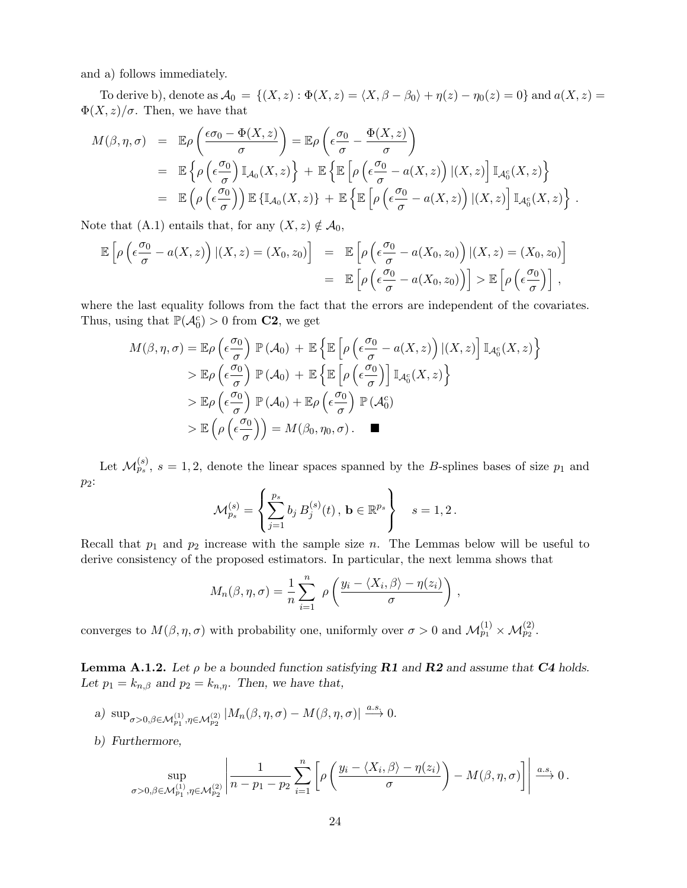and a) follows immediately.

To derive b), denote as  $\mathcal{A}_0 = \{(X, z) : \Phi(X, z) = \langle X, \beta - \beta_0 \rangle + \eta(z) - \eta_0(z) = 0\}$  and  $a(X, z) =$  $\Phi(X, z)/\sigma$ . Then, we have that

$$
M(\beta, \eta, \sigma) = \mathbb{E}\rho\left(\frac{\epsilon\sigma_0 - \Phi(X, z)}{\sigma}\right) = \mathbb{E}\rho\left(\epsilon\frac{\sigma_0}{\sigma} - \frac{\Phi(X, z)}{\sigma}\right)
$$
  
\n
$$
= \mathbb{E}\left\{\rho\left(\epsilon\frac{\sigma_0}{\sigma}\right)\mathbb{I}_{\mathcal{A}_0}(X, z)\right\} + \mathbb{E}\left\{\mathbb{E}\left[\rho\left(\epsilon\frac{\sigma_0}{\sigma} - a(X, z)\right)|(X, z)\right]\mathbb{I}_{\mathcal{A}_0^c}(X, z)\right\}
$$
  
\n
$$
= \mathbb{E}\left(\rho\left(\epsilon\frac{\sigma_0}{\sigma}\right)\right)\mathbb{E}\left\{\mathbb{I}_{\mathcal{A}_0}(X, z)\right\} + \mathbb{E}\left\{\mathbb{E}\left[\rho\left(\epsilon\frac{\sigma_0}{\sigma} - a(X, z)\right)|(X, z)\right]\mathbb{I}_{\mathcal{A}_0^c}(X, z)\right\}.
$$

Note that (A.1) entails that, for any  $(X, z) \notin A_0$ ,

$$
\mathbb{E}\left[\rho\left(\epsilon\frac{\sigma_0}{\sigma}-a(X,z)\right)|(X,z)=(X_0,z_0)\right] = \mathbb{E}\left[\rho\left(\epsilon\frac{\sigma_0}{\sigma}-a(X_0,z_0)\right)|(X,z)=(X_0,z_0)\right]
$$

$$
= \mathbb{E}\left[\rho\left(\epsilon\frac{\sigma_0}{\sigma}-a(X_0,z_0)\right)\right] > \mathbb{E}\left[\rho\left(\epsilon\frac{\sigma_0}{\sigma}\right)\right],
$$

where the last equality follows from the fact that the errors are independent of the covariates. Thus, using that  $\mathbb{P}(\mathcal{A}_0^c) > 0$  from **C2**, we get

$$
M(\beta, \eta, \sigma) = \mathbb{E}\rho\left(\epsilon \frac{\sigma_0}{\sigma}\right) \mathbb{P}\left(\mathcal{A}_0\right) + \mathbb{E}\left\{\mathbb{E}\left[\rho\left(\epsilon \frac{\sigma_0}{\sigma} - a(X, z)\right)| (X, z)\right] \mathbb{I}_{\mathcal{A}_0^c}(X, z)\right\}
$$
  
>  $\mathbb{E}\rho\left(\epsilon \frac{\sigma_0}{\sigma}\right) \mathbb{P}\left(\mathcal{A}_0\right) + \mathbb{E}\left\{\mathbb{E}\left[\rho\left(\epsilon \frac{\sigma_0}{\sigma}\right)\right] \mathbb{I}_{\mathcal{A}_0^c}(X, z)\right\}$   
>  $\mathbb{E}\rho\left(\epsilon \frac{\sigma_0}{\sigma}\right) \mathbb{P}\left(\mathcal{A}_0\right) + \mathbb{E}\rho\left(\epsilon \frac{\sigma_0}{\sigma}\right) \mathbb{P}\left(\mathcal{A}_0^c\right)$   
>  $\mathbb{E}\left(\rho\left(\epsilon \frac{\sigma_0}{\sigma}\right)\right) = M(\beta_0, \eta_0, \sigma).$ 

Let  $\mathcal{M}_{p_s}^{(s)}$ ,  $s=1,2$ , denote the linear spaces spanned by the B-splines bases of size  $p_1$  and  $p_2$ :

$$
\mathcal{M}_{p_s}^{(s)} = \left\{ \sum_{j=1}^{p_s} b_j B_j^{(s)}(t), \, \mathbf{b} \in \mathbb{R}^{p_s} \right\} \quad s = 1, 2 \, .
$$

Recall that  $p_1$  and  $p_2$  increase with the sample size n. The Lemmas below will be useful to derive consistency of the proposed estimators. In particular, the next lemma shows that

$$
M_n(\beta, \eta, \sigma) = \frac{1}{n} \sum_{i=1}^n \rho \left( \frac{y_i - \langle X_i, \beta \rangle - \eta(z_i)}{\sigma} \right),
$$

converges to  $M(\beta, \eta, \sigma)$  with probability one, uniformly over  $\sigma > 0$  and  $\mathcal{M}_{p_1}^{(1)} \times \mathcal{M}_{p_2}^{(2)}$ .

**Lemma A.1.2.** Let  $\rho$  be a bounded function satisfying **R1** and **R2** and assume that **C4** holds. Let  $p_1 = k_{n,\beta}$  and  $p_2 = k_{n,\eta}$ . Then, we have that,

- a)  $\sup_{\sigma>0,\beta\in\mathcal{M}_{p_1}^{(1)},\eta\in\mathcal{M}_{p_2}^{(2)}}|M_n(\beta,\eta,\sigma)-M(\beta,\eta,\sigma)| \stackrel{a.s.}{\longrightarrow} 0.$
- b) Furthermore,

$$
\sup_{\sigma>0,\beta\in\mathcal{M}_{p_1}^{(1)},\eta\in\mathcal{M}_{p_2}^{(2)}}\left|\frac{1}{n-p_1-p_2}\sum_{i=1}^n\left[\rho\left(\frac{y_i-\langle X_i,\beta\rangle-\eta(z_i)}{\sigma}\right)-M(\beta,\eta,\sigma)\right]\right|\xrightarrow{a.s.}0.
$$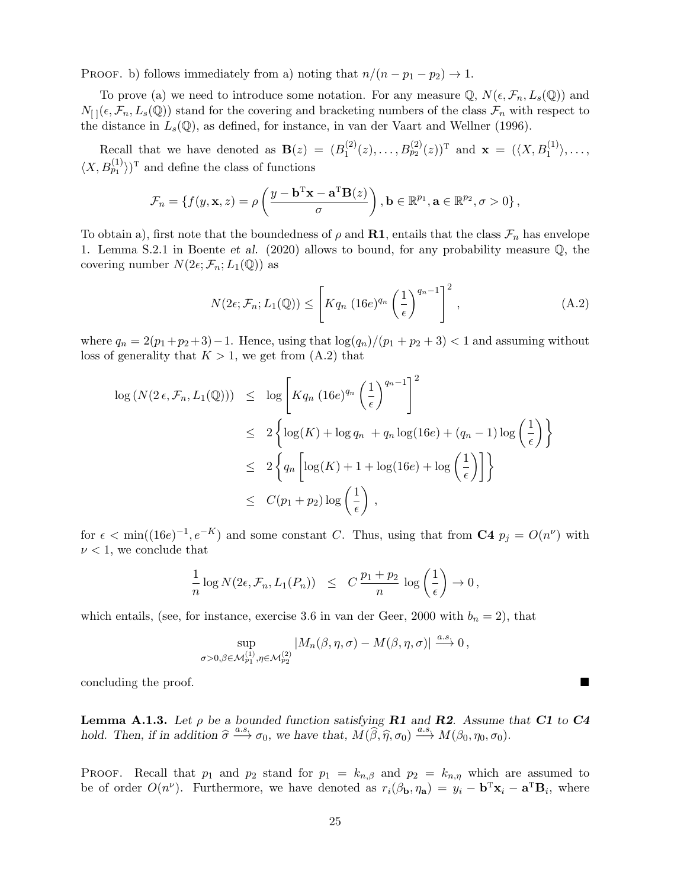PROOF. b) follows immediately from a) noting that  $n/(n - p_1 - p_2) \rightarrow 1$ .

To prove (a) we need to introduce some notation. For any measure  $\mathbb{Q}, N(\epsilon, \mathcal{F}_n, L_s(\mathbb{Q}))$  and  $N_{[1]}(\epsilon, \mathcal{F}_n, L_s(\mathbb{Q}))$  stand for the covering and bracketing numbers of the class  $\mathcal{F}_n$  with respect to the distance in  $L_s(\mathbb{Q})$ , as defined, for instance, in van der Vaart and Wellner (1996).

Recall that we have denoted as  $\mathbf{B}(z) = (B_1^{(2)})$  $I_1^{(2)}(z), \ldots, B_{p_2}^{(2)}(z))^{\mathrm{T}}$  and  $\mathbf{x} = (\langle X, B_1^{(1)} \rangle, \ldots,$  $\langle X, B_{p_1}^{(1)} \rangle$  )<sup>T</sup> and define the class of functions

$$
\mathcal{F}_n = \{ f(y, \mathbf{x}, z) = \rho \left( \frac{y - \mathbf{b}^{\mathrm{T}} \mathbf{x} - \mathbf{a}^{\mathrm{T}} \mathbf{B}(z)}{\sigma} \right), \mathbf{b} \in \mathbb{R}^{p_1}, \mathbf{a} \in \mathbb{R}^{p_2}, \sigma > 0 \},
$$

To obtain a), first note that the boundedness of  $\rho$  and **R1**, entails that the class  $\mathcal{F}_n$  has envelope 1. Lemma S.2.1 in Boente et al. (2020) allows to bound, for any probability measure Q, the covering number  $N(2\epsilon; \mathcal{F}_n; L_1(\mathbb{Q}))$  as

$$
N(2\epsilon; \mathcal{F}_n; L_1(\mathbb{Q})) \le \left[ K q_n \ (16e)^{q_n} \left( \frac{1}{\epsilon} \right)^{q_n - 1} \right]^2 , \tag{A.2}
$$

where  $q_n = 2(p_1+p_2+3)-1$ . Hence, using that  $\log(q_n)/(p_1+p_2+3) < 1$  and assuming without loss of generality that  $K > 1$ , we get from  $(A.2)$  that

$$
\log (N(2\epsilon, \mathcal{F}_n, L_1(\mathbb{Q}))) \leq \log \left[ K q_n (16e)^{q_n} \left(\frac{1}{\epsilon}\right)^{q_n-1} \right]^2
$$
  

$$
\leq 2 \left\{ \log(K) + \log q_n + q_n \log(16e) + (q_n - 1) \log \left(\frac{1}{\epsilon}\right) \right\}
$$
  

$$
\leq 2 \left\{ q_n \left[ \log(K) + 1 + \log(16e) + \log \left(\frac{1}{\epsilon}\right) \right] \right\}
$$
  

$$
\leq C(p_1 + p_2) \log \left(\frac{1}{\epsilon}\right),
$$

for  $\epsilon < \min((16e)^{-1}, e^{-K})$  and some constant C. Thus, using that from **C4**  $p_j = O(n^{\nu})$  with  $\nu < 1$ , we conclude that

$$
\frac{1}{n}\log N(2\epsilon, \mathcal{F}_n, L_1(P_n)) \leq C \frac{p_1+p_2}{n} \log \left(\frac{1}{\epsilon}\right) \to 0,
$$

which entails, (see, for instance, exercise 3.6 in van der Geer, 2000 with  $b_n = 2$ ), that

$$
\sup_{\sigma>0,\beta\in\mathcal{M}_{p_1}^{(1)},\eta\in\mathcal{M}_{p_2}^{(2)}}|M_n(\beta,\eta,\sigma)-M(\beta,\eta,\sigma)|\xrightarrow{a.s.}0,
$$

concluding the proof.

**Lemma A.1.3.** Let  $\rho$  be a bounded function satisfying **R1** and **R2**. Assume that **C1** to **C4** hold. Then, if in addition  $\hat{\sigma} \xrightarrow{a.s.} \sigma_0$ , we have that,  $M(\hat{\beta}, \hat{\eta}, \sigma_0) \xrightarrow{a.s.} M(\beta_0, \eta_0, \sigma_0)$ .

PROOF. Recall that  $p_1$  and  $p_2$  stand for  $p_1 = k_{n,\beta}$  and  $p_2 = k_{n,\eta}$  which are assumed to be of order  $O(n^{\nu})$ . Furthermore, we have denoted as  $r_i(\beta_{\mathbf{b}}, \eta_{\mathbf{a}}) = y_i - \mathbf{b}^{\mathrm{T}} \mathbf{x}_i - \mathbf{a}^{\mathrm{T}} \mathbf{B}_i$ , where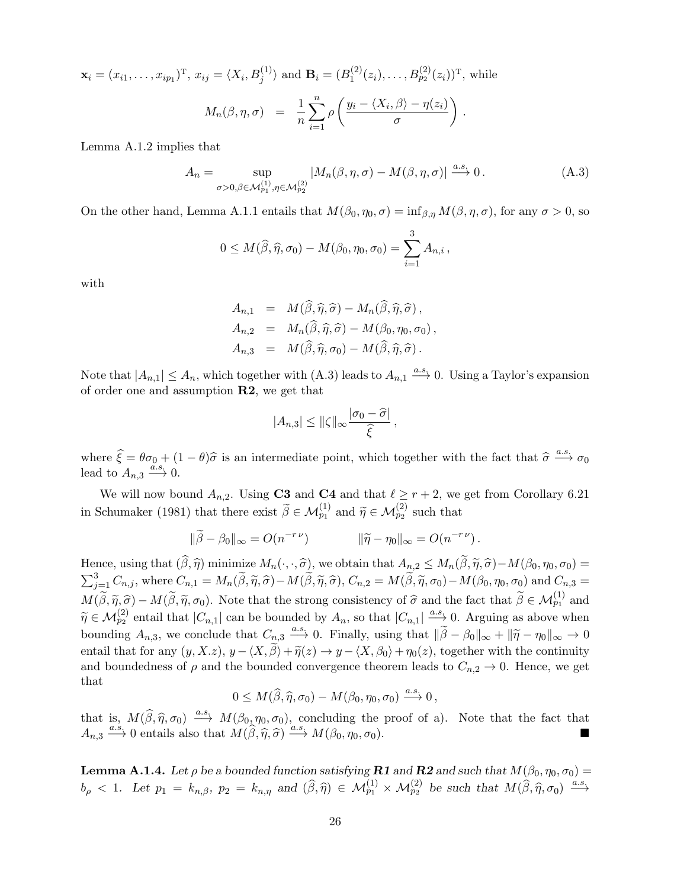$\mathbf{x}_i = (x_{i1}, \dots, x_{ip_1})^{\mathrm{T}}, x_{ij} = \langle X_i, B_j^{(1)} \rangle$  and  $\mathbf{B}_i = (B_1^{(2)})^{\mathrm{T}}$  $I_1^{(2)}(z_i), \ldots, B_{p_2}^{(2)}(z_i))^{\mathrm{T}}$ , while  $M_n(\beta,\eta,\sigma) \;\;=\;\; \frac{1}{n}$  $\sum_{n=1}^{\infty}$  $i=1$  $\rho\left(\frac{y_i - \langle X_i, \beta\rangle - \eta(z_i)}{\rho}\right)$ σ  $\big)$  .

Lemma A.1.2 implies that

$$
A_n = \sup_{\sigma > 0, \beta \in \mathcal{M}_{p_1, \eta \in \mathcal{M}_{p_2}^{(2)}}} |M_n(\beta, \eta, \sigma) - M(\beta, \eta, \sigma)| \xrightarrow{a.s.} 0. \tag{A.3}
$$

On the other hand, Lemma A.1.1 entails that  $M(\beta_0, \eta_0, \sigma) = \inf_{\beta, \eta} M(\beta, \eta, \sigma)$ , for any  $\sigma > 0$ , so

$$
0 \leq M(\widehat{\beta}, \widehat{\eta}, \sigma_0) - M(\beta_0, \eta_0, \sigma_0) = \sum_{i=1}^3 A_{n,i},
$$

with

$$
A_{n,1} = M(\widehat{\beta}, \widehat{\eta}, \widehat{\sigma}) - M_n(\widehat{\beta}, \widehat{\eta}, \widehat{\sigma}),
$$
  
\n
$$
A_{n,2} = M_n(\widehat{\beta}, \widehat{\eta}, \widehat{\sigma}) - M(\beta_0, \eta_0, \sigma_0),
$$
  
\n
$$
A_{n,3} = M(\widehat{\beta}, \widehat{\eta}, \sigma_0) - M(\widehat{\beta}, \widehat{\eta}, \widehat{\sigma}).
$$

Note that  $|A_{n,1}| \leq A_n$ , which together with  $(A.3)$  leads to  $A_{n,1} \stackrel{a.s.}{\longrightarrow} 0$ . Using a Taylor's expansion of order one and assumption  $R2$ , we get that

$$
|A_{n,3}| \leq ||\zeta||_{\infty} \frac{|\sigma_0 - \widehat{\sigma}|}{\widehat{\xi}},
$$

where  $\hat{\xi} = \theta \sigma_0 + (1 - \theta)\hat{\sigma}$  is an intermediate point, which together with the fact that  $\hat{\sigma} \stackrel{a.s.}{\longrightarrow} \sigma_0$ lead to  $A_{n,3} \xrightarrow{\tilde{a.s.}} 0$ .

We will now bound  $A_{n,2}$ . Using C3 and C4 and that  $\ell \geq r+2$ , we get from Corollary 6.21 in Schumaker (1981) that there exist  $\tilde{\beta} \in \mathcal{M}_{p_1}^{(1)}$  and  $\tilde{\eta} \in \mathcal{M}_{p_2}^{(2)}$  such that

$$
\|\widetilde{\beta} - \beta_0\|_{\infty} = O(n^{-r\nu}) \qquad \|\widetilde{\eta} - \eta_0\|_{\infty} = O(n^{-r\nu}).
$$

Hence, using that  $(\widehat{\beta}, \widehat{\eta})$  minimize  $M_n(\cdot, \cdot, \widehat{\sigma})$ , we obtain that  $A_{n,2} \leq M_n(\widetilde{\beta}, \widetilde{\eta}, \widehat{\sigma}) - M(\beta_0, \eta_0, \sigma_0) =$  $\sum_{j=1}^3 C_{n,j}$ , where  $C_{n,1} = M_n(\tilde{\beta}, \tilde{\eta}, \hat{\sigma}) - M(\tilde{\beta}, \tilde{\eta}, \hat{\sigma})$ ,  $C_{n,2} = M(\tilde{\beta}, \tilde{\eta}, \sigma_0) - M(\beta_0, \eta_0, \sigma_0)$  and  $C_{n,3} =$  $M(\tilde{\beta}, \tilde{\eta}, \hat{\sigma}) - M(\tilde{\beta}, \tilde{\eta}, \sigma_0)$ . Note that the strong consistency of  $\hat{\sigma}$  and the fact that  $\tilde{\beta} \in \mathcal{M}_{p_1}^{(1)}$  and  $\tilde{\sigma} \in \mathcal{M}_{p_2}^{(2)}$  $\widetilde{\eta} \in \mathcal{M}_{p_2}^{(2)}$  entail that  $|C_{n,1}|$  can be bounded by  $A_n$ , so that  $|C_{n,1}| \stackrel{a.s.}{\longrightarrow} 0$ . Arguing as above when bounding  $A_{n,3}$ , we conclude that  $C_{n,3} \xrightarrow{a.s} 0$ . Finally, using that  $\|\widetilde{\beta} - \beta_0\|_{\infty} + \|\widetilde{\eta} - \eta_0\|_{\infty} \to 0$ entail that for any  $(y, X, z)$ ,  $y - \langle X, \tilde{\beta} \rangle + \tilde{\eta}(z) \rightarrow y - \langle X, \beta_0 \rangle + \eta_0(z)$ , together with the continuity and boundedness of  $\rho$  and the bounded convergence theorem leads to  $C_{n,2} \to 0$ . Hence, we get that

$$
0 \leq M(\widehat{\beta}, \widehat{\eta}, \sigma_0) - M(\beta_0, \eta_0, \sigma_0) \xrightarrow{a.s.} 0,
$$

that is,  $M(\hat{\beta}, \hat{\eta}, \sigma_0) \stackrel{a.s.}{\longrightarrow} M(\beta_0, \eta_0, \sigma_0)$ , concluding the proof of a). Note that the fact that  $A = \frac{a.s}{\lambda}$  or  $\theta$  or  $M(\hat{\beta}, \hat{\eta}, \hat{\sigma})$  $A_{n,3} \xrightarrow{a.s.} 0$  entails also that  $M(\widehat{\beta}, \widehat{\eta}, \widehat{\sigma}) \xrightarrow{a.s.} M(\beta_0, \eta_0, \sigma_0)$ .

**Lemma A.1.4.** Let  $\rho$  be a bounded function satisfying **R1** and **R2** and such that  $M(\beta_0, \eta_0, \sigma_0) =$  $b_{\rho} < 1$ . Let  $p_1 = k_{n,\beta}$ ,  $p_2 = k_{n,\eta}$  and  $(\widehat{\beta}, \widehat{\eta}) \in \mathcal{M}_{p_1}^{(1)} \times \mathcal{M}_{p_2}^{(2)}$  be such that  $M(\widehat{\beta}, \widehat{\eta}, \sigma_0) \stackrel{a.s.}{\longrightarrow}$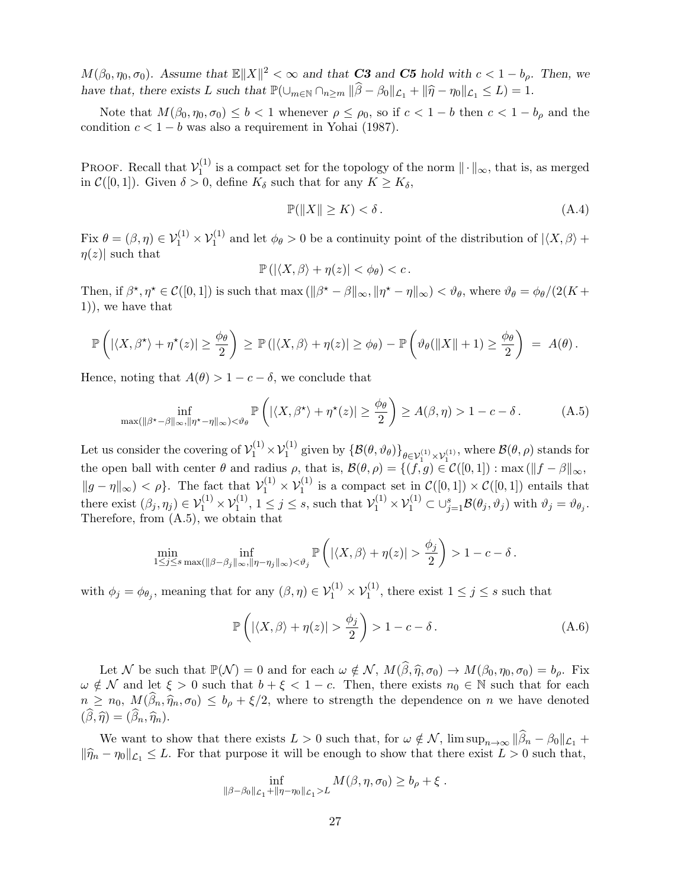$M(\beta_0, \eta_0, \sigma_0)$ . Assume that  $\mathbb{E} \|X\|^2 < \infty$  and that **C3** and **C5** hold with  $c < 1 - b_\rho$ . Then, we have that, there exists L such that  $\mathbb{P}(\bigcup_{m\in\mathbb{N}} \bigcap_{n\geq m} ||\widehat{\beta} - \beta_0||_{\mathcal{L}_1} + ||\widehat{\eta} - \eta_0||_{\mathcal{L}_1} \leq L) = 1.$ 

Note that  $M(\beta_0, \eta_0, \sigma_0) \leq b < 1$  whenever  $\rho \leq \rho_0$ , so if  $c < 1 - b$  then  $c < 1 - b_{\rho}$  and the condition  $c < 1 - b$  was also a requirement in Yohai (1987).

PROOF. Recall that  $\mathcal{V}_1^{(1)}$  $\frac{1}{1}$  is a compact set for the topology of the norm  $\|\cdot\|_{\infty}$ , that is, as merged in  $\mathcal{C}([0,1])$ . Given  $\delta > 0$ , define  $K_{\delta}$  such that for any  $K \geq K_{\delta}$ ,

$$
\mathbb{P}(\|X\| \ge K) < \delta. \tag{A.4}
$$

Fix  $\theta = (\beta, \eta) \in V_1^{(1)} \times V_1^{(1)}$  and let  $\phi_{\theta} > 0$  be a continuity point of the distribution of  $|\langle X, \beta \rangle +$  $\eta(z)|$  such that

$$
\mathbb{P}\left(\left|\langle X,\beta\rangle+\eta(z)\right|<\phi_\theta\right)
$$

Then, if  $\beta^*, \eta^* \in C([0,1])$  is such that max  $(\|\beta^* - \beta\|_{\infty}, \|\eta^* - \eta\|_{\infty}) < \vartheta_{\theta}$ , where  $\vartheta_{\theta} = \varphi_{\theta}/(2(K +$ 1)), we have that

$$
\mathbb{P}\left(|\langle X,\beta^{\star}\rangle + \eta^{\star}(z)| \geq \frac{\phi_{\theta}}{2}\right) \geq \mathbb{P}\left(|\langle X,\beta\rangle + \eta(z)| \geq \phi_{\theta}\right) - \mathbb{P}\left(\vartheta_{\theta}(\|X\|+1) \geq \frac{\phi_{\theta}}{2}\right) = A(\theta).
$$

Hence, noting that  $A(\theta) > 1 - c - \delta$ , we conclude that

$$
\inf_{\max(\|\beta^* - \beta\|_{\infty}, \|\eta^* - \eta\|_{\infty}) < \vartheta_{\theta}} \mathbb{P}\left(\left|\langle X, \beta^* \rangle + \eta^*(z)\right| \ge \frac{\phi_{\theta}}{2}\right) \ge A(\beta, \eta) > 1 - c - \delta. \tag{A.5}
$$

Let us consider the covering of  $\mathcal{V}_1^{(1)} \times \mathcal{V}_1^{(1)}$  given by  $\{\mathcal{B}(\theta, \vartheta_\theta)\}_{\theta \in \mathcal{V}_1^{(1)} \times \mathcal{V}_1^{(1)}},$  where  $\mathcal{B}(\theta, \rho)$  stands for the open ball with center  $\theta$  and radius  $\rho$ , that is,  $\mathcal{B}(\theta, \rho) = \{(f, g) \in C([0, 1]) : \max(\|f - \beta\|_{\infty},$  $||g - \eta||_{\infty} > \epsilon$ . The fact that  $\mathcal{V}_1^{(1)} \times \mathcal{V}_1^{(1)}$  is a compact set in  $\mathcal{C}([0,1]) \times \mathcal{C}([0,1])$  entails that there exist  $(\beta_j, \eta_j) \in \mathcal{V}_1^{(1)} \times \mathcal{V}_1^{(1)}$ ,  $1 \leq j \leq s$ , such that  $\mathcal{V}_1^{(1)} \times \mathcal{V}_1^{(1)} \subset \bigcup_{j=1}^s \mathcal{B}(\theta_j, \vartheta_j)$  with  $\vartheta_j = \vartheta_{\theta_j}$ . Therefore, from (A.5), we obtain that

$$
\min_{1 \leq j \leq s} \inf_{\max(\|\beta - \beta_j\|_{\infty}, \|\eta - \eta_j\|_{\infty}) < \vartheta_j} \mathbb{P}\left(|\langle X, \beta \rangle + \eta(z)| > \frac{\phi_j}{2}\right) > 1 - c - \delta.
$$

with  $\phi_j = \phi_{\theta_j}$ , meaning that for any  $(\beta, \eta) \in \mathcal{V}_1^{(1)} \times \mathcal{V}_1^{(1)}$ , there exist  $1 \leq j \leq s$  such that

$$
\mathbb{P}\left(|\langle X,\beta\rangle + \eta(z)| > \frac{\phi_j}{2}\right) > 1 - c - \delta\,. \tag{A.6}
$$

Let N be such that  $\mathbb{P}(\mathcal{N}) = 0$  and for each  $\omega \notin \mathcal{N}$ ,  $M(\widehat{\beta}, \widehat{\eta}, \sigma_0) \to M(\beta_0, \eta_0, \sigma_0) = b_\rho$ . Fix  $\omega \notin \mathcal{N}$  and let  $\xi > 0$  such that  $b + \xi < 1 - c$ . Then, there exists  $n_0 \in \mathbb{N}$  such that for each  $n \geq n_0, M(\hat{\beta}_n, \hat{\eta}_n, \sigma_0) \leq b_\rho + \xi/2$ , where to strength the dependence on n we have denoted  $(\widehat{\beta}, \widehat{\eta}) = (\widehat{\beta}_n, \widehat{\eta}_n).$ 

We want to show that there exists  $L > 0$  such that, for  $\omega \notin \mathcal{N}$ ,  $\limsup_{n \to \infty} \|\widehat{\beta}_n - \beta_0\|_{\mathcal{L}_1} +$  $\|\widehat{\eta}_n - \eta_0\|_{\mathcal{L}_1} \leq L$ . For that purpose it will be enough to show that there exist  $L > 0$  such that,

$$
\inf_{\|\beta-\beta_0\|_{\mathcal{L}_1}+\|\eta-\eta_0\|_{\mathcal{L}_1}>L} M(\beta,\eta,\sigma_0)\geq b_\rho+\xi.
$$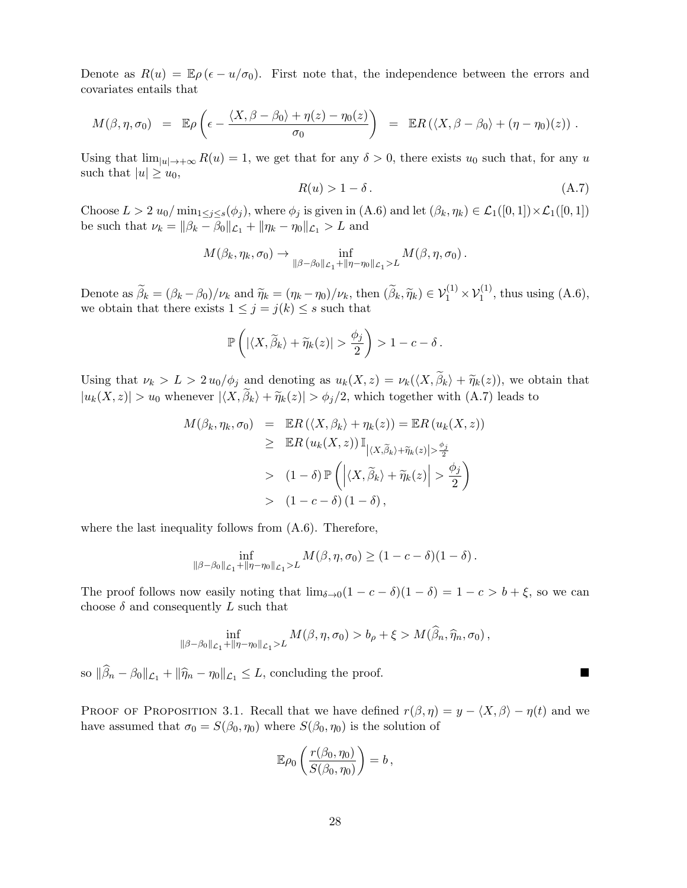Denote as  $R(u) = \mathbb{E}\rho(\epsilon - u/\sigma_0)$ . First note that, the independence between the errors and covariates entails that

$$
M(\beta, \eta, \sigma_0) = \mathbb{E}\rho\left(\epsilon - \frac{\langle X, \beta - \beta_0 \rangle + \eta(z) - \eta_0(z)}{\sigma_0}\right) = \mathbb{E}R\left(\langle X, \beta - \beta_0 \rangle + (\eta - \eta_0)(z)\right).
$$

Using that  $\lim_{|u|\to+\infty} R(u) = 1$ , we get that for any  $\delta > 0$ , there exists  $u_0$  such that, for any u such that  $|u| \geq u_0$ ,

$$
R(u) > 1 - \delta. \tag{A.7}
$$

Choose  $L > 2 u_0 / \min_{1 \le j \le s} (\phi_j)$ , where  $\phi_j$  is given in  $(A.6)$  and let  $(\beta_k, \eta_k) \in \mathcal{L}_1([0, 1]) \times \mathcal{L}_1([0, 1])$ be such that  $\nu_k = ||\beta_k - \beta_0||_{\mathcal{L}_1} + ||\eta_k - \eta_0||_{\mathcal{L}_1} > L$  and

$$
M(\beta_k, \eta_k, \sigma_0) \to \inf_{\|\beta-\beta_0\|_{\mathcal{L}_1} + \|\eta-\eta_0\|_{\mathcal{L}_1} > L} M(\beta, \eta, \sigma_0).
$$

Denote as  $\widetilde{\beta}_k = (\beta_k - \beta_0)/\nu_k$  and  $\widetilde{\eta}_k = (\eta_k - \eta_0)/\nu_k$ , then  $(\widetilde{\beta}_k, \widetilde{\eta}_k) \in \mathcal{V}_1^{(1)} \times \mathcal{V}_1^{(1)}$ , thus using  $(A.6)$ , we obtain that there exists  $1 \leq j = j(k) \leq s$  such that

$$
\mathbb{P}\left(|\langle X,\widetilde{\beta}_k\rangle+\widetilde{\eta}_k(z)|>\frac{\phi_j}{2}\right)>1-c-\delta.
$$

Using that  $\nu_k > L > 2 u_0/\phi_j$  and denoting as  $u_k(X, z) = \nu_k(\langle X, \beta_k \rangle + \widetilde{\eta}_k(z))$ , we obtain that  $|u_k(X, z)| > u_0$  whenever  $|\langle X, \beta_k \rangle + \tilde{\eta}_k(z)| > \phi_j/2$ , which together with  $(A.7)$  leads to

$$
M(\beta_k, \eta_k, \sigma_0) = \mathbb{E}R(\langle X, \beta_k \rangle + \eta_k(z)) = \mathbb{E}R(u_k(X, z))
$$
  
\n
$$
\geq \mathbb{E}R(u_k(X, z)) \mathbb{I}_{|\langle X, \widetilde{\beta}_k \rangle + \widetilde{\eta}_k(z)| > \frac{\phi_j}{2}}
$$
  
\n
$$
> (1 - \delta) \mathbb{P}\left(\left|\langle X, \widetilde{\beta}_k \rangle + \widetilde{\eta}_k(z)\right| > \frac{\phi_j}{2}\right)
$$
  
\n
$$
> (1 - c - \delta)(1 - \delta),
$$

where the last inequality follows from  $(A.6)$ . Therefore,

$$
\inf_{\|\beta-\beta_0\|_{\mathcal{L}_1}+\|\eta-\eta_0\|_{\mathcal{L}_1}>L} M(\beta,\eta,\sigma_0) \geq (1-c-\delta)(1-\delta).
$$

The proof follows now easily noting that  $\lim_{\delta \to 0} (1 - c - \delta)(1 - \delta) = 1 - c > b + \xi$ , so we can choose  $\delta$  and consequently L such that

$$
\inf_{\|\beta-\beta_0\|_{\mathcal{L}_1}+\|\eta-\eta_0\|_{\mathcal{L}_1}>L} M(\beta,\eta,\sigma_0)>b_\rho+\xi>M(\widehat{\beta}_n,\widehat{\eta}_n,\sigma_0),
$$

so  $\|\widehat{\beta}_n - \beta_0\|_{\mathcal{L}_1} + \|\widehat{\eta}_n - \eta_0\|_{\mathcal{L}_1} \leq L$ , concluding the proof.

PROOF OF PROPOSITION 3.1. Recall that we have defined  $r(\beta, \eta) = y - \langle X, \beta \rangle - \eta(t)$  and we have assumed that  $\sigma_0 = S(\beta_0, \eta_0)$  where  $S(\beta_0, \eta_0)$  is the solution of

$$
\mathbb{E}\rho_0\left(\frac{r(\beta_0,\eta_0)}{S(\beta_0,\eta_0)}\right)=b\,,
$$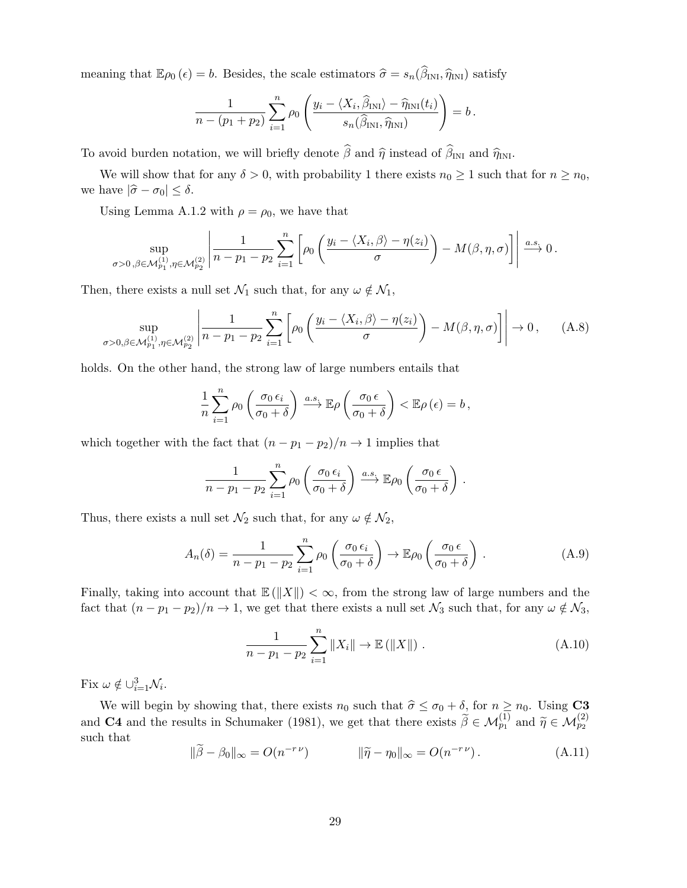meaning that  $\mathbb{E}\rho_0(\epsilon) = b$ . Besides, the scale estimators  $\hat{\sigma} = s_n(\hat{\beta}_{\text{INI}}, \hat{\eta}_{\text{INI}})$  satisfy

$$
\frac{1}{n-(p_1+p_2)}\sum_{i=1}^n\rho_0\left(\frac{y_i-\langle X_i,\widehat{\beta}_{\text{INI}}\rangle-\widehat{\eta}_{\text{INI}}(t_i)}{s_n(\widehat{\beta}_{\text{INI}},\widehat{\eta}_{\text{INI}})}\right)=b\,.
$$

To avoid burden notation, we will briefly denote  $\hat{\beta}$  and  $\hat{\eta}$  instead of  $\hat{\beta}_{\text{INI}}$  and  $\hat{\eta}_{\text{INI}}$ .

We will show that for any  $\delta > 0$ , with probability 1 there exists  $n_0 \ge 1$  such that for  $n \ge n_0$ , we have  $|\hat{\sigma} - \sigma_0| \leq \delta$ .

Using Lemma A.1.2 with  $\rho = \rho_0$ , we have that

$$
\sup_{\sigma>0,\beta\in\mathcal{M}_{p_1,\eta\in\mathcal{M}_{p_2}^{(2)}}}\left|\frac{1}{n-p_1-p_2}\sum_{i=1}^n\left[\rho_0\left(\frac{y_i-\langle X_i,\beta\rangle-\eta(z_i)}{\sigma}\right)-M(\beta,\eta,\sigma)\right]\right|\xrightarrow{a.s.}0.
$$

Then, there exists a null set  $\mathcal{N}_1$  such that, for any  $\omega \notin \mathcal{N}_1$ ,

$$
\sup_{\sigma>0,\beta\in\mathcal{M}_{p_1}^{(1)},\eta\in\mathcal{M}_{p_2}^{(2)}}\left|\frac{1}{n-p_1-p_2}\sum_{i=1}^n\left[\rho_0\left(\frac{y_i-\langle X_i,\beta\rangle-\eta(z_i)}{\sigma}\right)-M(\beta,\eta,\sigma)\right]\right|\to 0,\qquad\text{(A.8)}
$$

holds. On the other hand, the strong law of large numbers entails that

$$
\frac{1}{n}\sum_{i=1}^{n}\rho_0\left(\frac{\sigma_0\,\epsilon_i}{\sigma_0+\delta}\right)\xrightarrow{a.s.}\mathbb{E}\rho\left(\frac{\sigma_0\,\epsilon}{\sigma_0+\delta}\right)<\mathbb{E}\rho\left(\epsilon\right)=b\,,
$$

which together with the fact that  $(n - p_1 - p_2)/n \rightarrow 1$  implies that

$$
\frac{1}{n-p_1-p_2}\sum_{i=1}^n \rho_0\left(\frac{\sigma_0\,\epsilon_i}{\sigma_0+\delta}\right) \xrightarrow{a.s.} \mathbb{E}\rho_0\left(\frac{\sigma_0\,\epsilon}{\sigma_0+\delta}\right).
$$

Thus, there exists a null set  $\mathcal{N}_2$  such that, for any  $\omega \notin \mathcal{N}_2$ ,

$$
A_n(\delta) = \frac{1}{n - p_1 - p_2} \sum_{i=1}^n \rho_0 \left( \frac{\sigma_0 \epsilon_i}{\sigma_0 + \delta} \right) \to \mathbb{E} \rho_0 \left( \frac{\sigma_0 \epsilon}{\sigma_0 + \delta} \right). \tag{A.9}
$$

Finally, taking into account that  $\mathbb{E}(\Vert X \Vert) < \infty$ , from the strong law of large numbers and the fact that  $(n - p_1 - p_2)/n \to 1$ , we get that there exists a null set  $\mathcal{N}_3$  such that, for any  $\omega \notin \mathcal{N}_3$ ,

$$
\frac{1}{n - p_1 - p_2} \sum_{i=1}^{n} \|X_i\| \to \mathbb{E}(\|X\|) .
$$
 (A.10)

Fix  $\omega \notin \cup_{i=1}^{3} \mathcal{N}_i$ .

We will begin by showing that, there exists  $n_0$  such that  $\hat{\sigma} \leq \sigma_0 + \delta$ , for  $n \geq n_0$ . Using **C3** and **C4** and the results in Schumaker (1981), we get that there exists  $\tilde{\beta} \in \mathcal{M}_{p_1}^{(1)}$  and  $\tilde{\eta} \in \mathcal{M}_{p_2}^{(2)}$ such that

$$
\|\widetilde{\beta} - \beta_0\|_{\infty} = O(n^{-r\nu}) \qquad \|\widetilde{\eta} - \eta_0\|_{\infty} = O(n^{-r\nu}). \tag{A.11}
$$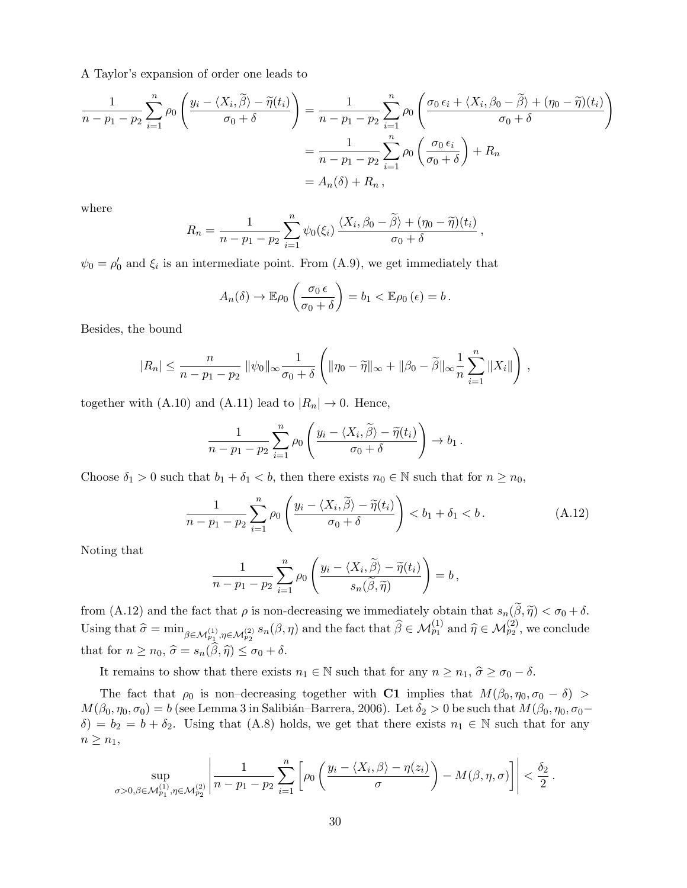A Taylor's expansion of order one leads to

$$
\frac{1}{n-p_1-p_2} \sum_{i=1}^n \rho_0 \left( \frac{y_i - \langle X_i, \widetilde{\beta} \rangle - \widetilde{\eta}(t_i)}{\sigma_0 + \delta} \right) = \frac{1}{n-p_1-p_2} \sum_{i=1}^n \rho_0 \left( \frac{\sigma_0 \epsilon_i + \langle X_i, \beta_0 - \widetilde{\beta} \rangle + (\eta_0 - \widetilde{\eta})(t_i)}{\sigma_0 + \delta} \right)
$$

$$
= \frac{1}{n-p_1-p_2} \sum_{i=1}^n \rho_0 \left( \frac{\sigma_0 \epsilon_i}{\sigma_0 + \delta} \right) + R_n
$$

$$
= A_n(\delta) + R_n,
$$

where

$$
R_n = \frac{1}{n - p_1 - p_2} \sum_{i=1}^n \psi_0(\xi_i) \frac{\langle X_i, \beta_0 - \widetilde{\beta} \rangle + (\eta_0 - \widetilde{\eta})(t_i)}{\sigma_0 + \delta},
$$

 $\psi_0 = \rho'_0$  and  $\xi_i$  is an intermediate point. From (A.9), we get immediately that

$$
A_n(\delta) \to \mathbb{E}\rho_0\left(\frac{\sigma_0 \epsilon}{\sigma_0 + \delta}\right) = b_1 < \mathbb{E}\rho_0\left(\epsilon\right) = b.
$$

Besides, the bound

$$
|R_n| \leq \frac{n}{n-p_1-p_2} \|\psi_0\|_{\infty} \frac{1}{\sigma_0+\delta} \left( \|\eta_0 - \widetilde{\eta}\|_{\infty} + \|\beta_0 - \widetilde{\beta}\|_{\infty} \frac{1}{n} \sum_{i=1}^n \|X_i\| \right),
$$

together with (A.10) and (A.11) lead to  $|R_n| \to 0$ . Hence,

$$
\frac{1}{n-p_1-p_2}\sum_{i=1}^n \rho_0\left(\frac{y_i-\langle X_i,\widetilde{\beta}\rangle-\widetilde{\eta}(t_i)}{\sigma_0+\delta}\right)\to b_1.
$$

Choose  $\delta_1 > 0$  such that  $b_1 + \delta_1 < b$ , then there exists  $n_0 \in \mathbb{N}$  such that for  $n \ge n_0$ ,

$$
\frac{1}{n-p_1-p_2} \sum_{i=1}^n \rho_0 \left( \frac{y_i - \langle X_i, \widetilde{\beta} \rangle - \widetilde{\eta}(t_i)}{\sigma_0 + \delta} \right) < b_1 + \delta_1 < b. \tag{A.12}
$$

Noting that

$$
\frac{1}{n-p_1-p_2}\sum_{i=1}^n \rho_0\left(\frac{y_i-\langle X_i,\widetilde{\beta}\rangle-\widetilde{\eta}(t_i)}{s_n(\widetilde{\beta},\widetilde{\eta})}\right)=b,
$$

from (A.12) and the fact that  $\rho$  is non-decreasing we immediately obtain that  $s_n(\tilde{\beta}, \tilde{\eta}) < \sigma_0 + \delta$ . Using that  $\widehat{\sigma} = \min_{\beta \in \mathcal{M}_{p_1}^{(1)}, \eta \in \mathcal{M}_{p_2}^{(2)}} s_n(\beta, \eta)$  and the fact that  $\widehat{\beta} \in \mathcal{M}_{p_1}^{(1)}$  and  $\widehat{\eta} \in \mathcal{M}_{p_2}^{(2)}$ , we conclude that for  $n \ge n_0$ ,  $\hat{\sigma} = s_n(\hat{\beta}, \hat{\eta}) \le \sigma_0 + \delta$ .

It remains to show that there exists  $n_1 \in \mathbb{N}$  such that for any  $n \ge n_1$ ,  $\hat{\sigma} \ge \sigma_0 - \delta$ .

The fact that  $\rho_0$  is non–decreasing together with C1 implies that  $M(\beta_0, \eta_0, \sigma_0 - \delta)$  $M(\beta_0, \eta_0, \sigma_0) = b$  (see Lemma 3 in Salibián–Barrera, 2006). Let  $\delta_2 > 0$  be such that  $M(\beta_0, \eta_0, \sigma_0 \delta$ ) =  $b_2 = b + \delta_2$ . Using that (A.8) holds, we get that there exists  $n_1 \in \mathbb{N}$  such that for any  $n \geq n_1$ ,

$$
\sup_{\sigma>0,\beta\in\mathcal{M}_{p_1}^{(1)},\eta\in\mathcal{M}_{p_2}^{(2)}}\left|\frac{1}{n-p_1-p_2}\sum_{i=1}^n\left[\rho_0\left(\frac{y_i-\langle X_i,\beta\rangle-\eta(z_i)}{\sigma}\right)-M(\beta,\eta,\sigma)\right]\right|<\frac{\delta_2}{2}.
$$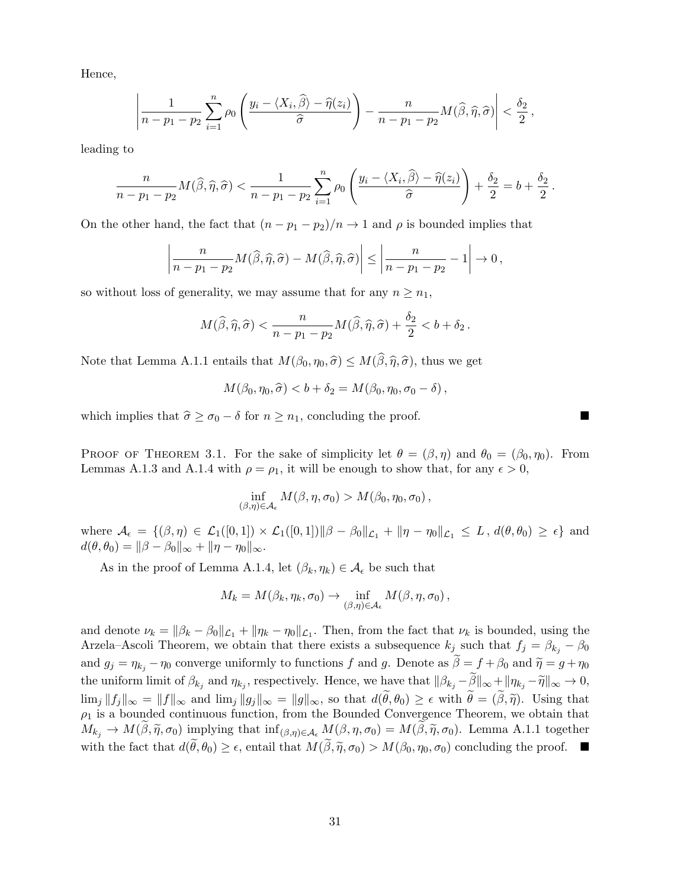Hence,

$$
\left|\frac{1}{n-p_1-p_2}\sum_{i=1}^n \rho_0\left(\frac{y_i-\langle X_i,\widehat{\beta}\rangle-\widehat{\eta}(z_i)}{\widehat{\sigma}}\right)-\frac{n}{n-p_1-p_2}M(\widehat{\beta},\widehat{\eta},\widehat{\sigma})\right|<\frac{\delta_2}{2},
$$

leading to

$$
\frac{n}{n-p_1-p_2}M(\widehat{\beta},\widehat{\eta},\widehat{\sigma}) < \frac{1}{n-p_1-p_2}\sum_{i=1}^n\rho_0\left(\frac{y_i-\langle X_i,\widehat{\beta}\rangle-\widehat{\eta}(z_i)}{\widehat{\sigma}}\right)+\frac{\delta_2}{2}=b+\frac{\delta_2}{2}.
$$

On the other hand, the fact that  $(n - p_1 - p_2)/n \rightarrow 1$  and  $\rho$  is bounded implies that

$$
\left|\frac{n}{n-p_1-p_2}M(\widehat{\beta},\widehat{\eta},\widehat{\sigma})-M(\widehat{\beta},\widehat{\eta},\widehat{\sigma})\right|\leq \left|\frac{n}{n-p_1-p_2}-1\right|\to 0,
$$

so without loss of generality, we may assume that for any  $n \geq n_1$ ,

$$
M(\widehat{\beta}, \widehat{\eta}, \widehat{\sigma}) < \frac{n}{n - p_1 - p_2} M(\widehat{\beta}, \widehat{\eta}, \widehat{\sigma}) + \frac{\delta_2}{2} < b + \delta_2 \, .
$$

Note that Lemma A.1.1 entails that  $M(\beta_0, \eta_0, \hat{\sigma}) \leq M(\hat{\beta}, \hat{\eta}, \hat{\sigma})$ , thus we get

$$
M(\beta_0, \eta_0, \widehat{\sigma}) < b + \delta_2 = M(\beta_0, \eta_0, \sigma_0 - \delta) \,,
$$

which implies that  $\hat{\sigma} \ge \sigma_0 - \delta$  for  $n \ge n_1$ , concluding the proof.

PROOF OF THEOREM 3.1. For the sake of simplicity let  $\theta = (\beta, \eta)$  and  $\theta_0 = (\beta_0, \eta_0)$ . From Lemmas A.1.3 and A.1.4 with  $\rho = \rho_1$ , it will be enough to show that, for any  $\epsilon > 0$ ,

$$
\inf_{(\beta,\eta)\in\mathcal{A}_{\epsilon}} M(\beta,\eta,\sigma_0) > M(\beta_0,\eta_0,\sigma_0),
$$

where  $\mathcal{A}_{\epsilon} = \{(\beta, \eta) \in \mathcal{L}_1([0, 1]) \times \mathcal{L}_1([0, 1]) \|\beta - \beta_0\|_{\mathcal{L}_1} + \|\eta - \eta_0\|_{\mathcal{L}_1} \leq L, d(\theta, \theta_0) \geq \epsilon \}$  and  $d(\theta, \theta_0) = ||\beta - \beta_0||_{\infty} + ||\eta - \eta_0||_{\infty}.$ 

As in the proof of Lemma A.1.4, let  $(\beta_k, \eta_k) \in \mathcal{A}_{\epsilon}$  be such that

$$
M_k = M(\beta_k, \eta_k, \sigma_0) \to \inf_{(\beta, \eta) \in \mathcal{A}_{\epsilon}} M(\beta, \eta, \sigma_0),
$$

and denote  $\nu_k = ||\beta_k - \beta_0||_{\mathcal{L}_1} + ||\eta_k - \eta_0||_{\mathcal{L}_1}$ . Then, from the fact that  $\nu_k$  is bounded, using the Arzela–Ascoli Theorem, we obtain that there exists a subsequence  $k_j$  such that  $f_j = \beta_{k_j} - \beta_0$ and  $g_j = \eta_{k_j} - \eta_0$  converge uniformly to functions f and g. Denote as  $\tilde{\beta} = f + \beta_0$  and  $\tilde{\eta} = g + \eta_0$ the uniform limit of  $\beta_{k_j}$  and  $\eta_{k_j}$ , respectively. Hence, we have that  $\|\beta_{k_j} - \beta\|_{\infty} + \|\eta_{k_j} - \widetilde{\eta}\|_{\infty} \to 0$ ,  $\lim_j ||f_j||_{\infty} = ||f||_{\infty}$  and  $\lim_j ||g_j||_{\infty} = ||g||_{\infty}$ , so that  $d(\widetilde{\theta}, \theta_0) \geq \epsilon$  with  $\widetilde{\theta} = (\widetilde{\beta}, \widetilde{\eta})$ . Using that  $\rho_1$  is a bounded continuous function, from the Bounded Convergence Theorem, we obtain that  $M_{k_j} \to M(\tilde{\beta}, \tilde{\eta}, \sigma_0)$  implying that  $\inf_{(\beta,\eta) \in \mathcal{A}_{\epsilon}} M(\beta, \eta, \sigma_0) = M(\tilde{\beta}, \tilde{\eta}, \sigma_0)$ . Lemma A.1.1 together with the fact that  $d(\tilde{\theta}, \theta_0) \geq \epsilon$ , entail that  $M(\tilde{\beta}, \tilde{\eta}, \sigma_0) > M(\beta_0, \eta_0, \sigma_0)$  concluding the proof.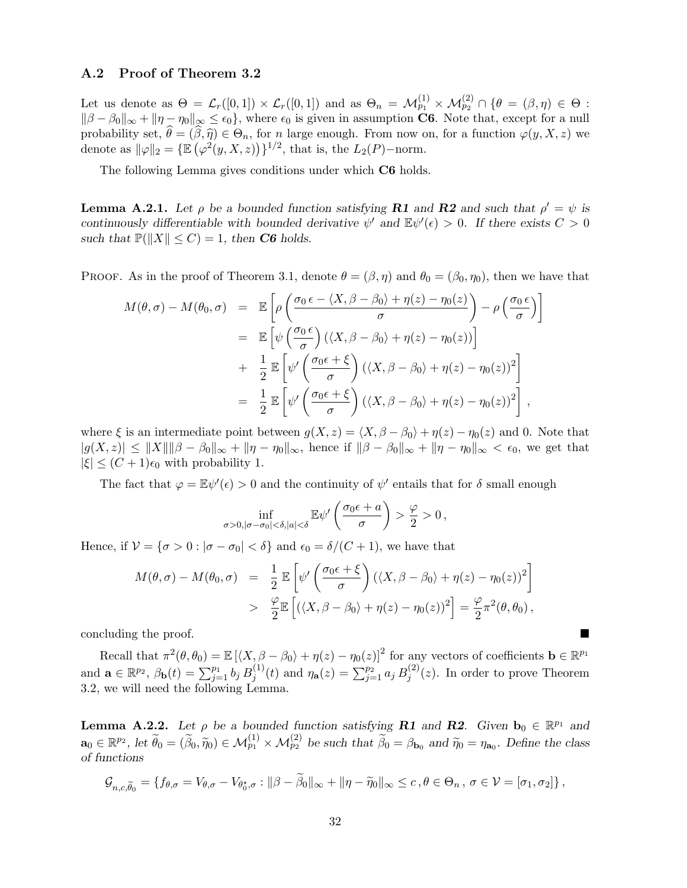### A.2 Proof of Theorem 3.2

Let us denote as  $\Theta = \mathcal{L}_r([0,1]) \times \mathcal{L}_r([0,1])$  and as  $\Theta_n = \mathcal{M}_{p_1}^{(1)} \times \mathcal{M}_{p_2}^{(2)} \cap \{\theta = (\beta,\eta) \in \Theta: \Theta$  $\|\beta - \beta_0\|_{\infty} + \|\eta - \eta_0\|_{\infty} \leq \epsilon_0$ , where  $\epsilon_0$  is given in assumption **C6**. Note that, except for a null probability set,  $\hat{\theta} = (\hat{\beta}, \hat{\eta}) \in \Theta_n$ , for n large enough. From now on, for a function  $\varphi(y, X, z)$  we denote as  $\|\varphi\|_2 = {\mathbb{E}(\varphi^2(y, X, z))}\}^{1/2}$ , that is, the  $L_2(P)$ -norm.

The following Lemma gives conditions under which C6 holds.

**Lemma A.2.1.** Let  $\rho$  be a bounded function satisfying **R1** and **R2** and such that  $\rho' = \psi$  is continuously differentiable with bounded derivative  $\psi'$  and  $\mathbb{E}\psi'(\epsilon) > 0$ . If there exists  $C > 0$ such that  $\mathbb{P}(\|X\| \leq C) = 1$ , then **C6** holds.

PROOF. As in the proof of Theorem 3.1, denote  $\theta = (\beta, \eta)$  and  $\theta_0 = (\beta_0, \eta_0)$ , then we have that

$$
M(\theta,\sigma) - M(\theta_0,\sigma) = \mathbb{E}\left[\rho\left(\frac{\sigma_0 \epsilon - \langle X,\beta-\beta_0\rangle + \eta(z) - \eta_0(z)}{\sigma}\right) - \rho\left(\frac{\sigma_0 \epsilon}{\sigma}\right)\right]
$$
  
\n
$$
= \mathbb{E}\left[\psi\left(\frac{\sigma_0 \epsilon}{\sigma}\right)(\langle X,\beta-\beta_0\rangle + \eta(z) - \eta_0(z))\right]
$$
  
\n
$$
+ \frac{1}{2}\mathbb{E}\left[\psi'\left(\frac{\sigma_0 \epsilon + \xi}{\sigma}\right)(\langle X,\beta-\beta_0\rangle + \eta(z) - \eta_0(z))^2\right]
$$
  
\n
$$
= \frac{1}{2}\mathbb{E}\left[\psi'\left(\frac{\sigma_0 \epsilon + \xi}{\sigma}\right)(\langle X,\beta-\beta_0\rangle + \eta(z) - \eta_0(z))^2\right],
$$

where  $\xi$  is an intermediate point between  $g(X, z) = \langle X, \beta - \beta_0 \rangle + \eta(z) - \eta_0(z)$  and 0. Note that  $|g(X, z)| \leq ||X|| ||\beta - \beta_0||_{\infty} + ||\eta - \eta_0||_{\infty}$ , hence if  $||\beta - \beta_0||_{\infty} + ||\eta - \eta_0||_{\infty} < \epsilon_0$ , we get that  $|\xi| \leq (C+1)\epsilon_0$  with probability 1.

The fact that  $\varphi = \mathbb{E}\psi'(\epsilon) > 0$  and the continuity of  $\psi'$  entails that for  $\delta$  small enough

$$
\inf_{\sigma>0, |\sigma-\sigma_0|<\delta, |a|<\delta} \mathbb{E} \psi' \left( \frac{\sigma_0 \epsilon + a}{\sigma} \right) > \frac{\varphi}{2} > 0,
$$

Hence, if  $V = {\sigma > 0 : |\sigma - \sigma_0| < \delta}$  and  $\epsilon_0 = \delta/(C+1)$ , we have that

$$
M(\theta,\sigma) - M(\theta_0,\sigma) = \frac{1}{2} \mathbb{E} \left[ \psi' \left( \frac{\sigma_0 \epsilon + \xi}{\sigma} \right) (\langle X, \beta - \beta_0 \rangle + \eta(z) - \eta_0(z))^2 \right]
$$
  
> 
$$
\frac{\varphi}{2} \mathbb{E} \left[ (\langle X, \beta - \beta_0 \rangle + \eta(z) - \eta_0(z))^2 \right] = \frac{\varphi}{2} \pi^2(\theta, \theta_0),
$$

concluding the proof.

Recall that  $\pi^2(\theta, \theta_0) = \mathbb{E}[(X, \beta - \beta_0) + \eta(z) - \eta_0(z)]^2$  for any vectors of coefficients  $\mathbf{b} \in \mathbb{R}^{p_1}$ and  $\mathbf{a} \in \mathbb{R}^{p_2}$ ,  $\beta_{\mathbf{b}}(t) = \sum_{j=1}^{p_1} b_j B_j^{(1)}$  $j^{(1)}(t)$  and  $\eta_{\bf a}(z) = \sum_{j=1}^{p_2} a_j B_j^{(2)}$  $j^{(2)}(z)$ . In order to prove Theorem 3.2, we will need the following Lemma.

**Lemma A.2.2.** Let  $\rho$  be a bounded function satisfying **R1** and **R2**. Given  $\mathbf{b}_0 \in \mathbb{R}^{p_1}$  and  $\mathbf{a}_0 \in \mathbb{R}^{p_2}$ , let  $\widetilde{\theta}_0 = (\widetilde{\beta}_0, \widetilde{\eta}_0) \in \mathcal{M}_{p_1}^{(1)} \times \mathcal{M}_{p_2}^{(2)}$  be such that  $\widetilde{\beta}_0 = \beta_{\mathbf{b}_0}$  and  $\widetilde{\eta}_0 = \eta_{\mathbf{a}_0}$ . Define the class of functions

$$
\mathcal{G}_{n,c,\widetilde{\theta}_0} = \{f_{\theta,\sigma} = V_{\theta,\sigma} - V_{\theta_0^*,\sigma} : ||\beta - \widetilde{\beta}_0||_{\infty} + ||\eta - \widetilde{\eta}_0||_{\infty} \leq c, \theta \in \Theta_n, \sigma \in \mathcal{V} = [\sigma_1, \sigma_2] \},
$$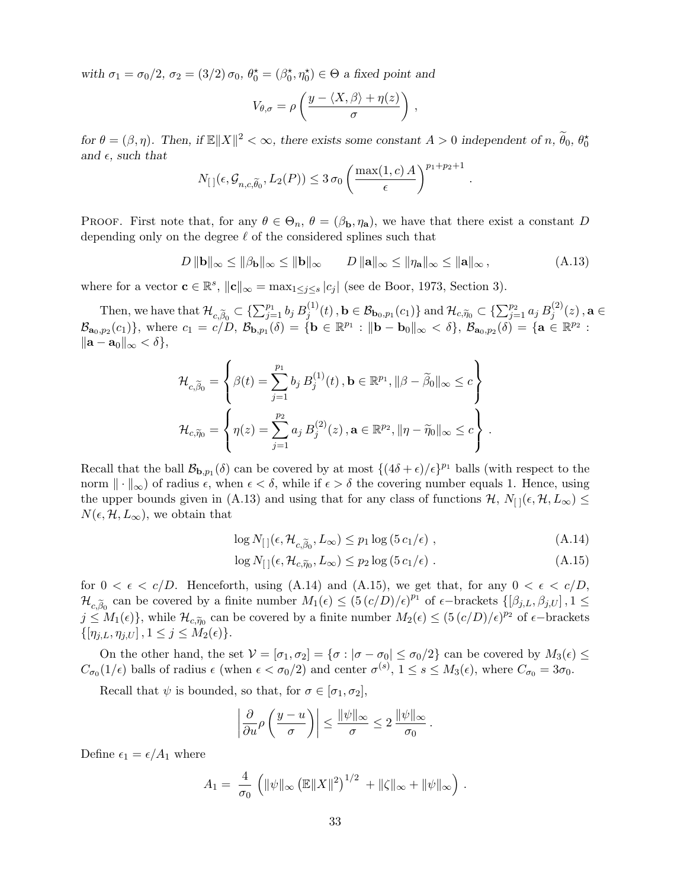with  $\sigma_1 = \sigma_0/2$ ,  $\sigma_2 = (3/2) \sigma_0$ ,  $\theta_0^* = (\beta_0^*, \eta_0^*) \in \Theta$  a fixed point and

$$
V_{\theta,\sigma} = \rho \left( \frac{y - \langle X, \beta \rangle + \eta(z)}{\sigma} \right) ,
$$

for  $\theta = (\beta, \eta)$ . Then, if  $\mathbb{E} \|X\|^2 < \infty$ , there exists some constant  $A > 0$  independent of  $n, \widetilde{\theta}_0, \theta_0^*$ and  $\epsilon$ , such that

$$
N_{\left[\hspace{0.3mm}\right]\left(\epsilon,\mathcal{G}_{n,c,\widetilde{\theta}_{0}},L_2(P)\right)} \leq 3\,\sigma_0 \left(\frac{\max(1,c)\,A}{\epsilon}\right)^{p_1+p_2+1}
$$

PROOF. First note that, for any  $\theta \in \Theta_n$ ,  $\theta = (\beta_{\mathbf{b}}, \eta_{\mathbf{a}})$ , we have that there exist a constant D depending only on the degree  $\ell$  of the considered splines such that

$$
D \|\mathbf{b}\|_{\infty} \le \|\beta_{\mathbf{b}}\|_{\infty} \le \|\mathbf{b}\|_{\infty} \qquad D \|\mathbf{a}\|_{\infty} \le \|\eta_{\mathbf{a}}\|_{\infty} \le \|\mathbf{a}\|_{\infty}, \tag{A.13}
$$

.

where for a vector  $\mathbf{c} \in \mathbb{R}^s$ ,  $\|\mathbf{c}\|_{\infty} = \max_{1 \leq j \leq s} |c_j|$  (see de Boor, 1973, Section 3).

Then, we have that  $\mathcal{H}_{c,\widetilde{\beta}_0} \subset \{\sum_{j=1}^{p_1} b_j B_j^{(1)}\}$  $j_j^{(1)}(t)$ ,  $\mathbf{b} \in \mathcal{B}_{\mathbf{b}_0, p_1}(c_1)$  and  $\mathcal{H}_{c, \widetilde{\eta}_0} \subset \{\sum_{j=1}^{p_2} a_j B_j^{(2)}\}$  $j^{(2)}(z)$  ,  $\mathbf{a} \in$  $\mathcal{B}_{\mathbf{a}_0,p_2}(c_1)$ , where  $c_1 = c/D$ ,  $\mathcal{B}_{\mathbf{b},p_1}(\delta) = \{ \mathbf{b} \in \mathbb{R}^{p_1} : ||\mathbf{b} - \mathbf{b}_0||_{\infty} < \delta \}, \mathcal{B}_{\mathbf{a}_0,p_2}(\delta) = \{ \mathbf{a} \in \mathbb{R}^{p_2} :$  $\|\mathbf{a} - \mathbf{a}_0\|_{\infty} < \delta\},\$ 

$$
\mathcal{H}_{c,\widetilde{\beta}_{0}} = \left\{ \beta(t) = \sum_{j=1}^{p_{1}} b_{j} B_{j}^{(1)}(t), \mathbf{b} \in \mathbb{R}^{p_{1}}, ||\beta - \widetilde{\beta}_{0}||_{\infty} \leq c \right\}
$$
  

$$
\mathcal{H}_{c,\widetilde{\eta}_{0}} = \left\{ \eta(z) = \sum_{j=1}^{p_{2}} a_{j} B_{j}^{(2)}(z), \mathbf{a} \in \mathbb{R}^{p_{2}}, ||\eta - \widetilde{\eta}_{0}||_{\infty} \leq c \right\}.
$$

Recall that the ball  $\mathcal{B}_{b,p_1}(\delta)$  can be covered by at most  $\{(4\delta + \epsilon)/\epsilon\}^{p_1}$  balls (with respect to the norm  $\|\cdot\|_{\infty}$  of radius  $\epsilon$ , when  $\epsilon < \delta$ , while if  $\epsilon > \delta$  the covering number equals 1. Hence, using the upper bounds given in (A.13) and using that for any class of functions  $\mathcal{H}, N_{\text{c}}(\epsilon, \mathcal{H}, L_{\infty}) \leq$  $N(\epsilon, \mathcal{H}, L_{\infty})$ , we obtain that

$$
\log N_{\left[\right]}(\epsilon, \mathcal{H}_{c, \widetilde{\beta}_0}, L_{\infty}) \le p_1 \log \left(5 \, c_1/\epsilon\right) \,,\tag{A.14}
$$

$$
\log N_{\left[\right]}(\epsilon, \mathcal{H}_{c, \widetilde{\eta}_0}, L_{\infty}) \le p_2 \log \left(5 \, c_1/\epsilon\right) \,. \tag{A.15}
$$

for  $0 < \epsilon < c/D$ . Henceforth, using (A.14) and (A.15), we get that, for any  $0 < \epsilon < c/D$ ,  $\mathcal{H}_{c,\widetilde{\beta}_0}$  can be covered by a finite number  $M_1(\epsilon) \leq (5(c/D)/\epsilon)^{p_1}$  of  $\epsilon$ -brackets  $\{[\beta_{j,L}, \beta_{j,U}], 1 \leq$  $j \leq M_1(\epsilon)$ , while  $\mathcal{H}_{c,\widetilde{\eta}_0}$  can be covered by a finite number  $M_2(\epsilon) \leq (5 (c/D)/\epsilon)^{p_2}$  of  $\epsilon$ -brackets  $\{[\eta_{j,L}, \eta_{j,U}], 1 \leq j \leq M_2(\epsilon)\}.$ 

On the other hand, the set  $V = [\sigma_1, \sigma_2] = {\sigma : |\sigma - \sigma_0| \leq \sigma_0/2}$  can be covered by  $M_3(\epsilon) \leq$  $C_{\sigma_0}(1/\epsilon)$  balls of radius  $\epsilon$  (when  $\epsilon < \sigma_0/2$ ) and center  $\sigma^{(s)}$ ,  $1 \leq s \leq M_3(\epsilon)$ , where  $C_{\sigma_0} = 3\sigma_0$ .

Recall that  $\psi$  is bounded, so that, for  $\sigma \in [\sigma_1, \sigma_2]$ ,

$$
\left|\frac{\partial}{\partial u}\rho\left(\frac{y-u}{\sigma}\right)\right| \le \frac{\|\psi\|_{\infty}}{\sigma} \le 2\,\frac{\|\psi\|_{\infty}}{\sigma_0}\,.
$$

Define  $\epsilon_1 = \epsilon/A_1$  where

$$
A_1 = \frac{4}{\sigma_0} \left( \|\psi\|_{\infty} \left( \mathbb{E} \|X\|^2 \right)^{1/2} + \|\zeta\|_{\infty} + \|\psi\|_{\infty} \right).
$$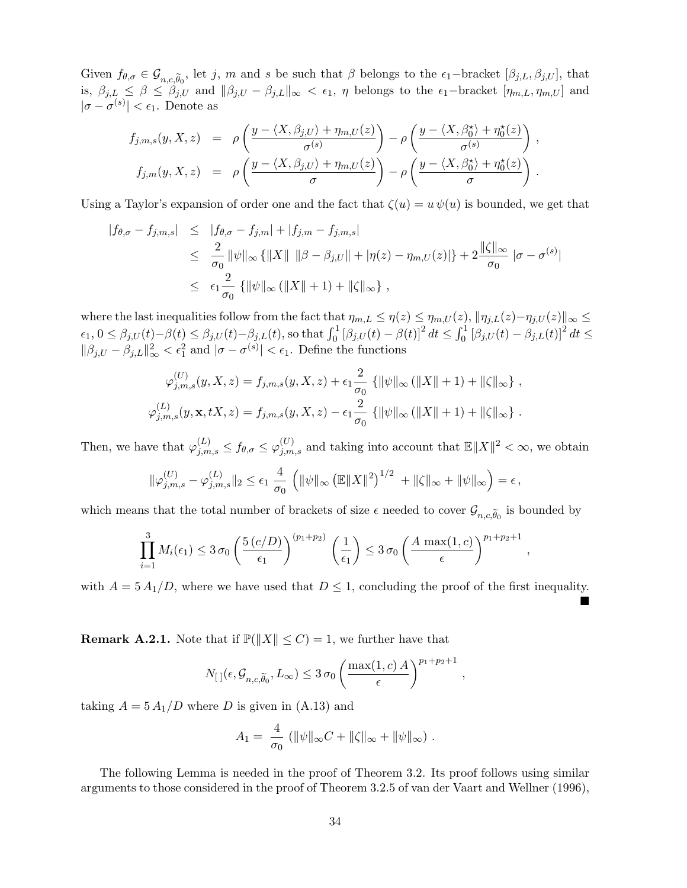Given  $f_{\theta,\sigma} \in \mathcal{G}_{n,c,\widetilde{\theta}_0}$ , let j, m and s be such that  $\beta$  belongs to the  $\epsilon_1$ -bracket  $[\beta_{j,L}, \beta_{j,U}]$ , that is,  $\beta_{j,L} \leq \beta \leq \beta_{j,U}$  and  $\|\beta_{j,U} - \beta_{j,L}\|_{\infty} < \epsilon_1$ ,  $\eta$  belongs to the  $\epsilon_1$ -bracket  $[\eta_{m,L}, \eta_{m,U}]$  and  $|\sigma - \sigma^{(s)}| < \epsilon_1$ . Denote as

$$
f_{j,m,s}(y, X, z) = \rho\left(\frac{y - \langle X, \beta_{j,U}\rangle + \eta_{m,U}(z)}{\sigma^{(s)}}\right) - \rho\left(\frac{y - \langle X, \beta_0^{\star}\rangle + \eta_0^{\star}(z)}{\sigma^{(s)}}\right),
$$
  

$$
f_{j,m}(y, X, z) = \rho\left(\frac{y - \langle X, \beta_{j,U}\rangle + \eta_{m,U}(z)}{\sigma}\right) - \rho\left(\frac{y - \langle X, \beta_0^{\star}\rangle + \eta_0^{\star}(z)}{\sigma}\right).
$$

Using a Taylor's expansion of order one and the fact that  $\zeta(u) = u \psi(u)$  is bounded, we get that

$$
|f_{\theta,\sigma} - f_{j,m,s}| \leq |f_{\theta,\sigma} - f_{j,m}| + |f_{j,m} - f_{j,m,s}|
$$
  
\n
$$
\leq \frac{2}{\sigma_0} \|\psi\|_{\infty} \{ \|X\| \|\beta - \beta_{j,U}\| + |\eta(z) - \eta_{m,U}(z)| \} + 2 \frac{\|\zeta\|_{\infty}}{\sigma_0} |\sigma - \sigma^{(s)}|
$$
  
\n
$$
\leq \epsilon_1 \frac{2}{\sigma_0} \{ \|\psi\|_{\infty} (\|X\| + 1) + \|\zeta\|_{\infty} \},
$$

where the last inequalities follow from the fact that  $\eta_{m,L} \leq \eta(z) \leq \eta_{m,U}(z), \|\eta_{j,L}(z)-\eta_{j,U}(z)\|_{\infty} \leq$  $\epsilon_1, 0 \leq \beta_{j,U}(t) - \beta(t) \leq \beta_{j,U}(t) - \beta_{j,L}(t)$ , so that  $\int_0^1 [\beta_{j,U}(t) - \beta(t)]^2 dt \leq \int_0^1 [\beta_{j,U}(t) - \beta_{j,L}(t)]^2 dt \leq$  $\|\beta_{j,U} - \beta_{j,L}\|_{\infty}^2 < \epsilon_1^2$  and  $|\sigma - \sigma^{(s)}| < \epsilon_1$ . Define the functions

$$
\varphi_{j,m,s}^{(U)}(y,X,z) = f_{j,m,s}(y,X,z) + \epsilon_1 \frac{2}{\sigma_0} \{ ||\psi||_{\infty} (||X|| + 1) + ||\zeta||_{\infty} \},
$$
  

$$
\varphi_{j,m,s}^{(L)}(y,\mathbf{x},tX,z) = f_{j,m,s}(y,X,z) - \epsilon_1 \frac{2}{\sigma_0} \{ ||\psi||_{\infty} (||X|| + 1) + ||\zeta||_{\infty} \}.
$$

Then, we have that  $\varphi_{j,m,s}^{(L)} \le f_{\theta,\sigma} \le \varphi_{j,m,s}^{(U)}$  and taking into account that  $\mathbb{E} \|X\|^2 < \infty$ , we obtain

$$
\|\varphi_{j,m,s}^{(U)} - \varphi_{j,m,s}^{(L)}\|_2 \le \epsilon_1 \frac{4}{\sigma_0} \left( \|\psi\|_{\infty} \left( \mathbb{E} \|X\|^2 \right)^{1/2} + \|\zeta\|_{\infty} + \|\psi\|_{\infty} \right) = \epsilon,
$$

which means that the total number of brackets of size  $\epsilon$  needed to cover  $\mathcal{G}_{n,c,\widetilde{\theta}_0}$  is bounded by

$$
\prod_{i=1}^3 M_i(\epsilon_1) \leq 3 \sigma_0 \left(\frac{5(c/D)}{\epsilon_1}\right)^{(p_1+p_2)} \left(\frac{1}{\epsilon_1}\right) \leq 3 \sigma_0 \left(\frac{A \max(1,c)}{\epsilon}\right)^{p_1+p_2+1},
$$

with  $A = 5 A_1/D$ , where we have used that  $D \leq 1$ , concluding the proof of the first inequality.  $\blacksquare$ 

**Remark A.2.1.** Note that if  $\mathbb{P}(\|X\| \leq C) = 1$ , we further have that

$$
N_{\left[\hspace{0.3mm}\right]}(\epsilon,\mathcal{G}_{n,c,\widetilde{\theta}_{0}},L_{\infty}) \leq 3\,\sigma_{0} \left(\frac{\max(1,c)\,A}{\epsilon}\right)^{p_{1}+p_{2}+1}
$$

,

taking  $A = 5 A_1/D$  where D is given in (A.13) and

$$
A_1 = \frac{4}{\sigma_0} (\|\psi\|_{\infty} C + \|\zeta\|_{\infty} + \|\psi\|_{\infty}).
$$

The following Lemma is needed in the proof of Theorem 3.2. Its proof follows using similar arguments to those considered in the proof of Theorem 3.2.5 of van der Vaart and Wellner (1996),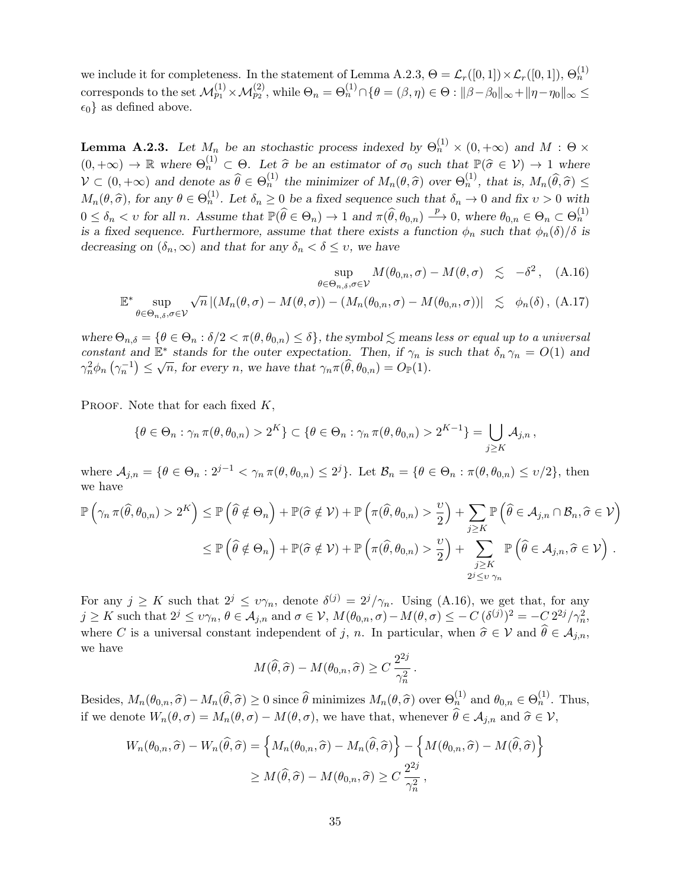we include it for completeness. In the statement of Lemma A.2.3,  $\Theta = \mathcal{L}_r([0,1]) \times \mathcal{L}_r([0,1])$ ,  $\Theta_n^{(1)}$ corresponds to the set  $\mathcal{M}_{p_1}^{(1)} \times \mathcal{M}_{p_2}^{(2)}$ , while  $\Theta_n = \Theta_n^{(1)} \cap \{ \theta = (\beta, \eta) \in \Theta : ||\beta - \beta_0||_{\infty} + ||\eta - \eta_0||_{\infty} \leq$  $\epsilon_0$  } as defined above.

**Lemma A.2.3.** Let  $M_n$  be an stochastic process indexed by  $\Theta_n^{(1)} \times (0, +\infty)$  and  $M : \Theta \times$  $(0, +\infty) \to \mathbb{R}$  where  $\Theta_n^{(1)} \subset \Theta$ . Let  $\hat{\sigma}$  be an estimator of  $\sigma_0$  such that  $\mathbb{P}(\hat{\sigma} \in \mathcal{V}) \to 1$  where  $\mathcal{V} \subset (0, +\infty)$  and denote as  $\widehat{\theta} \in \Theta_n^{(1)}$  the minimizer of  $M_n(\theta, \widehat{\sigma})$  over  $\Theta_n^{(1)}$ , that is,  $M_n(\widehat{\theta}, \widehat{\sigma}) \le$  $M_n(\theta, \hat{\sigma})$ , for any  $\theta \in \Theta_n^{(1)}$ . Let  $\delta_n \geq 0$  be a fixed sequence such that  $\delta_n \to 0$  and fix  $v > 0$  with  $0 \leq \delta_n < v$  for all n. Assume that  $\mathbb{P}(\widehat{\theta} \in \Theta_n) \to 1$  and  $\pi(\widehat{\theta}, \theta_{0,n}) \xrightarrow{p} 0$ , where  $\theta_{0,n} \in \Theta_n \subset \Theta_n^{(1)}$ is a fixed sequence. Furthermore, assume that there exists a function  $\phi_n$  such that  $\phi_n(\delta)/\delta$  is decreasing on  $(\delta_n, \infty)$  and that for any  $\delta_n < \delta \leq v$ , we have

$$
\sup_{\theta \in \Theta_{n,\delta}, \sigma \in \mathcal{V}} M(\theta_{0,n}, \sigma) - M(\theta, \sigma) \lesssim -\delta^2, \quad \text{(A.16)}
$$
  

$$
\mathbb{E}^* \sup_{\theta \in \Theta_{n,\delta}, \sigma \in \mathcal{V}} \sqrt{n} |(M_n(\theta, \sigma) - M(\theta, \sigma)) - (M_n(\theta_{0,n}, \sigma) - M(\theta_{0,n}, \sigma))| \lesssim \phi_n(\delta), \quad \text{(A.17)}
$$

where  $\Theta_{n,\delta} = \{\theta \in \Theta_n : \delta/2 < \pi(\theta, \theta_{0,n}) \leq \delta\}$ , the symbol  $\lesssim$  means less or equal up to a universal constant and  $\mathbb{E}^*$  stands for the outer expectation. Then, if  $\gamma_n$  is such that  $\delta_n \gamma_n = O(1)$  and constant and E stands for the other expectation. Then,  $n \gamma_n^2 \phi_n (\gamma_n^{-1}) \leq \sqrt{n}$ , for every n, we have that  $\gamma_n \pi(\hat{\theta}, \theta_{0,n}) = O_{\mathbb{P}}(1)$ .

PROOF. Note that for each fixed  $K$ ,

$$
\{\theta \in \Theta_n : \gamma_n \pi(\theta, \theta_{0,n}) > 2^K\} \subset \{\theta \in \Theta_n : \gamma_n \pi(\theta, \theta_{0,n}) > 2^{K-1}\} = \bigcup_{j \geq K} \mathcal{A}_{j,n},
$$

where  $\mathcal{A}_{j,n} = \{ \theta \in \Theta_n : 2^{j-1} < \gamma_n \pi(\theta, \theta_{0,n}) \leq 2^j \}.$  Let  $\mathcal{B}_n = \{ \theta \in \Theta_n : \pi(\theta, \theta_{0,n}) \leq v/2 \},\$  then we have

$$
\mathbb{P}\left(\gamma_n \pi(\widehat{\theta}, \theta_{0,n}) > 2^K\right) \leq \mathbb{P}\left(\widehat{\theta} \notin \Theta_n\right) + \mathbb{P}(\widehat{\sigma} \notin \mathcal{V}) + \mathbb{P}\left(\pi(\widehat{\theta}, \theta_{0,n}) > \frac{\upsilon}{2}\right) + \sum_{j \geq K} \mathbb{P}\left(\widehat{\theta} \in \mathcal{A}_{j,n} \cap \mathcal{B}_n, \widehat{\sigma} \in \mathcal{V}\right) \leq \mathbb{P}\left(\widehat{\theta} \notin \Theta_n\right) + \mathbb{P}(\widehat{\sigma} \notin \mathcal{V}) + \mathbb{P}\left(\pi(\widehat{\theta}, \theta_{0,n}) > \frac{\upsilon}{2}\right) + \sum_{\substack{j \geq K \\ 2^j \leq \upsilon \gamma_n}} \mathbb{P}\left(\widehat{\theta} \in \mathcal{A}_{j,n}, \widehat{\sigma} \in \mathcal{V}\right).
$$

For any  $j \geq K$  such that  $2^{j} \leq \nu \gamma_n$ , denote  $\delta^{(j)} = 2^{j} / \gamma_n$ . Using (A.16), we get that, for any  $j \geq K$  such that  $2^j \leq \nu\gamma_n$ ,  $\theta \in \mathcal{A}_{j,n}$  and  $\sigma \in \mathcal{V}$ ,  $M(\theta_{0,n}, \sigma) - M(\theta, \sigma) \leq -C \, (\delta^{(j)})^2 = -C \, 2^{2j}/\gamma_n^2$ , where C is a universal constant independent of j, n. In particular, when  $\hat{\sigma} \in \mathcal{V}$  and  $\hat{\theta} \in \mathcal{A}_{j,n}$ , we have

$$
M(\widehat{\theta}, \widehat{\sigma}) - M(\theta_{0,n}, \widehat{\sigma}) \ge C \frac{2^{2j}}{\gamma_n^2}.
$$

Besides,  $M_n(\theta_{0,n}, \hat{\sigma}) - M_n(\hat{\theta}, \hat{\sigma}) \ge 0$  since  $\hat{\theta}$  minimizes  $M_n(\theta, \hat{\sigma})$  over  $\Theta_n^{(1)}$  and  $\theta_{0,n} \in \Theta_n^{(1)}$ . Thus, if we denote  $W_n(\theta, \sigma) = M_n(\theta, \sigma) - M(\theta, \sigma)$ , we have that, whenever  $\widehat{\theta} \in A_{j,n}$  and  $\widehat{\sigma} \in \mathcal{V}$ ,

$$
W_n(\theta_{0,n}, \hat{\sigma}) - W_n(\hat{\theta}, \hat{\sigma}) = \left\{ M_n(\theta_{0,n}, \hat{\sigma}) - M_n(\hat{\theta}, \hat{\sigma}) \right\} - \left\{ M(\theta_{0,n}, \hat{\sigma}) - M(\hat{\theta}, \hat{\sigma}) \right\}
$$
  

$$
\geq M(\hat{\theta}, \hat{\sigma}) - M(\theta_{0,n}, \hat{\sigma}) \geq C \frac{2^{2j}}{\gamma_n^2},
$$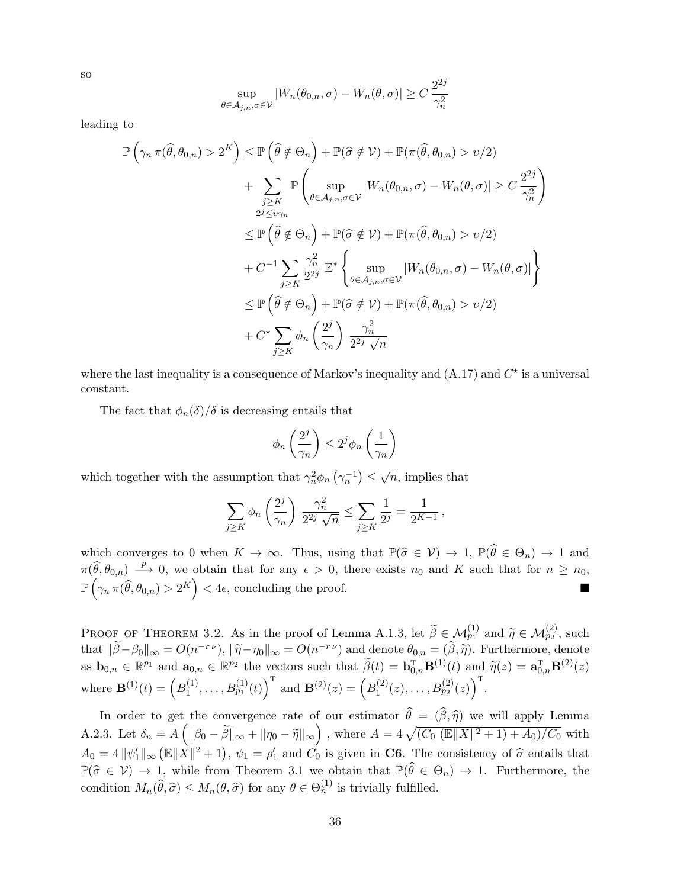$$
\sup_{\theta \in \mathcal{A}_{j,n}, \sigma \in \mathcal{V}} |W_n(\theta_{0,n}, \sigma) - W_n(\theta, \sigma)| \ge C \frac{2^{2j}}{\gamma_n^2}
$$

leading to

$$
\mathbb{P}\left(\gamma_n \pi(\hat{\theta}, \theta_{0,n}) > 2^K\right) \leq \mathbb{P}\left(\hat{\theta} \notin \Theta_n\right) + \mathbb{P}(\hat{\sigma} \notin \mathcal{V}) + \mathbb{P}(\pi(\hat{\theta}, \theta_{0,n}) > v/2) \n+ \sum_{\substack{j\geq K \\ 2^j \leq v\gamma_n}} \mathbb{P}\left(\sup_{\theta \in A_{j,n}, \sigma \in \mathcal{V}} |W_n(\theta_{0,n}, \sigma) - W_n(\theta, \sigma)| \geq C \frac{2^{2j}}{\gamma_n^2}\right) \n\leq \mathbb{P}\left(\hat{\theta} \notin \Theta_n\right) + \mathbb{P}(\hat{\sigma} \notin \mathcal{V}) + \mathbb{P}(\pi(\hat{\theta}, \theta_{0,n}) > v/2) \n+ C^{-1} \sum_{j\geq K} \frac{\gamma_n^2}{2^{2j}} \mathbb{E}^* \left\{\sup_{\theta \in A_{j,n}, \sigma \in \mathcal{V}} |W_n(\theta_{0,n}, \sigma) - W_n(\theta, \sigma)|\right\} \n\leq \mathbb{P}\left(\hat{\theta} \notin \Theta_n\right) + \mathbb{P}(\hat{\sigma} \notin \mathcal{V}) + \mathbb{P}(\pi(\hat{\theta}, \theta_{0,n}) > v/2) \n+ C^{\star} \sum_{j\geq K} \phi_n \left(\frac{2^j}{\gamma_n}\right) \frac{\gamma_n^2}{2^{2j}\sqrt{n}}
$$

where the last inequality is a consequence of Markov's inequality and  $(A.17)$  and  $C^*$  is a universal constant.

The fact that  $\phi_n(\delta)/\delta$  is decreasing entails that

$$
\phi_n\left(\frac{2^j}{\gamma_n}\right) \le 2^j \phi_n\left(\frac{1}{\gamma_n}\right)
$$

which together with the assumption that  $\gamma_n^2 \phi_n \left(\gamma_n^{-1}\right) \leq \sqrt{n}$ , implies that

$$
\sum_{j\geq K} \phi_n\left(\frac{2^j}{\gamma_n}\right) \frac{\gamma_n^2}{2^{2j}\sqrt{n}} \leq \sum_{j\geq K} \frac{1}{2^j} = \frac{1}{2^{K-1}},
$$

which converges to 0 when  $K \to \infty$ . Thus, using that  $\mathbb{P}(\hat{\sigma} \in \mathcal{V}) \to 1$ ,  $\mathbb{P}(\hat{\theta} \in \Theta_n) \to 1$  and  $\pi(\widehat{\theta},\theta_{0,n}) \stackrel{p}{\longrightarrow} 0$ , we obtain that for any  $\epsilon > 0$ , there exists  $n_0$  and K such that for  $n \ge n_0$ ,  $\mathbb{P}\left(\gamma_n \, \pi(\widehat{\theta}, \theta_{0,n}) > 2^K\right) < 4\epsilon$ , concluding the proof.

PROOF OF THEOREM 3.2. As in the proof of Lemma A.1.3, let  $\widetilde{\beta} \in \mathcal{M}_{p_1}^{(1)}$  and  $\widetilde{\eta} \in \mathcal{M}_{p_2}^{(2)}$ , such that  $\|\tilde{\beta}-\beta_0\|_{\infty} = O(n^{-r\nu}), \|\tilde{\eta}-\eta_0\|_{\infty} = O(n^{-r\nu})$  and denote  $\theta_{0,n} = (\tilde{\beta}, \tilde{\eta})$ . Furthermore, denote as  $\mathbf{b}_{0,n} \in \mathbb{R}^{p_1}$  and  $\mathbf{a}_{0,n} \in \mathbb{R}^{p_2}$  the vectors such that  $\widetilde{\beta}(t) = \mathbf{b}_{0,n}^{\mathrm{T}} \mathbf{B}^{(1)}(t)$  and  $\widetilde{\eta}(z) = \mathbf{a}_{0,n}^{\mathrm{T}} \mathbf{B}^{(2)}(z)$ where  $\mathbf{B}^{(1)}(t) = \left( B_1^{(1)} \right)$  $\left( \begin{matrix} 1 \\ 1 \end{matrix} \right), \ldots, B_{p_1}^{(1)}(t) \right)^{\mathrm{T}}$  and  $\mathbf{B}^{(2)}(z) = \left( B_1^{(2)} \right)$  $\left( \begin{smallmatrix} (2)\ (2), \ldots, B^{(2)}_{p_2}(z) \end{smallmatrix} \right)^{\mathrm{T}}.$ 

In order to get the convergence rate of our estimator  $\theta = (\beta, \hat{\eta})$  we will apply Lemma A.2.3. Let  $\delta_n = A\left(\|\beta_0 - \tilde{\beta}\|_{\infty} + \|\eta_0 - \tilde{\eta}\|_{\infty}\right)$ , where  $A = 4\sqrt{(C_0 (\mathbb{E}||X||^2 + 1) + A_0)/C_0}$  with  $A_0 = 4 ||\psi_1'||_\infty (E||\dot{X}||^2 + 1), \psi_1 = \rho_1'$  and  $C_0$  is given in **C6**. The consistency of  $\hat{\sigma}$  entails that  $\mathbb{P}(\hat{\sigma} \in \mathcal{V}) \to 1$ , while from Theorem 3.1 we obtain that  $\mathbb{P}(\hat{\theta} \in \Theta_n) \to 1$ . Furthermore, the condition  $M_n(\hat{\theta}, \hat{\sigma}) \leq M_n(\theta, \hat{\sigma})$  for any  $\theta \in \Theta_n^{(1)}$  is trivially fulfilled.

so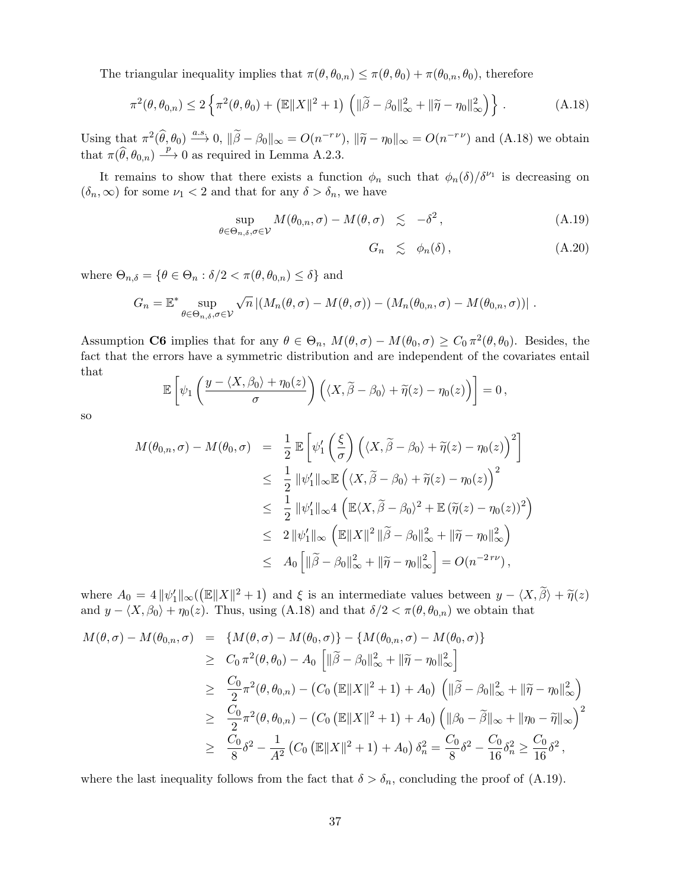The triangular inequality implies that  $\pi(\theta, \theta_{0,n}) \leq \pi(\theta, \theta_0) + \pi(\theta_{0,n}, \theta_0)$ , therefore

$$
\pi^2(\theta, \theta_{0,n}) \le 2 \left\{ \pi^2(\theta, \theta_0) + \left( \mathbb{E} \|X\|^2 + 1 \right) \left( \|\widetilde{\beta} - \beta_0\|_{\infty}^2 + \|\widetilde{\eta} - \eta_0\|_{\infty}^2 \right) \right\}.
$$
 (A.18)

Using that  $\pi^2(\widehat{\theta}, \theta_0) \stackrel{a.s.}{\longrightarrow} 0$ ,  $\|\widetilde{\beta} - \beta_0\|_{\infty} = O(n^{-r\nu})$ ,  $\|\widetilde{\eta} - \eta_0\|_{\infty} = O(n^{-r\nu})$  and  $(A.18)$  we obtain that  $\pi(\widehat{\theta}, \theta_{0,n}) \stackrel{p}{\longrightarrow} 0$  as required in Lemma A.2.3.

It remains to show that there exists a function  $\phi_n$  such that  $\phi_n(\delta)/\delta^{\nu_1}$  is decreasing on  $(\delta_n, \infty)$  for some  $\nu_1 < 2$  and that for any  $\delta > \delta_n$ , we have

$$
\sup_{\theta \in \Theta_{n,\delta}, \sigma \in \mathcal{V}} M(\theta_{0,n}, \sigma) - M(\theta, \sigma) \leq -\delta^2,
$$
\n(A.19)

$$
G_n \leq \phi_n(\delta), \tag{A.20}
$$

where  $\Theta_{n,\delta} = \{ \theta \in \Theta_n : \delta/2 < \pi(\theta, \theta_{0,n}) \leq \delta \}$  and

$$
G_n = \mathbb{E}^* \sup_{\theta \in \Theta_{n,\delta}, \sigma \in \mathcal{V}} \sqrt{n} \left| (M_n(\theta, \sigma) - M(\theta, \sigma)) - (M_n(\theta_{0,n}, \sigma) - M(\theta_{0,n}, \sigma)) \right|.
$$

Assumption C6 implies that for any  $\theta \in \Theta_n$ ,  $M(\theta, \sigma) - M(\theta_0, \sigma) \geq C_0 \pi^2(\theta, \theta_0)$ . Besides, the fact that the errors have a symmetric distribution and are independent of the covariates entail that

$$
\mathbb{E}\left[\psi_1\left(\frac{y-\langle X,\beta_0\rangle+\eta_0(z)}{\sigma}\right)\left(\langle X,\widetilde{\beta}-\beta_0\rangle+\widetilde{\eta}(z)-\eta_0(z)\right)\right]=0\,,
$$

so

$$
M(\theta_{0,n}, \sigma) - M(\theta_0, \sigma) = \frac{1}{2} \mathbb{E} \left[ \psi_1' \left( \frac{\xi}{\sigma} \right) \left( \langle X, \tilde{\beta} - \beta_0 \rangle + \tilde{\eta}(z) - \eta_0(z) \right)^2 \right]
$$
  
\n
$$
\leq \frac{1}{2} \|\psi_1'\|_{\infty} \mathbb{E} \left( \langle X, \tilde{\beta} - \beta_0 \rangle + \tilde{\eta}(z) - \eta_0(z) \right)^2
$$
  
\n
$$
\leq \frac{1}{2} \|\psi_1'\|_{\infty} 4 \left( \mathbb{E} \langle X, \tilde{\beta} - \beta_0 \rangle^2 + \mathbb{E} \left( \tilde{\eta}(z) - \eta_0(z) \right)^2 \right)
$$
  
\n
$$
\leq 2 \|\psi_1'\|_{\infty} \left( \mathbb{E} \|X\|^2 \|\tilde{\beta} - \beta_0\|_{\infty}^2 + \|\tilde{\eta} - \eta_0\|_{\infty}^2 \right)
$$
  
\n
$$
\leq A_0 \left[ \|\tilde{\beta} - \beta_0\|_{\infty}^2 + \|\tilde{\eta} - \eta_0\|_{\infty}^2 \right] = O(n^{-2\tau \nu}),
$$

where  $A_0 = 4 ||\psi_1'||_{\infty} (||\mathbb{E}||X||^2 + 1)$  and  $\xi$  is an intermediate values between  $y - \langle X, \tilde{\beta} \rangle + \tilde{\eta}(z)$ <br>and  $\psi_{\alpha} = \langle X, \beta \rangle + \eta(z)$ . Thus, using  $(A, 18)$  and that  $\delta/2 \le \pi(A, A)$ , we obtain that and  $y - \langle X, \beta_0 \rangle + \eta_0(z)$ . Thus, using (A.18) and that  $\delta/2 < \pi(\theta, \theta_{0,n})$  we obtain that

$$
M(\theta, \sigma) - M(\theta_{0,n}, \sigma) = \{ M(\theta, \sigma) - M(\theta_{0}, \sigma) \} - \{ M(\theta_{0,n}, \sigma) - M(\theta_{0}, \sigma) \}
$$
  
\n
$$
\geq C_{0} \pi^{2}(\theta, \theta_{0}) - A_{0} \left[ \| \widetilde{\beta} - \beta_{0} \|_{\infty}^{2} + \| \widetilde{\eta} - \eta_{0} \|_{\infty}^{2} \right]
$$
  
\n
$$
\geq \frac{C_{0}}{2} \pi^{2}(\theta, \theta_{0,n}) - (C_{0} (\mathbb{E} \| X \|^{2} + 1) + A_{0}) \left( \| \widetilde{\beta} - \beta_{0} \|_{\infty}^{2} + \| \widetilde{\eta} - \eta_{0} \|_{\infty}^{2} \right)
$$
  
\n
$$
\geq \frac{C_{0}}{2} \pi^{2}(\theta, \theta_{0,n}) - (C_{0} (\mathbb{E} \| X \|^{2} + 1) + A_{0}) \left( \| \beta_{0} - \widetilde{\beta} \|_{\infty} + \| \eta_{0} - \widetilde{\eta} \|_{\infty} \right)^{2}
$$
  
\n
$$
\geq \frac{C_{0}}{8} \delta^{2} - \frac{1}{A^{2}} (C_{0} (\mathbb{E} \| X \|^{2} + 1) + A_{0}) \delta_{n}^{2} = \frac{C_{0}}{8} \delta^{2} - \frac{C_{0}}{16} \delta_{n}^{2} \geq \frac{C_{0}}{16} \delta^{2},
$$

where the last inequality follows from the fact that  $\delta > \delta_n$ , concluding the proof of (A.19).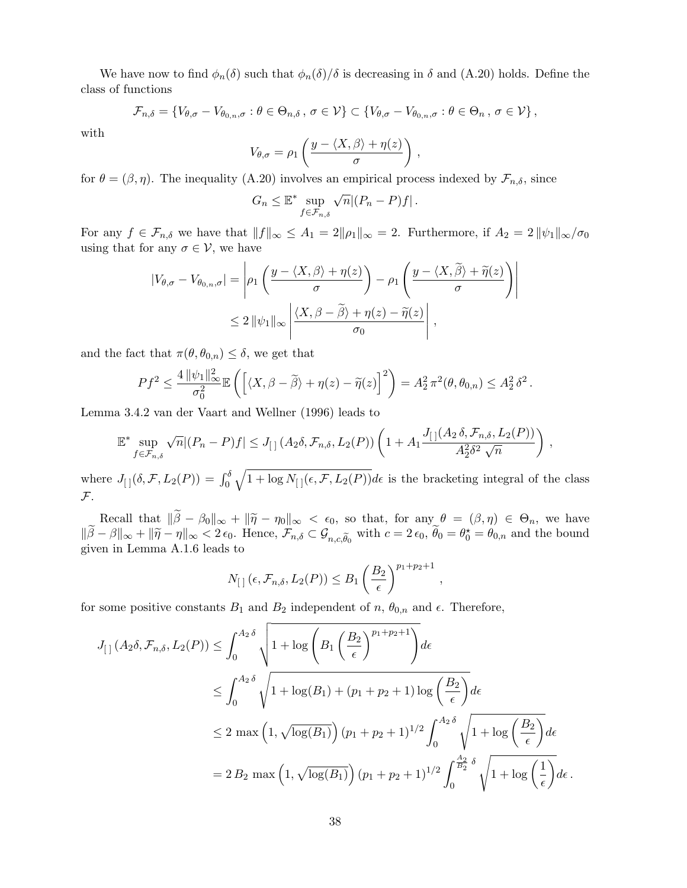We have now to find  $\phi_n(\delta)$  such that  $\phi_n(\delta)/\delta$  is decreasing in  $\delta$  and (A.20) holds. Define the class of functions

$$
\mathcal{F}_{n,\delta} = \{ V_{\theta,\sigma} - V_{\theta_{0,n},\sigma} : \theta \in \Theta_{n,\delta}, \sigma \in \mathcal{V} \} \subset \{ V_{\theta,\sigma} - V_{\theta_{0,n},\sigma} : \theta \in \Theta_n, \sigma \in \mathcal{V} \},\
$$

with

$$
V_{\theta,\sigma} = \rho_1 \left( \frac{y - \langle X, \beta \rangle + \eta(z)}{\sigma} \right) ,
$$

for  $\theta = (\beta, \eta)$ . The inequality (A.20) involves an empirical process indexed by  $\mathcal{F}_{n,\delta}$ , since

$$
G_n \leq \mathbb{E}^* \sup_{f \in \mathcal{F}_{n,\delta}} \sqrt{n} |(P_n - P)f|.
$$

For any  $f \in \mathcal{F}_{n,\delta}$  we have that  $||f||_{\infty} \leq A_1 = 2||\rho_1||_{\infty} = 2$ . Furthermore, if  $A_2 = 2||\psi_1||_{\infty}/\sigma_0$ using that for any  $\sigma \in \mathcal{V}$ , we have

$$
|V_{\theta,\sigma} - V_{\theta_{0,n},\sigma}| = \left| \rho_1 \left( \frac{y - \langle X, \beta \rangle + \eta(z)}{\sigma} \right) - \rho_1 \left( \frac{y - \langle X, \widetilde{\beta} \rangle + \widetilde{\eta}(z)}{\sigma} \right) \right|
$$
  

$$
\leq 2 \|\psi_1\|_{\infty} \left| \frac{\langle X, \beta - \widetilde{\beta} \rangle + \eta(z) - \widetilde{\eta}(z)}{\sigma_0} \right|,
$$

and the fact that  $\pi(\theta, \theta_{0,n}) \leq \delta$ , we get that

$$
Pf^{2} \leq \frac{4 \|\psi_{1}\|_{\infty}^{2}}{\sigma_{0}^{2}} \mathbb{E}\left(\left[\langle X,\beta-\widetilde{\beta}\rangle+\eta(z)-\widetilde{\eta}(z)\right]^{2}\right)=A_{2}^{2} \pi^{2}(\theta,\theta_{0,n}) \leq A_{2}^{2} \delta^{2}.
$$

Lemma 3.4.2 van der Vaart and Wellner (1996) leads to

$$
\mathbb{E}^* \sup_{f \in \mathcal{F}_{n,\delta}} \sqrt{n} |(P_n - P)f| \leq J_{\left[\right]} \left(A_2 \delta, \mathcal{F}_{n,\delta}, L_2(P)\right) \left(1 + A_1 \frac{J_{\left[\right]}(A_2 \delta, \mathcal{F}_{n,\delta}, L_2(P))}{A_2^2 \delta^2 \sqrt{n}}\right),
$$

where  $J_{[}](\delta, \mathcal{F}, L_2(P)) = \int_0^{\delta} \sqrt{1 + \log N_{[}](\epsilon, \mathcal{F}, L_2(P))} d\epsilon$  is the bracketing integral of the class  $\mathcal{F}$ .

Recall that  $\|\beta - \beta_0\|_{\infty} + \|\tilde{\eta} - \eta_0\|_{\infty} < \epsilon_0$ , so that, for any  $\theta = (\beta, \eta) \in \Theta_n$ , we have  $\|\tilde{\beta} - \beta\|_{\infty} + \|\tilde{\eta} - \eta\|_{\infty} < 2 \epsilon_0$ . Hence,  $\mathcal{F}_{n,\delta} \subset \mathcal{G}_{n,c,\tilde{\theta}_0}$  with  $c = 2 \epsilon_0$ ,  $\tilde{\theta}_0 = \theta_0^* = \theta_{0,n}$  and the bound given in Lemma A.1.6 leads to

$$
N_{\left[\right]}\left(\epsilon, \mathcal{F}_{n,\delta}, L_2(P)\right) \leq B_1 \left(\frac{B_2}{\epsilon}\right)^{p_1+p_2+1}
$$

,

for some positive constants  $B_1$  and  $B_2$  independent of n,  $\theta_{0,n}$  and  $\epsilon$ . Therefore,

$$
J_{[ \ ]} (A_2 \delta, \mathcal{F}_{n, \delta}, L_2(P)) \leq \int_0^{A_2 \delta} \sqrt{1 + \log \left( B_1 \left( \frac{B_2}{\epsilon} \right)^{p_1 + p_2 + 1} \right)} d\epsilon
$$
  
\$\leq \int\_0^{A\_2 \delta} \sqrt{1 + \log(B\_1) + (p\_1 + p\_2 + 1) \log \left( \frac{B\_2}{\epsilon} \right)} d\epsilon\$  
\$\leq 2 \max \left( 1, \sqrt{\log(B\_1)} \right) (p\_1 + p\_2 + 1)^{1/2} \int\_0^{A\_2 \delta} \sqrt{1 + \log \left( \frac{B\_2}{\epsilon} \right)} d\epsilon\$  
= 2 B\_2 \max \left( 1, \sqrt{\log(B\_1)} \right) (p\_1 + p\_2 + 1)^{1/2} \int\_0^{\frac{A\_2}{B\_2} \delta} \sqrt{1 + \log \left( \frac{1}{\epsilon} \right)} d\epsilon\$.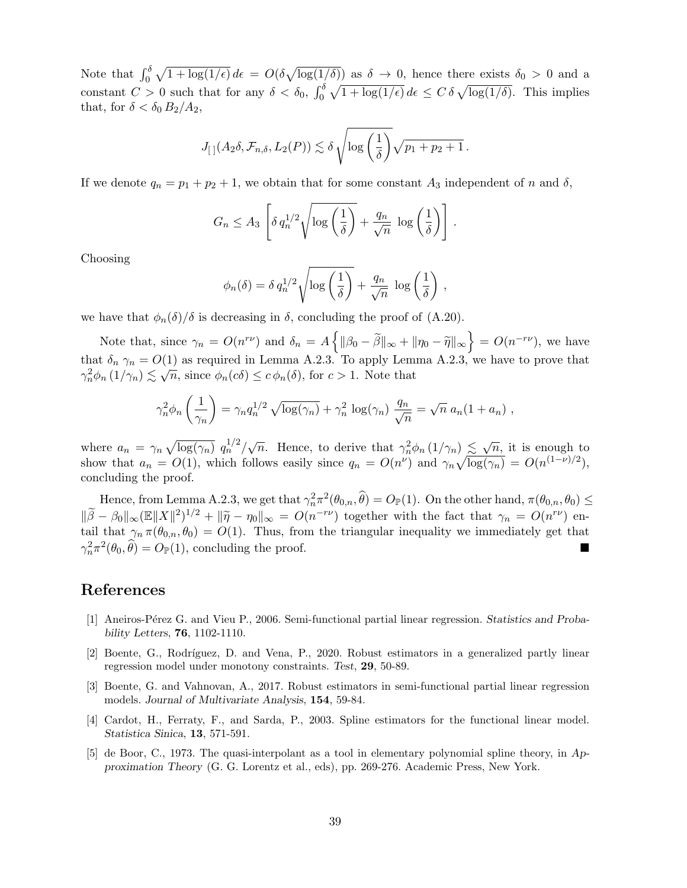Note that  $\int_0^\delta \sqrt{1 + \log(1/\epsilon)} d\epsilon = O(\delta \sqrt{\log(1/\delta)})$  as  $\delta \to 0$ , hence there exists  $\delta_0 > 0$  and a constant  $C > 0$  such that for any  $\delta < \delta_0$ ,  $\int_0^{\delta} \sqrt{1 + \log(1/\epsilon)} d\epsilon \le C \delta \sqrt{\log(1/\delta)}$ . This implies that, for  $\delta < \delta_0 B_2/A_2$ ,

$$
J_{\left[\hspace{0.3mm}\right]}(A_2\delta,\mathcal{F}_{n,\delta},L_2(P))\lesssim \delta\sqrt{\log\left(\frac{1}{\delta}\right)}\sqrt{p_1+p_2+1}\,.
$$

If we denote  $q_n = p_1 + p_2 + 1$ , we obtain that for some constant  $A_3$  independent of n and  $\delta$ ,

$$
G_n \le A_3 \left[ \delta q_n^{1/2} \sqrt{\log \left( \frac{1}{\delta} \right)} + \frac{q_n}{\sqrt{n}} \log \left( \frac{1}{\delta} \right) \right].
$$

Choosing

$$
\phi_n(\delta) = \delta q_n^{1/2} \sqrt{\log\left(\frac{1}{\delta}\right)} + \frac{q_n}{\sqrt{n}} \, \log\left(\frac{1}{\delta}\right) \,,
$$

we have that  $\phi_n(\delta)/\delta$  is decreasing in  $\delta$ , concluding the proof of (A.20).

Note that, since  $\gamma_n = O(n^{r\nu})$  and  $\delta_n = A \{ ||\beta_0 - \tilde{\beta}||_{\infty} + ||\eta_0 - \tilde{\eta}||_{\infty} \} = O(n^{-r\nu})$ , we have that  $\delta_n \gamma_n = O(1)$  as required in Lemma A.2.3. To apply Lemma A.2.3, we have to prove that  $\gamma_n^2 \phi_n(1/\gamma_n) \lesssim \sqrt{n}$ , since  $\phi_n(c\delta) \leq c \phi_n(\delta)$ , for  $c > 1$ . Note that

$$
\gamma_n^2 \phi_n \left(\frac{1}{\gamma_n}\right) = \gamma_n q_n^{1/2} \sqrt{\log(\gamma_n)} + \gamma_n^2 \log(\gamma_n) \frac{q_n}{\sqrt{n}} = \sqrt{n} a_n (1 + a_n) ,
$$

where  $a_n = \gamma_n \sqrt{\log(\gamma_n)} \, q_n^{1/2} / \sqrt{n}$ . Hence, to derive that  $\gamma_n^2 \phi_n(1/\gamma_n) \leq \sqrt{n}$ , it is enough to show that  $a_n = O(1)$ , which follows easily since  $q_n = O(n^{\nu})$  and  $\gamma_n \sqrt{\log(\gamma_n)} = O(n^{(1-\nu)/2})$ , concluding the proof.

Hence, from Lemma A.2.3, we get that  $\gamma_n^2 \pi^2(\theta_{0,n}, \widehat{\theta}) = O_{\mathbb{P}}(1)$ . On the other hand,  $\pi(\theta_{0,n}, \theta_0) \leq$  $\|\widetilde{\beta} - \beta_0\|_{\infty} (\mathbb{E} \|X\|^2)^{1/2} + \|\widetilde{\eta} - \eta_0\|_{\infty} = O(n^{-r\nu})$  together with the fact that  $\gamma_n = O(n^{r\nu})$  entail that  $\gamma_n(\beta_n, \beta_n) = O(1)$ . Thus, from the triangular inequality we immediately get that tail that  $\gamma_n \pi(\theta_{0,n}, \theta_0) = O(1)$ . Thus, from the triangular inequality we immediately get that  $\gamma_n^2 \pi^2(\theta_0, \widehat{\theta}) = O_{\mathbb{P}}(1)$ , concluding the proof.

# References

- [1] Aneiros-P´erez G. and Vieu P., 2006. Semi-functional partial linear regression. Statistics and Probability Letters, 76, 1102-1110.
- [2] Boente, G., Rodríguez, D. and Vena, P., 2020. Robust estimators in a generalized partly linear regression model under monotony constraints. Test, 29, 50-89.
- [3] Boente, G. and Vahnovan, A., 2017. Robust estimators in semi-functional partial linear regression models. Journal of Multivariate Analysis, 154, 59-84.
- [4] Cardot, H., Ferraty, F., and Sarda, P., 2003. Spline estimators for the functional linear model. Statistica Sinica, 13, 571-591.
- [5] de Boor, C., 1973. The quasi-interpolant as a tool in elementary polynomial spline theory, in Approximation Theory (G. G. Lorentz et al., eds), pp. 269-276. Academic Press, New York.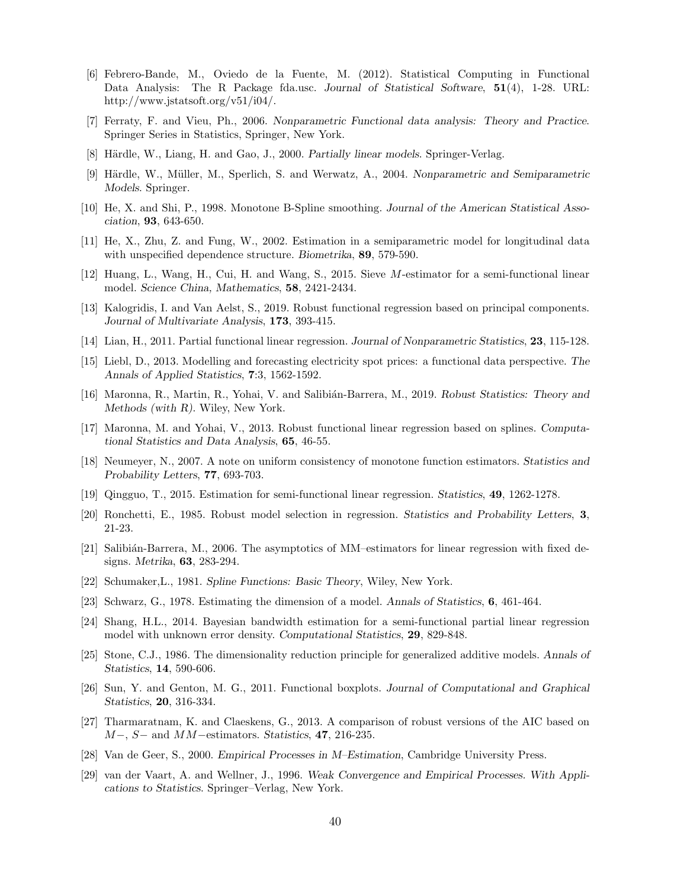- [6] Febrero-Bande, M., Oviedo de la Fuente, M. (2012). Statistical Computing in Functional Data Analysis: The R Package fda.usc. Journal of Statistical Software, 51(4), 1-28. URL: http://www.jstatsoft.org/v51/i04/.
- [7] Ferraty, F. and Vieu, Ph., 2006. Nonparametric Functional data analysis: Theory and Practice. Springer Series in Statistics, Springer, New York.
- [8] Härdle, W., Liang, H. and Gao, J., 2000. Partially linear models. Springer-Verlag.
- [9] Härdle, W., Müller, M., Sperlich, S. and Werwatz, A., 2004. Nonparametric and Semiparametric Models. Springer.
- [10] He, X. and Shi, P., 1998. Monotone B-Spline smoothing. Journal of the American Statistical Association, 93, 643-650.
- [11] He, X., Zhu, Z. and Fung, W., 2002. Estimation in a semiparametric model for longitudinal data with unspecified dependence structure. Biometrika, **89**, 579-590.
- [12] Huang, L., Wang, H., Cui, H. and Wang, S., 2015. Sieve M-estimator for a semi-functional linear model. Science China, Mathematics, 58, 2421-2434.
- [13] Kalogridis, I. and Van Aelst, S., 2019. Robust functional regression based on principal components. Journal of Multivariate Analysis, 173, 393-415.
- [14] Lian, H., 2011. Partial functional linear regression. Journal of Nonparametric Statistics, 23, 115-128.
- [15] Liebl, D., 2013. Modelling and forecasting electricity spot prices: a functional data perspective. The Annals of Applied Statistics, 7:3, 1562-1592.
- [16] Maronna, R., Martin, R., Yohai, V. and Salibián-Barrera, M., 2019. Robust Statistics: Theory and Methods (with R). Wiley, New York.
- [17] Maronna, M. and Yohai, V., 2013. Robust functional linear regression based on splines. Computational Statistics and Data Analysis, 65, 46-55.
- [18] Neumeyer, N., 2007. A note on uniform consistency of monotone function estimators. Statistics and Probability Letters, 77, 693-703.
- [19] Qingguo, T., 2015. Estimation for semi-functional linear regression. Statistics, 49, 1262-1278.
- [20] Ronchetti, E., 1985. Robust model selection in regression. Statistics and Probability Letters, 3, 21-23.
- [21] Salibián-Barrera, M., 2006. The asymptotics of MM–estimators for linear regression with fixed designs. Metrika, 63, 283-294.
- [22] Schumaker,L., 1981. Spline Functions: Basic Theory, Wiley, New York.
- [23] Schwarz, G., 1978. Estimating the dimension of a model. Annals of Statistics, 6, 461-464.
- [24] Shang, H.L., 2014. Bayesian bandwidth estimation for a semi-functional partial linear regression model with unknown error density. Computational Statistics, 29, 829-848.
- [25] Stone, C.J., 1986. The dimensionality reduction principle for generalized additive models. Annals of Statistics, 14, 590-606.
- [26] Sun, Y. and Genton, M. G., 2011. Functional boxplots. Journal of Computational and Graphical Statistics, 20, 316-334.
- [27] Tharmaratnam, K. and Claeskens, G., 2013. A comparison of robust versions of the AIC based on  $M-, S-$  and  $MM-$ estimators. Statistics, 47, 216-235.
- [28] Van de Geer, S., 2000. Empirical Processes in M–Estimation, Cambridge University Press.
- [29] van der Vaart, A. and Wellner, J., 1996. Weak Convergence and Empirical Processes. With Applications to Statistics. Springer–Verlag, New York.